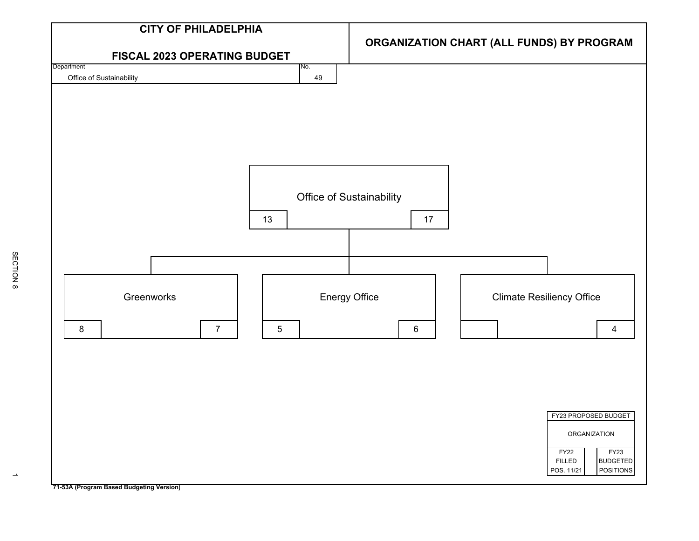

SECTION 8

 $\rightarrow$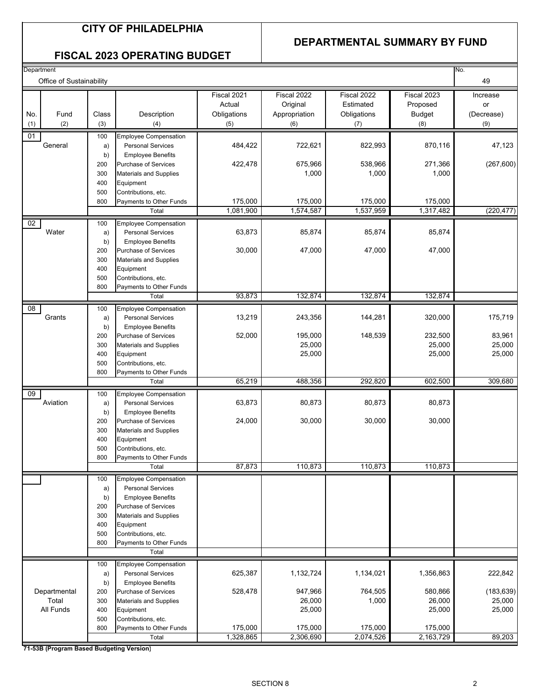### **DEPARTMENTAL SUMMARY BY FUND**

### **FISCAL 2023 OPERATING BUDGET**

| Office of Sustainability<br>Fiscal 2021<br>Fiscal 2022<br>Fiscal 2022<br>Fiscal 2023<br>Increase<br>Actual<br>Original<br>Estimated<br>Proposed<br>or<br>Class<br>Fund<br>Description<br>Obligations<br>Appropriation<br>Obligations<br><b>Budget</b><br>(Decrease)<br>No.<br>(2)<br>(3)<br>(8)<br>(9)<br>(1)<br>(4)<br>(5)<br>(6)<br>(7)<br>01<br><b>Employee Compensation</b><br>100<br>484,422<br>722,621<br>822,993<br>870,116<br>47,123<br>General<br><b>Personal Services</b><br>a)<br>b)<br><b>Employee Benefits</b><br>675,966<br>538,966<br>(267, 600)<br>422,478<br>271,366<br>200<br><b>Purchase of Services</b><br>1,000<br>1,000<br>1,000<br><b>Materials and Supplies</b><br>300<br>400<br>Equipment<br>500<br>Contributions, etc.<br>175,000<br>175,000<br>175,000<br>175,000<br>Payments to Other Funds<br>800<br>1,574,587<br>1,081,900<br>1,537,959<br>1,317,482<br>(220, 477)<br>Total<br>02<br><b>Employee Compensation</b><br>100<br>Water<br>63,873<br>85,874<br>85,874<br>85,874<br><b>Personal Services</b><br>a)<br>b)<br><b>Employee Benefits</b><br>47,000<br>47,000<br>47,000<br>30,000<br>Purchase of Services<br>200<br>300<br><b>Materials and Supplies</b><br>400<br>Equipment<br>500<br>Contributions, etc.<br>800<br>Payments to Other Funds<br>93,873<br>132,874<br>132,874<br>132,874<br>Total<br>$\overline{08}$<br><b>Employee Compensation</b><br>100<br>Grants<br>175,719<br>13,219<br>243,356<br>144,281<br>320,000<br><b>Personal Services</b><br>a)<br>b)<br><b>Employee Benefits</b><br>232,500<br>83,961<br>52,000<br>195,000<br>148,539<br>200<br>Purchase of Services<br>25,000<br>25,000<br>25,000<br>300<br><b>Materials and Supplies</b><br>25,000<br>400<br>Equipment<br>25,000<br>25,000<br>500<br>Contributions, etc.<br>800<br>Payments to Other Funds<br>65,219<br>488,356<br>292,820<br>602,500<br>309,680<br>Total<br>09<br><b>Employee Compensation</b><br>100<br>Aviation<br>63,873<br>80,873<br>80,873<br>80,873<br><b>Personal Services</b><br>a)<br>b)<br><b>Employee Benefits</b><br>30,000<br>30,000<br>30,000<br>24,000<br>200<br>Purchase of Services<br>300<br><b>Materials and Supplies</b><br>400<br>Equipment<br>500<br>Contributions, etc.<br>800<br>Payments to Other Funds<br>87,873<br>110,873<br>110,873<br>110,873<br>Total<br>Employee Compensation<br>100<br><b>Personal Services</b><br>a)<br><b>Employee Benefits</b><br>b)<br>200<br>Purchase of Services<br><b>Materials and Supplies</b><br>300<br>400<br>Equipment<br>500<br>Contributions, etc.<br>800<br>Payments to Other Funds<br>Total<br><b>Employee Compensation</b><br>100<br>222,842<br>1,134,021<br>625,387<br>1,132,724<br>1,356,863<br><b>Personal Services</b><br>a)<br>b)<br><b>Employee Benefits</b><br>764,505<br>(183, 639)<br>Departmental<br>528,478<br>947,966<br>580,866<br>200<br><b>Purchase of Services</b><br>25,000<br>Total<br>26,000<br>1,000<br>26,000<br>300<br><b>Materials and Supplies</b><br>All Funds<br>25,000<br>25,000<br>25,000<br>400<br>Equipment<br>500<br>Contributions, etc.<br>175,000<br>175,000<br>175,000<br>175,000<br>800<br>Payments to Other Funds<br>2,306,690<br>2,074,526<br>2,163,729<br>89,203<br>1,328,865<br>Total | Department |  |  |  | No. |
|-------------------------------------------------------------------------------------------------------------------------------------------------------------------------------------------------------------------------------------------------------------------------------------------------------------------------------------------------------------------------------------------------------------------------------------------------------------------------------------------------------------------------------------------------------------------------------------------------------------------------------------------------------------------------------------------------------------------------------------------------------------------------------------------------------------------------------------------------------------------------------------------------------------------------------------------------------------------------------------------------------------------------------------------------------------------------------------------------------------------------------------------------------------------------------------------------------------------------------------------------------------------------------------------------------------------------------------------------------------------------------------------------------------------------------------------------------------------------------------------------------------------------------------------------------------------------------------------------------------------------------------------------------------------------------------------------------------------------------------------------------------------------------------------------------------------------------------------------------------------------------------------------------------------------------------------------------------------------------------------------------------------------------------------------------------------------------------------------------------------------------------------------------------------------------------------------------------------------------------------------------------------------------------------------------------------------------------------------------------------------------------------------------------------------------------------------------------------------------------------------------------------------------------------------------------------------------------------------------------------------------------------------------------------------------------------------------------------------------------------------------------------------------------------------------------------------------------------------------------------------------------------------------------------------------------------------------------------------------------------------------------------------------------------------------------------------------------------------------------------------------------------------------------------------------------------------------------------|------------|--|--|--|-----|
|                                                                                                                                                                                                                                                                                                                                                                                                                                                                                                                                                                                                                                                                                                                                                                                                                                                                                                                                                                                                                                                                                                                                                                                                                                                                                                                                                                                                                                                                                                                                                                                                                                                                                                                                                                                                                                                                                                                                                                                                                                                                                                                                                                                                                                                                                                                                                                                                                                                                                                                                                                                                                                                                                                                                                                                                                                                                                                                                                                                                                                                                                                                                                                                                                   |            |  |  |  | 49  |
|                                                                                                                                                                                                                                                                                                                                                                                                                                                                                                                                                                                                                                                                                                                                                                                                                                                                                                                                                                                                                                                                                                                                                                                                                                                                                                                                                                                                                                                                                                                                                                                                                                                                                                                                                                                                                                                                                                                                                                                                                                                                                                                                                                                                                                                                                                                                                                                                                                                                                                                                                                                                                                                                                                                                                                                                                                                                                                                                                                                                                                                                                                                                                                                                                   |            |  |  |  |     |
|                                                                                                                                                                                                                                                                                                                                                                                                                                                                                                                                                                                                                                                                                                                                                                                                                                                                                                                                                                                                                                                                                                                                                                                                                                                                                                                                                                                                                                                                                                                                                                                                                                                                                                                                                                                                                                                                                                                                                                                                                                                                                                                                                                                                                                                                                                                                                                                                                                                                                                                                                                                                                                                                                                                                                                                                                                                                                                                                                                                                                                                                                                                                                                                                                   |            |  |  |  |     |
|                                                                                                                                                                                                                                                                                                                                                                                                                                                                                                                                                                                                                                                                                                                                                                                                                                                                                                                                                                                                                                                                                                                                                                                                                                                                                                                                                                                                                                                                                                                                                                                                                                                                                                                                                                                                                                                                                                                                                                                                                                                                                                                                                                                                                                                                                                                                                                                                                                                                                                                                                                                                                                                                                                                                                                                                                                                                                                                                                                                                                                                                                                                                                                                                                   |            |  |  |  |     |
|                                                                                                                                                                                                                                                                                                                                                                                                                                                                                                                                                                                                                                                                                                                                                                                                                                                                                                                                                                                                                                                                                                                                                                                                                                                                                                                                                                                                                                                                                                                                                                                                                                                                                                                                                                                                                                                                                                                                                                                                                                                                                                                                                                                                                                                                                                                                                                                                                                                                                                                                                                                                                                                                                                                                                                                                                                                                                                                                                                                                                                                                                                                                                                                                                   |            |  |  |  |     |
|                                                                                                                                                                                                                                                                                                                                                                                                                                                                                                                                                                                                                                                                                                                                                                                                                                                                                                                                                                                                                                                                                                                                                                                                                                                                                                                                                                                                                                                                                                                                                                                                                                                                                                                                                                                                                                                                                                                                                                                                                                                                                                                                                                                                                                                                                                                                                                                                                                                                                                                                                                                                                                                                                                                                                                                                                                                                                                                                                                                                                                                                                                                                                                                                                   |            |  |  |  |     |
|                                                                                                                                                                                                                                                                                                                                                                                                                                                                                                                                                                                                                                                                                                                                                                                                                                                                                                                                                                                                                                                                                                                                                                                                                                                                                                                                                                                                                                                                                                                                                                                                                                                                                                                                                                                                                                                                                                                                                                                                                                                                                                                                                                                                                                                                                                                                                                                                                                                                                                                                                                                                                                                                                                                                                                                                                                                                                                                                                                                                                                                                                                                                                                                                                   |            |  |  |  |     |
|                                                                                                                                                                                                                                                                                                                                                                                                                                                                                                                                                                                                                                                                                                                                                                                                                                                                                                                                                                                                                                                                                                                                                                                                                                                                                                                                                                                                                                                                                                                                                                                                                                                                                                                                                                                                                                                                                                                                                                                                                                                                                                                                                                                                                                                                                                                                                                                                                                                                                                                                                                                                                                                                                                                                                                                                                                                                                                                                                                                                                                                                                                                                                                                                                   |            |  |  |  |     |
|                                                                                                                                                                                                                                                                                                                                                                                                                                                                                                                                                                                                                                                                                                                                                                                                                                                                                                                                                                                                                                                                                                                                                                                                                                                                                                                                                                                                                                                                                                                                                                                                                                                                                                                                                                                                                                                                                                                                                                                                                                                                                                                                                                                                                                                                                                                                                                                                                                                                                                                                                                                                                                                                                                                                                                                                                                                                                                                                                                                                                                                                                                                                                                                                                   |            |  |  |  |     |
|                                                                                                                                                                                                                                                                                                                                                                                                                                                                                                                                                                                                                                                                                                                                                                                                                                                                                                                                                                                                                                                                                                                                                                                                                                                                                                                                                                                                                                                                                                                                                                                                                                                                                                                                                                                                                                                                                                                                                                                                                                                                                                                                                                                                                                                                                                                                                                                                                                                                                                                                                                                                                                                                                                                                                                                                                                                                                                                                                                                                                                                                                                                                                                                                                   |            |  |  |  |     |
|                                                                                                                                                                                                                                                                                                                                                                                                                                                                                                                                                                                                                                                                                                                                                                                                                                                                                                                                                                                                                                                                                                                                                                                                                                                                                                                                                                                                                                                                                                                                                                                                                                                                                                                                                                                                                                                                                                                                                                                                                                                                                                                                                                                                                                                                                                                                                                                                                                                                                                                                                                                                                                                                                                                                                                                                                                                                                                                                                                                                                                                                                                                                                                                                                   |            |  |  |  |     |
|                                                                                                                                                                                                                                                                                                                                                                                                                                                                                                                                                                                                                                                                                                                                                                                                                                                                                                                                                                                                                                                                                                                                                                                                                                                                                                                                                                                                                                                                                                                                                                                                                                                                                                                                                                                                                                                                                                                                                                                                                                                                                                                                                                                                                                                                                                                                                                                                                                                                                                                                                                                                                                                                                                                                                                                                                                                                                                                                                                                                                                                                                                                                                                                                                   |            |  |  |  |     |
|                                                                                                                                                                                                                                                                                                                                                                                                                                                                                                                                                                                                                                                                                                                                                                                                                                                                                                                                                                                                                                                                                                                                                                                                                                                                                                                                                                                                                                                                                                                                                                                                                                                                                                                                                                                                                                                                                                                                                                                                                                                                                                                                                                                                                                                                                                                                                                                                                                                                                                                                                                                                                                                                                                                                                                                                                                                                                                                                                                                                                                                                                                                                                                                                                   |            |  |  |  |     |
|                                                                                                                                                                                                                                                                                                                                                                                                                                                                                                                                                                                                                                                                                                                                                                                                                                                                                                                                                                                                                                                                                                                                                                                                                                                                                                                                                                                                                                                                                                                                                                                                                                                                                                                                                                                                                                                                                                                                                                                                                                                                                                                                                                                                                                                                                                                                                                                                                                                                                                                                                                                                                                                                                                                                                                                                                                                                                                                                                                                                                                                                                                                                                                                                                   |            |  |  |  |     |
|                                                                                                                                                                                                                                                                                                                                                                                                                                                                                                                                                                                                                                                                                                                                                                                                                                                                                                                                                                                                                                                                                                                                                                                                                                                                                                                                                                                                                                                                                                                                                                                                                                                                                                                                                                                                                                                                                                                                                                                                                                                                                                                                                                                                                                                                                                                                                                                                                                                                                                                                                                                                                                                                                                                                                                                                                                                                                                                                                                                                                                                                                                                                                                                                                   |            |  |  |  |     |
|                                                                                                                                                                                                                                                                                                                                                                                                                                                                                                                                                                                                                                                                                                                                                                                                                                                                                                                                                                                                                                                                                                                                                                                                                                                                                                                                                                                                                                                                                                                                                                                                                                                                                                                                                                                                                                                                                                                                                                                                                                                                                                                                                                                                                                                                                                                                                                                                                                                                                                                                                                                                                                                                                                                                                                                                                                                                                                                                                                                                                                                                                                                                                                                                                   |            |  |  |  |     |
|                                                                                                                                                                                                                                                                                                                                                                                                                                                                                                                                                                                                                                                                                                                                                                                                                                                                                                                                                                                                                                                                                                                                                                                                                                                                                                                                                                                                                                                                                                                                                                                                                                                                                                                                                                                                                                                                                                                                                                                                                                                                                                                                                                                                                                                                                                                                                                                                                                                                                                                                                                                                                                                                                                                                                                                                                                                                                                                                                                                                                                                                                                                                                                                                                   |            |  |  |  |     |
|                                                                                                                                                                                                                                                                                                                                                                                                                                                                                                                                                                                                                                                                                                                                                                                                                                                                                                                                                                                                                                                                                                                                                                                                                                                                                                                                                                                                                                                                                                                                                                                                                                                                                                                                                                                                                                                                                                                                                                                                                                                                                                                                                                                                                                                                                                                                                                                                                                                                                                                                                                                                                                                                                                                                                                                                                                                                                                                                                                                                                                                                                                                                                                                                                   |            |  |  |  |     |
|                                                                                                                                                                                                                                                                                                                                                                                                                                                                                                                                                                                                                                                                                                                                                                                                                                                                                                                                                                                                                                                                                                                                                                                                                                                                                                                                                                                                                                                                                                                                                                                                                                                                                                                                                                                                                                                                                                                                                                                                                                                                                                                                                                                                                                                                                                                                                                                                                                                                                                                                                                                                                                                                                                                                                                                                                                                                                                                                                                                                                                                                                                                                                                                                                   |            |  |  |  |     |
|                                                                                                                                                                                                                                                                                                                                                                                                                                                                                                                                                                                                                                                                                                                                                                                                                                                                                                                                                                                                                                                                                                                                                                                                                                                                                                                                                                                                                                                                                                                                                                                                                                                                                                                                                                                                                                                                                                                                                                                                                                                                                                                                                                                                                                                                                                                                                                                                                                                                                                                                                                                                                                                                                                                                                                                                                                                                                                                                                                                                                                                                                                                                                                                                                   |            |  |  |  |     |
|                                                                                                                                                                                                                                                                                                                                                                                                                                                                                                                                                                                                                                                                                                                                                                                                                                                                                                                                                                                                                                                                                                                                                                                                                                                                                                                                                                                                                                                                                                                                                                                                                                                                                                                                                                                                                                                                                                                                                                                                                                                                                                                                                                                                                                                                                                                                                                                                                                                                                                                                                                                                                                                                                                                                                                                                                                                                                                                                                                                                                                                                                                                                                                                                                   |            |  |  |  |     |
|                                                                                                                                                                                                                                                                                                                                                                                                                                                                                                                                                                                                                                                                                                                                                                                                                                                                                                                                                                                                                                                                                                                                                                                                                                                                                                                                                                                                                                                                                                                                                                                                                                                                                                                                                                                                                                                                                                                                                                                                                                                                                                                                                                                                                                                                                                                                                                                                                                                                                                                                                                                                                                                                                                                                                                                                                                                                                                                                                                                                                                                                                                                                                                                                                   |            |  |  |  |     |
|                                                                                                                                                                                                                                                                                                                                                                                                                                                                                                                                                                                                                                                                                                                                                                                                                                                                                                                                                                                                                                                                                                                                                                                                                                                                                                                                                                                                                                                                                                                                                                                                                                                                                                                                                                                                                                                                                                                                                                                                                                                                                                                                                                                                                                                                                                                                                                                                                                                                                                                                                                                                                                                                                                                                                                                                                                                                                                                                                                                                                                                                                                                                                                                                                   |            |  |  |  |     |
|                                                                                                                                                                                                                                                                                                                                                                                                                                                                                                                                                                                                                                                                                                                                                                                                                                                                                                                                                                                                                                                                                                                                                                                                                                                                                                                                                                                                                                                                                                                                                                                                                                                                                                                                                                                                                                                                                                                                                                                                                                                                                                                                                                                                                                                                                                                                                                                                                                                                                                                                                                                                                                                                                                                                                                                                                                                                                                                                                                                                                                                                                                                                                                                                                   |            |  |  |  |     |
|                                                                                                                                                                                                                                                                                                                                                                                                                                                                                                                                                                                                                                                                                                                                                                                                                                                                                                                                                                                                                                                                                                                                                                                                                                                                                                                                                                                                                                                                                                                                                                                                                                                                                                                                                                                                                                                                                                                                                                                                                                                                                                                                                                                                                                                                                                                                                                                                                                                                                                                                                                                                                                                                                                                                                                                                                                                                                                                                                                                                                                                                                                                                                                                                                   |            |  |  |  |     |
|                                                                                                                                                                                                                                                                                                                                                                                                                                                                                                                                                                                                                                                                                                                                                                                                                                                                                                                                                                                                                                                                                                                                                                                                                                                                                                                                                                                                                                                                                                                                                                                                                                                                                                                                                                                                                                                                                                                                                                                                                                                                                                                                                                                                                                                                                                                                                                                                                                                                                                                                                                                                                                                                                                                                                                                                                                                                                                                                                                                                                                                                                                                                                                                                                   |            |  |  |  |     |
|                                                                                                                                                                                                                                                                                                                                                                                                                                                                                                                                                                                                                                                                                                                                                                                                                                                                                                                                                                                                                                                                                                                                                                                                                                                                                                                                                                                                                                                                                                                                                                                                                                                                                                                                                                                                                                                                                                                                                                                                                                                                                                                                                                                                                                                                                                                                                                                                                                                                                                                                                                                                                                                                                                                                                                                                                                                                                                                                                                                                                                                                                                                                                                                                                   |            |  |  |  |     |
|                                                                                                                                                                                                                                                                                                                                                                                                                                                                                                                                                                                                                                                                                                                                                                                                                                                                                                                                                                                                                                                                                                                                                                                                                                                                                                                                                                                                                                                                                                                                                                                                                                                                                                                                                                                                                                                                                                                                                                                                                                                                                                                                                                                                                                                                                                                                                                                                                                                                                                                                                                                                                                                                                                                                                                                                                                                                                                                                                                                                                                                                                                                                                                                                                   |            |  |  |  |     |
|                                                                                                                                                                                                                                                                                                                                                                                                                                                                                                                                                                                                                                                                                                                                                                                                                                                                                                                                                                                                                                                                                                                                                                                                                                                                                                                                                                                                                                                                                                                                                                                                                                                                                                                                                                                                                                                                                                                                                                                                                                                                                                                                                                                                                                                                                                                                                                                                                                                                                                                                                                                                                                                                                                                                                                                                                                                                                                                                                                                                                                                                                                                                                                                                                   |            |  |  |  |     |
|                                                                                                                                                                                                                                                                                                                                                                                                                                                                                                                                                                                                                                                                                                                                                                                                                                                                                                                                                                                                                                                                                                                                                                                                                                                                                                                                                                                                                                                                                                                                                                                                                                                                                                                                                                                                                                                                                                                                                                                                                                                                                                                                                                                                                                                                                                                                                                                                                                                                                                                                                                                                                                                                                                                                                                                                                                                                                                                                                                                                                                                                                                                                                                                                                   |            |  |  |  |     |
|                                                                                                                                                                                                                                                                                                                                                                                                                                                                                                                                                                                                                                                                                                                                                                                                                                                                                                                                                                                                                                                                                                                                                                                                                                                                                                                                                                                                                                                                                                                                                                                                                                                                                                                                                                                                                                                                                                                                                                                                                                                                                                                                                                                                                                                                                                                                                                                                                                                                                                                                                                                                                                                                                                                                                                                                                                                                                                                                                                                                                                                                                                                                                                                                                   |            |  |  |  |     |
|                                                                                                                                                                                                                                                                                                                                                                                                                                                                                                                                                                                                                                                                                                                                                                                                                                                                                                                                                                                                                                                                                                                                                                                                                                                                                                                                                                                                                                                                                                                                                                                                                                                                                                                                                                                                                                                                                                                                                                                                                                                                                                                                                                                                                                                                                                                                                                                                                                                                                                                                                                                                                                                                                                                                                                                                                                                                                                                                                                                                                                                                                                                                                                                                                   |            |  |  |  |     |
|                                                                                                                                                                                                                                                                                                                                                                                                                                                                                                                                                                                                                                                                                                                                                                                                                                                                                                                                                                                                                                                                                                                                                                                                                                                                                                                                                                                                                                                                                                                                                                                                                                                                                                                                                                                                                                                                                                                                                                                                                                                                                                                                                                                                                                                                                                                                                                                                                                                                                                                                                                                                                                                                                                                                                                                                                                                                                                                                                                                                                                                                                                                                                                                                                   |            |  |  |  |     |
|                                                                                                                                                                                                                                                                                                                                                                                                                                                                                                                                                                                                                                                                                                                                                                                                                                                                                                                                                                                                                                                                                                                                                                                                                                                                                                                                                                                                                                                                                                                                                                                                                                                                                                                                                                                                                                                                                                                                                                                                                                                                                                                                                                                                                                                                                                                                                                                                                                                                                                                                                                                                                                                                                                                                                                                                                                                                                                                                                                                                                                                                                                                                                                                                                   |            |  |  |  |     |
|                                                                                                                                                                                                                                                                                                                                                                                                                                                                                                                                                                                                                                                                                                                                                                                                                                                                                                                                                                                                                                                                                                                                                                                                                                                                                                                                                                                                                                                                                                                                                                                                                                                                                                                                                                                                                                                                                                                                                                                                                                                                                                                                                                                                                                                                                                                                                                                                                                                                                                                                                                                                                                                                                                                                                                                                                                                                                                                                                                                                                                                                                                                                                                                                                   |            |  |  |  |     |
|                                                                                                                                                                                                                                                                                                                                                                                                                                                                                                                                                                                                                                                                                                                                                                                                                                                                                                                                                                                                                                                                                                                                                                                                                                                                                                                                                                                                                                                                                                                                                                                                                                                                                                                                                                                                                                                                                                                                                                                                                                                                                                                                                                                                                                                                                                                                                                                                                                                                                                                                                                                                                                                                                                                                                                                                                                                                                                                                                                                                                                                                                                                                                                                                                   |            |  |  |  |     |
|                                                                                                                                                                                                                                                                                                                                                                                                                                                                                                                                                                                                                                                                                                                                                                                                                                                                                                                                                                                                                                                                                                                                                                                                                                                                                                                                                                                                                                                                                                                                                                                                                                                                                                                                                                                                                                                                                                                                                                                                                                                                                                                                                                                                                                                                                                                                                                                                                                                                                                                                                                                                                                                                                                                                                                                                                                                                                                                                                                                                                                                                                                                                                                                                                   |            |  |  |  |     |
|                                                                                                                                                                                                                                                                                                                                                                                                                                                                                                                                                                                                                                                                                                                                                                                                                                                                                                                                                                                                                                                                                                                                                                                                                                                                                                                                                                                                                                                                                                                                                                                                                                                                                                                                                                                                                                                                                                                                                                                                                                                                                                                                                                                                                                                                                                                                                                                                                                                                                                                                                                                                                                                                                                                                                                                                                                                                                                                                                                                                                                                                                                                                                                                                                   |            |  |  |  |     |
|                                                                                                                                                                                                                                                                                                                                                                                                                                                                                                                                                                                                                                                                                                                                                                                                                                                                                                                                                                                                                                                                                                                                                                                                                                                                                                                                                                                                                                                                                                                                                                                                                                                                                                                                                                                                                                                                                                                                                                                                                                                                                                                                                                                                                                                                                                                                                                                                                                                                                                                                                                                                                                                                                                                                                                                                                                                                                                                                                                                                                                                                                                                                                                                                                   |            |  |  |  |     |
|                                                                                                                                                                                                                                                                                                                                                                                                                                                                                                                                                                                                                                                                                                                                                                                                                                                                                                                                                                                                                                                                                                                                                                                                                                                                                                                                                                                                                                                                                                                                                                                                                                                                                                                                                                                                                                                                                                                                                                                                                                                                                                                                                                                                                                                                                                                                                                                                                                                                                                                                                                                                                                                                                                                                                                                                                                                                                                                                                                                                                                                                                                                                                                                                                   |            |  |  |  |     |
|                                                                                                                                                                                                                                                                                                                                                                                                                                                                                                                                                                                                                                                                                                                                                                                                                                                                                                                                                                                                                                                                                                                                                                                                                                                                                                                                                                                                                                                                                                                                                                                                                                                                                                                                                                                                                                                                                                                                                                                                                                                                                                                                                                                                                                                                                                                                                                                                                                                                                                                                                                                                                                                                                                                                                                                                                                                                                                                                                                                                                                                                                                                                                                                                                   |            |  |  |  |     |
|                                                                                                                                                                                                                                                                                                                                                                                                                                                                                                                                                                                                                                                                                                                                                                                                                                                                                                                                                                                                                                                                                                                                                                                                                                                                                                                                                                                                                                                                                                                                                                                                                                                                                                                                                                                                                                                                                                                                                                                                                                                                                                                                                                                                                                                                                                                                                                                                                                                                                                                                                                                                                                                                                                                                                                                                                                                                                                                                                                                                                                                                                                                                                                                                                   |            |  |  |  |     |
|                                                                                                                                                                                                                                                                                                                                                                                                                                                                                                                                                                                                                                                                                                                                                                                                                                                                                                                                                                                                                                                                                                                                                                                                                                                                                                                                                                                                                                                                                                                                                                                                                                                                                                                                                                                                                                                                                                                                                                                                                                                                                                                                                                                                                                                                                                                                                                                                                                                                                                                                                                                                                                                                                                                                                                                                                                                                                                                                                                                                                                                                                                                                                                                                                   |            |  |  |  |     |
|                                                                                                                                                                                                                                                                                                                                                                                                                                                                                                                                                                                                                                                                                                                                                                                                                                                                                                                                                                                                                                                                                                                                                                                                                                                                                                                                                                                                                                                                                                                                                                                                                                                                                                                                                                                                                                                                                                                                                                                                                                                                                                                                                                                                                                                                                                                                                                                                                                                                                                                                                                                                                                                                                                                                                                                                                                                                                                                                                                                                                                                                                                                                                                                                                   |            |  |  |  |     |
|                                                                                                                                                                                                                                                                                                                                                                                                                                                                                                                                                                                                                                                                                                                                                                                                                                                                                                                                                                                                                                                                                                                                                                                                                                                                                                                                                                                                                                                                                                                                                                                                                                                                                                                                                                                                                                                                                                                                                                                                                                                                                                                                                                                                                                                                                                                                                                                                                                                                                                                                                                                                                                                                                                                                                                                                                                                                                                                                                                                                                                                                                                                                                                                                                   |            |  |  |  |     |
|                                                                                                                                                                                                                                                                                                                                                                                                                                                                                                                                                                                                                                                                                                                                                                                                                                                                                                                                                                                                                                                                                                                                                                                                                                                                                                                                                                                                                                                                                                                                                                                                                                                                                                                                                                                                                                                                                                                                                                                                                                                                                                                                                                                                                                                                                                                                                                                                                                                                                                                                                                                                                                                                                                                                                                                                                                                                                                                                                                                                                                                                                                                                                                                                                   |            |  |  |  |     |
|                                                                                                                                                                                                                                                                                                                                                                                                                                                                                                                                                                                                                                                                                                                                                                                                                                                                                                                                                                                                                                                                                                                                                                                                                                                                                                                                                                                                                                                                                                                                                                                                                                                                                                                                                                                                                                                                                                                                                                                                                                                                                                                                                                                                                                                                                                                                                                                                                                                                                                                                                                                                                                                                                                                                                                                                                                                                                                                                                                                                                                                                                                                                                                                                                   |            |  |  |  |     |
|                                                                                                                                                                                                                                                                                                                                                                                                                                                                                                                                                                                                                                                                                                                                                                                                                                                                                                                                                                                                                                                                                                                                                                                                                                                                                                                                                                                                                                                                                                                                                                                                                                                                                                                                                                                                                                                                                                                                                                                                                                                                                                                                                                                                                                                                                                                                                                                                                                                                                                                                                                                                                                                                                                                                                                                                                                                                                                                                                                                                                                                                                                                                                                                                                   |            |  |  |  |     |
|                                                                                                                                                                                                                                                                                                                                                                                                                                                                                                                                                                                                                                                                                                                                                                                                                                                                                                                                                                                                                                                                                                                                                                                                                                                                                                                                                                                                                                                                                                                                                                                                                                                                                                                                                                                                                                                                                                                                                                                                                                                                                                                                                                                                                                                                                                                                                                                                                                                                                                                                                                                                                                                                                                                                                                                                                                                                                                                                                                                                                                                                                                                                                                                                                   |            |  |  |  |     |
|                                                                                                                                                                                                                                                                                                                                                                                                                                                                                                                                                                                                                                                                                                                                                                                                                                                                                                                                                                                                                                                                                                                                                                                                                                                                                                                                                                                                                                                                                                                                                                                                                                                                                                                                                                                                                                                                                                                                                                                                                                                                                                                                                                                                                                                                                                                                                                                                                                                                                                                                                                                                                                                                                                                                                                                                                                                                                                                                                                                                                                                                                                                                                                                                                   |            |  |  |  |     |
|                                                                                                                                                                                                                                                                                                                                                                                                                                                                                                                                                                                                                                                                                                                                                                                                                                                                                                                                                                                                                                                                                                                                                                                                                                                                                                                                                                                                                                                                                                                                                                                                                                                                                                                                                                                                                                                                                                                                                                                                                                                                                                                                                                                                                                                                                                                                                                                                                                                                                                                                                                                                                                                                                                                                                                                                                                                                                                                                                                                                                                                                                                                                                                                                                   |            |  |  |  |     |
|                                                                                                                                                                                                                                                                                                                                                                                                                                                                                                                                                                                                                                                                                                                                                                                                                                                                                                                                                                                                                                                                                                                                                                                                                                                                                                                                                                                                                                                                                                                                                                                                                                                                                                                                                                                                                                                                                                                                                                                                                                                                                                                                                                                                                                                                                                                                                                                                                                                                                                                                                                                                                                                                                                                                                                                                                                                                                                                                                                                                                                                                                                                                                                                                                   |            |  |  |  |     |
|                                                                                                                                                                                                                                                                                                                                                                                                                                                                                                                                                                                                                                                                                                                                                                                                                                                                                                                                                                                                                                                                                                                                                                                                                                                                                                                                                                                                                                                                                                                                                                                                                                                                                                                                                                                                                                                                                                                                                                                                                                                                                                                                                                                                                                                                                                                                                                                                                                                                                                                                                                                                                                                                                                                                                                                                                                                                                                                                                                                                                                                                                                                                                                                                                   |            |  |  |  |     |
|                                                                                                                                                                                                                                                                                                                                                                                                                                                                                                                                                                                                                                                                                                                                                                                                                                                                                                                                                                                                                                                                                                                                                                                                                                                                                                                                                                                                                                                                                                                                                                                                                                                                                                                                                                                                                                                                                                                                                                                                                                                                                                                                                                                                                                                                                                                                                                                                                                                                                                                                                                                                                                                                                                                                                                                                                                                                                                                                                                                                                                                                                                                                                                                                                   |            |  |  |  |     |
|                                                                                                                                                                                                                                                                                                                                                                                                                                                                                                                                                                                                                                                                                                                                                                                                                                                                                                                                                                                                                                                                                                                                                                                                                                                                                                                                                                                                                                                                                                                                                                                                                                                                                                                                                                                                                                                                                                                                                                                                                                                                                                                                                                                                                                                                                                                                                                                                                                                                                                                                                                                                                                                                                                                                                                                                                                                                                                                                                                                                                                                                                                                                                                                                                   |            |  |  |  |     |
|                                                                                                                                                                                                                                                                                                                                                                                                                                                                                                                                                                                                                                                                                                                                                                                                                                                                                                                                                                                                                                                                                                                                                                                                                                                                                                                                                                                                                                                                                                                                                                                                                                                                                                                                                                                                                                                                                                                                                                                                                                                                                                                                                                                                                                                                                                                                                                                                                                                                                                                                                                                                                                                                                                                                                                                                                                                                                                                                                                                                                                                                                                                                                                                                                   |            |  |  |  |     |
|                                                                                                                                                                                                                                                                                                                                                                                                                                                                                                                                                                                                                                                                                                                                                                                                                                                                                                                                                                                                                                                                                                                                                                                                                                                                                                                                                                                                                                                                                                                                                                                                                                                                                                                                                                                                                                                                                                                                                                                                                                                                                                                                                                                                                                                                                                                                                                                                                                                                                                                                                                                                                                                                                                                                                                                                                                                                                                                                                                                                                                                                                                                                                                                                                   |            |  |  |  |     |
|                                                                                                                                                                                                                                                                                                                                                                                                                                                                                                                                                                                                                                                                                                                                                                                                                                                                                                                                                                                                                                                                                                                                                                                                                                                                                                                                                                                                                                                                                                                                                                                                                                                                                                                                                                                                                                                                                                                                                                                                                                                                                                                                                                                                                                                                                                                                                                                                                                                                                                                                                                                                                                                                                                                                                                                                                                                                                                                                                                                                                                                                                                                                                                                                                   |            |  |  |  |     |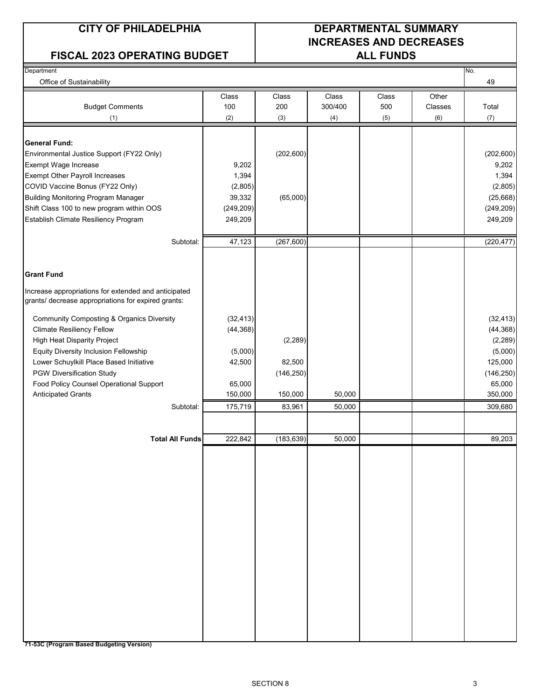### FISCAL 2023 OPERATING BUDGET | ALL FUNDS

### **CITY OF PHILADELPHIA DEPARTMENTAL SUMMARY INCREASES AND DECREASES**

| Department<br>Office of Sustainability                                                                      |            |            |              |       |         | No.<br>49  |
|-------------------------------------------------------------------------------------------------------------|------------|------------|--------------|-------|---------|------------|
|                                                                                                             | Class      | Class      | <b>Class</b> | Class | Other   |            |
| <b>Budget Comments</b>                                                                                      | 100        | 200        | 300/400      | 500   | Classes | Total      |
| (1)                                                                                                         | (2)        | (3)        | (4)          | (5)   | (6)     | (7)        |
| <b>General Fund:</b>                                                                                        |            |            |              |       |         |            |
| Environmental Justice Support (FY22 Only)                                                                   |            | (202, 600) |              |       |         | (202, 600) |
| Exempt Wage Increase                                                                                        | 9,202      |            |              |       |         | 9,202      |
| <b>Exempt Other Payroll Increases</b>                                                                       | 1,394      |            |              |       |         | 1,394      |
| COVID Vaccine Bonus (FY22 Only)                                                                             | (2,805)    |            |              |       |         | (2,805)    |
| <b>Building Monitoring Program Manager</b>                                                                  | 39,332     | (65,000)   |              |       |         | (25, 668)  |
| Shift Class 100 to new program within OOS                                                                   | (249, 209) |            |              |       |         | (249, 209) |
| Establish Climate Resiliency Program                                                                        | 249,209    |            |              |       |         | 249,209    |
|                                                                                                             |            |            |              |       |         |            |
| Subtotal:                                                                                                   | 47,123     | (267, 600) |              |       |         | (220, 477) |
| <b>Grant Fund</b>                                                                                           |            |            |              |       |         |            |
|                                                                                                             |            |            |              |       |         |            |
| Increase appropriations for extended and anticipated<br>grants/ decrease appropriations for expired grants: |            |            |              |       |         |            |
| <b>Community Composting &amp; Organics Diversity</b>                                                        | (32, 413)  |            |              |       |         | (32, 413)  |
| <b>Climate Resiliency Fellow</b>                                                                            | (44, 368)  |            |              |       |         | (44, 368)  |
| <b>High Heat Disparity Project</b>                                                                          |            | (2, 289)   |              |       |         | (2, 289)   |
| <b>Equity Diversity Inclusion Fellowship</b>                                                                | (5,000)    |            |              |       |         | (5,000)    |
| Lower Schuylkill Place Based Initiative                                                                     | 42,500     | 82,500     |              |       |         | 125,000    |
| <b>PGW Diversification Study</b>                                                                            |            | (146, 250) |              |       |         | (146, 250) |
| Food Policy Counsel Operational Support                                                                     | 65,000     |            |              |       |         | 65,000     |
| <b>Anticipated Grants</b>                                                                                   | 150,000    | 150,000    | 50,000       |       |         | 350,000    |
| Subtotal:                                                                                                   | 175,719    | 83,961     | 50,000       |       |         | 309,680    |
|                                                                                                             |            |            |              |       |         |            |
| <b>Total All Funds</b>                                                                                      | 222,842    | (183, 639) | 50,000       |       |         | 89,203     |
|                                                                                                             |            |            |              |       |         |            |
|                                                                                                             |            |            |              |       |         |            |
|                                                                                                             |            |            |              |       |         |            |
|                                                                                                             |            |            |              |       |         |            |
|                                                                                                             |            |            |              |       |         |            |
|                                                                                                             |            |            |              |       |         |            |
|                                                                                                             |            |            |              |       |         |            |
|                                                                                                             |            |            |              |       |         |            |
|                                                                                                             |            |            |              |       |         |            |
|                                                                                                             |            |            |              |       |         |            |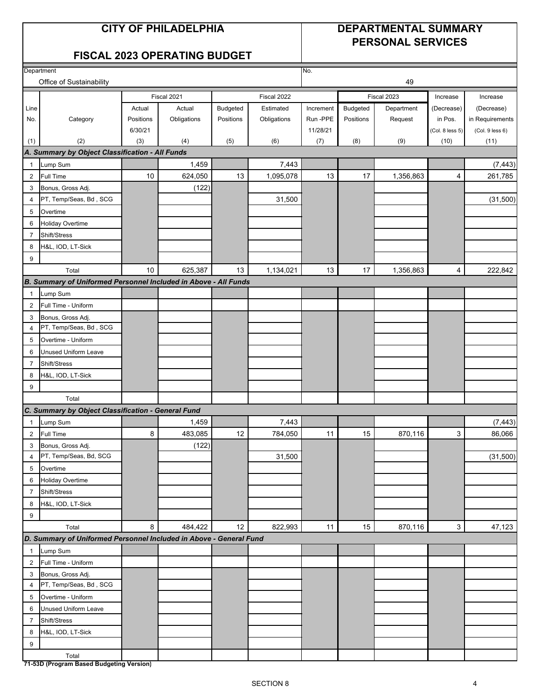### **CITY OF PHILADELPHIA DEPARTMENTAL SUMMARY PERSONAL SERVICES**

### **FISCAL 2023 OPERATING BUDGET**

|                          | Department                                                         |           |             |           |             | No.       |           |             |                 |                 |
|--------------------------|--------------------------------------------------------------------|-----------|-------------|-----------|-------------|-----------|-----------|-------------|-----------------|-----------------|
| Office of Sustainability |                                                                    |           |             |           |             |           |           | 49          |                 |                 |
|                          |                                                                    |           | Fiscal 2021 |           | Fiscal 2022 |           |           | Fiscal 2023 | Increase        | Increase        |
| Line                     |                                                                    | Actual    | Actual      | Budgeted  | Estimated   | Increment | Budgeted  | Department  | (Decrease)      | (Decrease)      |
| No.                      | Category                                                           | Positions | Obligations | Positions | Obligations | Run-PPE   | Positions | Request     | in Pos.         | in Requirements |
|                          |                                                                    | 6/30/21   |             |           |             | 11/28/21  |           |             | (Col. 8 less 5) | (Col. 9 less 6) |
| (1)                      | (2)                                                                | (3)       | (4)         | (5)       | (6)         | (7)       | (8)       | (9)         | (10)            | (11)            |
|                          | A. Summary by Object Classification - All Funds                    |           |             |           |             |           |           |             |                 |                 |
| $\mathbf{1}$             | Lump Sum                                                           |           | 1,459       |           | 7,443       |           |           |             |                 | (7, 443)        |
| $\boldsymbol{2}$         | Full Time                                                          | 10        | 624,050     | 13        | 1,095,078   | 13        | 17        | 1,356,863   | 4               | 261,785         |
| 3                        | Bonus, Gross Adj.                                                  |           | (122)       |           |             |           |           |             |                 |                 |
| $\overline{4}$           | PT, Temp/Seas, Bd, SCG                                             |           |             |           | 31,500      |           |           |             |                 | (31,500)        |
| 5                        | Overtime                                                           |           |             |           |             |           |           |             |                 |                 |
| 6                        | Holiday Overtime                                                   |           |             |           |             |           |           |             |                 |                 |
| $\overline{7}$           | Shift/Stress                                                       |           |             |           |             |           |           |             |                 |                 |
| 8                        | H&L, IOD, LT-Sick                                                  |           |             |           |             |           |           |             |                 |                 |
| $\boldsymbol{9}$         |                                                                    |           |             |           |             |           |           |             |                 |                 |
|                          | Total                                                              | 10        | 625,387     | 13        | 1,134,021   | 13        | 17        | 1,356,863   | 4               | 222,842         |
|                          | B. Summary of Uniformed Personnel Included in Above - All Funds    |           |             |           |             |           |           |             |                 |                 |
| $\mathbf{1}$             | Lump Sum                                                           |           |             |           |             |           |           |             |                 |                 |
| $\overline{2}$           | Full Time - Uniform                                                |           |             |           |             |           |           |             |                 |                 |
| 3                        | Bonus, Gross Adj.                                                  |           |             |           |             |           |           |             |                 |                 |
| $\overline{4}$           | PT, Temp/Seas, Bd, SCG                                             |           |             |           |             |           |           |             |                 |                 |
| 5                        | Overtime - Uniform                                                 |           |             |           |             |           |           |             |                 |                 |
| 6                        | Unused Uniform Leave                                               |           |             |           |             |           |           |             |                 |                 |
| $\overline{7}$           | Shift/Stress                                                       |           |             |           |             |           |           |             |                 |                 |
| 8                        | H&L, IOD, LT-Sick                                                  |           |             |           |             |           |           |             |                 |                 |
| 9                        |                                                                    |           |             |           |             |           |           |             |                 |                 |
|                          | Total                                                              |           |             |           |             |           |           |             |                 |                 |
|                          | C. Summary by Object Classification - General Fund                 |           |             |           |             |           |           |             |                 |                 |
| $\overline{1}$           | Lump Sum                                                           |           | 1,459       |           | 7,443       |           |           |             |                 | (7, 443)        |
| $\overline{2}$           | <b>Full Time</b>                                                   | 8         | 483,085     | 12        | 784,050     | 11        | 15        | 870,116     | 3               | 86,066          |
| 3                        | Bonus, Gross Adj.                                                  |           | (122)       |           |             |           |           |             |                 |                 |
| 4                        | PT, Temp/Seas, Bd, SCG                                             |           |             |           | 31,500      |           |           |             |                 | (31,500)        |
| 5                        | Overtime                                                           |           |             |           |             |           |           |             |                 |                 |
| 6                        | <b>Holiday Overtime</b>                                            |           |             |           |             |           |           |             |                 |                 |
| $\overline{7}$           | Shift/Stress                                                       |           |             |           |             |           |           |             |                 |                 |
| 8                        | H&L, IOD, LT-Sick                                                  |           |             |           |             |           |           |             |                 |                 |
| 9                        |                                                                    |           |             |           |             |           |           |             |                 |                 |
|                          | Total                                                              | 8         | 484,422     | 12        | 822,993     | 11        | 15        | 870,116     | 3               | 47,123          |
|                          | D. Summary of Uniformed Personnel Included in Above - General Fund |           |             |           |             |           |           |             |                 |                 |
| $\mathbf{1}$             | Lump Sum                                                           |           |             |           |             |           |           |             |                 |                 |
| $\overline{2}$           | Full Time - Uniform                                                |           |             |           |             |           |           |             |                 |                 |
| 3<br>$\overline{4}$      | Bonus, Gross Adj.<br>PT, Temp/Seas, Bd, SCG                        |           |             |           |             |           |           |             |                 |                 |
|                          |                                                                    |           |             |           |             |           |           |             |                 |                 |
| 5                        | Overtime - Uniform<br><b>Unused Uniform Leave</b>                  |           |             |           |             |           |           |             |                 |                 |
| 6                        |                                                                    |           |             |           |             |           |           |             |                 |                 |
| $\overline{7}$           | Shift/Stress                                                       |           |             |           |             |           |           |             |                 |                 |
| 8                        | H&L, IOD, LT-Sick                                                  |           |             |           |             |           |           |             |                 |                 |
| 9                        | Total                                                              |           |             |           |             |           |           |             |                 |                 |
|                          | 71-53D (Program Based Budgeting Version)                           |           |             |           |             |           |           |             |                 |                 |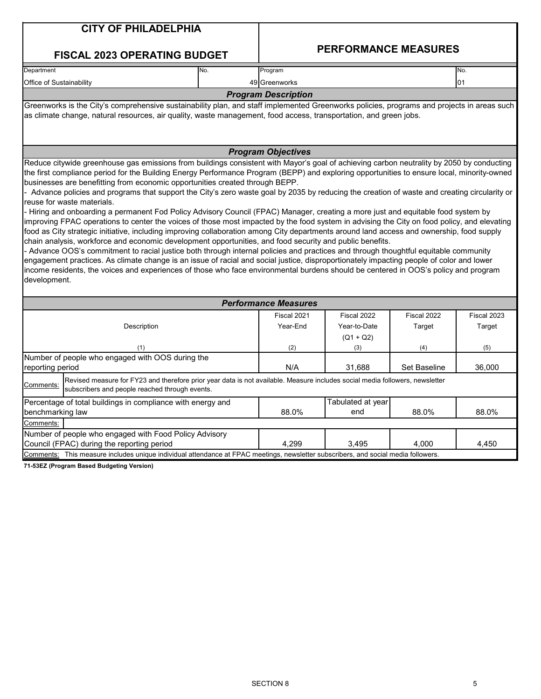| <b>CITY OF PHILADELPHIA</b>                                                                                                                                                                                                                                                                                                                                                                                                                                                                                                                                                                                                                                                                                                                                                                                                                                                                                                                                                                                                                                                                                                                                                                                                                                                                                                                                                             |                             |                             |                     |             |
|-----------------------------------------------------------------------------------------------------------------------------------------------------------------------------------------------------------------------------------------------------------------------------------------------------------------------------------------------------------------------------------------------------------------------------------------------------------------------------------------------------------------------------------------------------------------------------------------------------------------------------------------------------------------------------------------------------------------------------------------------------------------------------------------------------------------------------------------------------------------------------------------------------------------------------------------------------------------------------------------------------------------------------------------------------------------------------------------------------------------------------------------------------------------------------------------------------------------------------------------------------------------------------------------------------------------------------------------------------------------------------------------|-----------------------------|-----------------------------|---------------------|-------------|
| <b>FISCAL 2023 OPERATING BUDGET</b>                                                                                                                                                                                                                                                                                                                                                                                                                                                                                                                                                                                                                                                                                                                                                                                                                                                                                                                                                                                                                                                                                                                                                                                                                                                                                                                                                     |                             | <b>PERFORMANCE MEASURES</b> |                     |             |
| Department<br>No.                                                                                                                                                                                                                                                                                                                                                                                                                                                                                                                                                                                                                                                                                                                                                                                                                                                                                                                                                                                                                                                                                                                                                                                                                                                                                                                                                                       | Program                     |                             |                     | No.         |
| Office of Sustainability                                                                                                                                                                                                                                                                                                                                                                                                                                                                                                                                                                                                                                                                                                                                                                                                                                                                                                                                                                                                                                                                                                                                                                                                                                                                                                                                                                | 49 Greenworks               |                             |                     | 01          |
|                                                                                                                                                                                                                                                                                                                                                                                                                                                                                                                                                                                                                                                                                                                                                                                                                                                                                                                                                                                                                                                                                                                                                                                                                                                                                                                                                                                         | <b>Program Description</b>  |                             |                     |             |
| Greenworks is the City's comprehensive sustainability plan, and staff implemented Greenworks policies, programs and projects in areas such<br>as climate change, natural resources, air quality, waste management, food access, transportation, and green jobs.                                                                                                                                                                                                                                                                                                                                                                                                                                                                                                                                                                                                                                                                                                                                                                                                                                                                                                                                                                                                                                                                                                                         |                             |                             |                     |             |
|                                                                                                                                                                                                                                                                                                                                                                                                                                                                                                                                                                                                                                                                                                                                                                                                                                                                                                                                                                                                                                                                                                                                                                                                                                                                                                                                                                                         | <b>Program Objectives</b>   |                             |                     |             |
| Reduce citywide greenhouse gas emissions from buildings consistent with Mayor's goal of achieving carbon neutrality by 2050 by conducting<br>the first compliance period for the Building Energy Performance Program (BEPP) and exploring opportunities to ensure local, minority-owned<br>businesses are benefitting from economic opportunities created through BEPP.<br>- Advance policies and programs that support the City's zero waste goal by 2035 by reducing the creation of waste and creating circularity or<br>reuse for waste materials.<br>- Hiring and onboarding a permanent Fod Policy Advisory Council (FPAC) Manager, creating a more just and equitable food system by<br>improving FPAC operations to center the voices of those most impacted by the food system in advising the City on food policy, and elevating<br>food as City strategic initiative, including improving collaboration among City departments around land access and ownership, food supply<br>chain analysis, workforce and economic development opportunities, and food security and public benefits.<br>- Advance OOS's commitment to racial justice both through internal policies and practices and through thoughtful equitable community<br>engagement practices. As climate change is an issue of racial and social justice, disproportionately impacting people of color and lower |                             |                             |                     |             |
|                                                                                                                                                                                                                                                                                                                                                                                                                                                                                                                                                                                                                                                                                                                                                                                                                                                                                                                                                                                                                                                                                                                                                                                                                                                                                                                                                                                         |                             |                             |                     |             |
|                                                                                                                                                                                                                                                                                                                                                                                                                                                                                                                                                                                                                                                                                                                                                                                                                                                                                                                                                                                                                                                                                                                                                                                                                                                                                                                                                                                         | <b>Performance Measures</b> |                             |                     |             |
|                                                                                                                                                                                                                                                                                                                                                                                                                                                                                                                                                                                                                                                                                                                                                                                                                                                                                                                                                                                                                                                                                                                                                                                                                                                                                                                                                                                         | Fiscal 2021                 | Fiscal 2022                 | Fiscal 2022         | Fiscal 2023 |
| Description                                                                                                                                                                                                                                                                                                                                                                                                                                                                                                                                                                                                                                                                                                                                                                                                                                                                                                                                                                                                                                                                                                                                                                                                                                                                                                                                                                             | Year-End                    | Year-to-Date                | Target              | Target      |
|                                                                                                                                                                                                                                                                                                                                                                                                                                                                                                                                                                                                                                                                                                                                                                                                                                                                                                                                                                                                                                                                                                                                                                                                                                                                                                                                                                                         |                             | $(Q1 + Q2)$                 |                     |             |
| (1)                                                                                                                                                                                                                                                                                                                                                                                                                                                                                                                                                                                                                                                                                                                                                                                                                                                                                                                                                                                                                                                                                                                                                                                                                                                                                                                                                                                     | (2)                         | (3)                         | (4)                 | (5)         |
| income residents, the voices and experiences of those who face environmental burdens should be centered in OOS's policy and program<br>development.<br>Number of people who engaged with OOS during the<br>reporting period                                                                                                                                                                                                                                                                                                                                                                                                                                                                                                                                                                                                                                                                                                                                                                                                                                                                                                                                                                                                                                                                                                                                                             | N/A                         | 31.688                      | <b>Set Baseline</b> | 36,000      |
| Revised measure for FY23 and therefore prior year data is not available. Measure includes social media followers, newsletter<br>Comments:<br>subscribers and people reached through events.                                                                                                                                                                                                                                                                                                                                                                                                                                                                                                                                                                                                                                                                                                                                                                                                                                                                                                                                                                                                                                                                                                                                                                                             |                             |                             |                     |             |
|                                                                                                                                                                                                                                                                                                                                                                                                                                                                                                                                                                                                                                                                                                                                                                                                                                                                                                                                                                                                                                                                                                                                                                                                                                                                                                                                                                                         |                             | Tabulated at year           |                     |             |
| Percentage of total buildings in compliance with energy and<br>benchmarking law                                                                                                                                                                                                                                                                                                                                                                                                                                                                                                                                                                                                                                                                                                                                                                                                                                                                                                                                                                                                                                                                                                                                                                                                                                                                                                         | 88.0%                       | end                         | 88.0%               | 88.0%       |
| Comments:                                                                                                                                                                                                                                                                                                                                                                                                                                                                                                                                                                                                                                                                                                                                                                                                                                                                                                                                                                                                                                                                                                                                                                                                                                                                                                                                                                               |                             |                             |                     |             |
| Number of people who engaged with Food Policy Advisory<br>Council (FPAC) during the reporting period                                                                                                                                                                                                                                                                                                                                                                                                                                                                                                                                                                                                                                                                                                                                                                                                                                                                                                                                                                                                                                                                                                                                                                                                                                                                                    | 4,299                       | 3,495                       | 4,000               | 4,450       |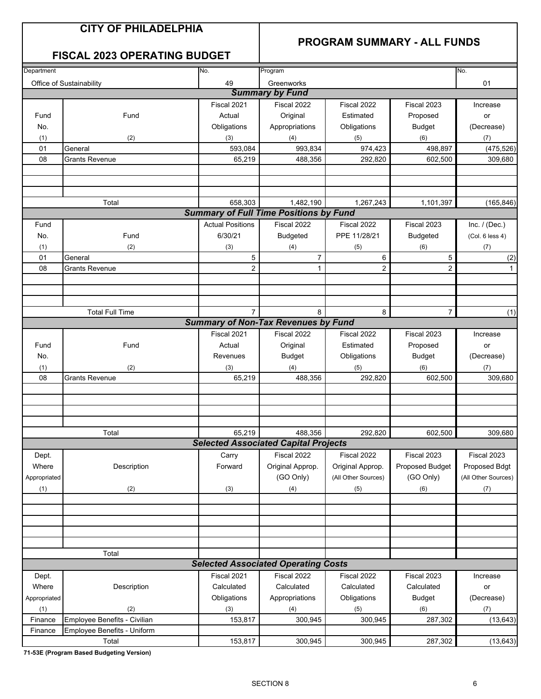### **PROGRAM SUMMARY - ALL FUNDS**

### **FISCAL 2023 OPERATING BUDGET**

| Department   |                              | No.                     | Program                                       |                     |                 | No.                 |
|--------------|------------------------------|-------------------------|-----------------------------------------------|---------------------|-----------------|---------------------|
|              | Office of Sustainability     | 49                      | Greenworks                                    |                     |                 | 01                  |
|              |                              |                         | <b>Summary by Fund</b>                        |                     |                 |                     |
|              |                              | Fiscal 2021             | Fiscal 2022                                   | Fiscal 2022         | Fiscal 2023     | Increase            |
| Fund         | Fund                         | Actual                  | Original                                      | Estimated           | Proposed        | or                  |
| No.          |                              | Obligations             | Appropriations                                | Obligations         | <b>Budget</b>   | (Decrease)          |
| (1)          | (2)                          | (3)                     | (4)                                           | (5)                 | (6)             | (7)                 |
| 01           | General                      | 593,084                 | 993,834                                       | 974,423             | 498,897         | (475, 526)          |
| 08           | <b>Grants Revenue</b>        | 65,219                  | 488,356                                       | 292,820             | 602,500         | 309,680             |
|              |                              |                         |                                               |                     |                 |                     |
|              |                              |                         |                                               |                     |                 |                     |
|              |                              |                         |                                               |                     |                 |                     |
|              | Total                        | 658,303                 | 1,482,190                                     | 1,267,243           | 1,101,397       | (165, 846)          |
|              |                              |                         | <b>Summary of Full Time Positions by Fund</b> |                     |                 |                     |
| Fund         |                              | <b>Actual Positions</b> | Fiscal 2022                                   | Fiscal 2022         | Fiscal 2023     | Inc. $/$ (Dec.)     |
| No.          | Fund                         | 6/30/21                 | <b>Budgeted</b>                               | PPE 11/28/21        | <b>Budgeted</b> | (Col. 6 less 4)     |
| (1)          | (2)                          | (3)                     | (4)                                           | (5)                 | (6)             | (7)                 |
| 01           | General                      | 5                       | 7                                             | 6                   | 5               | (2)                 |
| 08           | <b>Grants Revenue</b>        | $\overline{2}$          | $\mathbf{1}$                                  | $\overline{2}$      | $\overline{c}$  | $\mathbf{1}$        |
|              |                              |                         |                                               |                     |                 |                     |
|              |                              |                         |                                               |                     |                 |                     |
|              |                              |                         |                                               |                     |                 |                     |
|              | <b>Total Full Time</b>       | $\overline{7}$          | 8                                             | 8                   | $\overline{7}$  |                     |
|              |                              |                         | <b>Summary of Non-Tax Revenues by Fund</b>    |                     |                 | (1)                 |
|              |                              |                         |                                               |                     |                 |                     |
|              |                              | Fiscal 2021             | Fiscal 2022                                   | Fiscal 2022         | Fiscal 2023     | Increase            |
| Fund         | Fund                         | Actual                  | Original                                      | Estimated           | Proposed        | or                  |
| No.          |                              | Revenues                | <b>Budget</b>                                 | Obligations         | <b>Budget</b>   | (Decrease)          |
| (1)          | (2)                          | (3)                     | (4)                                           | (5)                 | (6)             | (7)                 |
| 08           | <b>Grants Revenue</b>        | 65,219                  | 488,356                                       | 292,820             | 602,500         | 309,680             |
|              |                              |                         |                                               |                     |                 |                     |
|              |                              |                         |                                               |                     |                 |                     |
|              |                              |                         |                                               |                     |                 |                     |
|              |                              |                         |                                               |                     |                 |                     |
|              | Total                        | 65,219                  | 488,356                                       | 292,820             | 602,500         | 309,680             |
|              |                              |                         | <b>Selected Associated Capital Projects</b>   |                     |                 |                     |
| Dept.        |                              | Carry                   | Fiscal 2022                                   | Fiscal 2022         | Fiscal 2023     | Fiscal 2023         |
| Where        | Description                  | Forward                 | Original Approp.                              | Original Approp.    | Proposed Budget | Proposed Bdgt       |
| Appropriated |                              |                         | (GO Only)                                     | (All Other Sources) | (GO Only)       | (All Other Sources) |
| (1)          | (2)                          | (3)                     | (4)                                           | (5)                 | (6)             | (7)                 |
|              |                              |                         |                                               |                     |                 |                     |
|              |                              |                         |                                               |                     |                 |                     |
|              |                              |                         |                                               |                     |                 |                     |
|              |                              |                         |                                               |                     |                 |                     |
|              |                              |                         |                                               |                     |                 |                     |
|              | Total                        |                         |                                               |                     |                 |                     |
|              |                              |                         | <b>Selected Associated Operating Costs</b>    |                     |                 |                     |
| Dept.        |                              | Fiscal 2021             | Fiscal 2022                                   | Fiscal 2022         | Fiscal 2023     | Increase            |
| Where        | Description                  | Calculated              | Calculated                                    | Calculated          | Calculated      | or                  |
| Appropriated |                              | Obligations             | Appropriations                                | Obligations         | <b>Budget</b>   | (Decrease)          |
| (1)          | (2)                          | (3)                     | (4)                                           | (5)                 | (6)             | (7)                 |
| Finance      | Employee Benefits - Civilian | 153,817                 | 300,945                                       | 300,945             | 287,302         | (13, 643)           |
| Finance      | Employee Benefits - Uniform  |                         |                                               |                     |                 |                     |
|              | Total                        | 153,817                 | 300,945                                       | 300,945             | 287,302         | (13, 643)           |
|              |                              |                         |                                               |                     |                 |                     |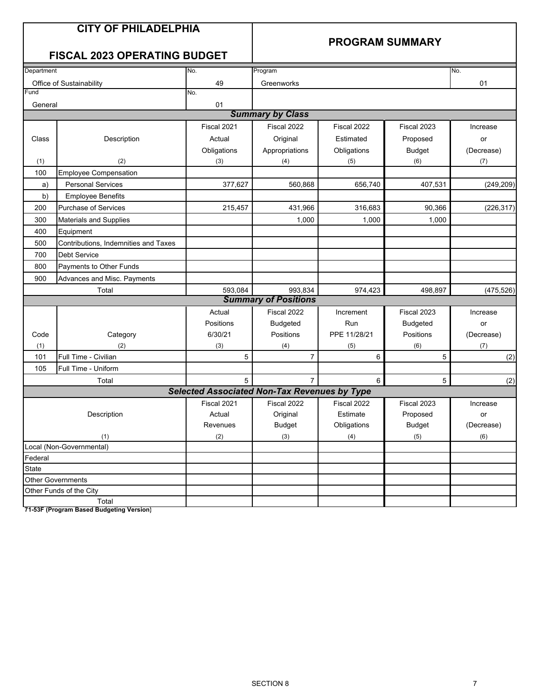### **PROGRAM SUMMARY**

### **FISCAL 2023 OPERATING BUDGET**

| Department |                                      | No.                                                 | Program                     |              |                 | No.        |
|------------|--------------------------------------|-----------------------------------------------------|-----------------------------|--------------|-----------------|------------|
|            | Office of Sustainability             | 49                                                  | Greenworks                  |              |                 | 01         |
| Fund       |                                      | No.                                                 |                             |              |                 |            |
| General    |                                      | 01                                                  |                             |              |                 |            |
|            |                                      |                                                     | <b>Summary by Class</b>     |              |                 |            |
|            |                                      | Fiscal 2021                                         | Fiscal 2022                 | Fiscal 2022  | Fiscal 2023     | Increase   |
| Class      | Description                          | Actual                                              | Original                    | Estimated    | Proposed        | or         |
|            |                                      | Obligations                                         | Appropriations              | Obligations  | <b>Budget</b>   | (Decrease) |
| (1)        | (2)                                  | (3)                                                 | (4)                         | (5)          | (6)             | (7)        |
| 100        | <b>Employee Compensation</b>         |                                                     |                             |              |                 |            |
| a)         | <b>Personal Services</b>             | 377,627                                             | 560,868                     | 656,740      | 407,531         | (249, 209) |
| b)         | <b>Employee Benefits</b>             |                                                     |                             |              |                 |            |
| 200        | <b>Purchase of Services</b>          | 215,457                                             | 431,966                     | 316,683      | 90,366          | (226, 317) |
| 300        | <b>Materials and Supplies</b>        |                                                     | 1,000                       | 1,000        | 1,000           |            |
| 400        | Equipment                            |                                                     |                             |              |                 |            |
| 500        | Contributions, Indemnities and Taxes |                                                     |                             |              |                 |            |
| 700        | <b>Debt Service</b>                  |                                                     |                             |              |                 |            |
| 800        | Payments to Other Funds              |                                                     |                             |              |                 |            |
| 900        | Advances and Misc. Payments          |                                                     |                             |              |                 |            |
|            | Total                                | 593,084                                             | 993,834                     | 974,423      | 498,897         | (475, 526) |
|            |                                      |                                                     | <b>Summary of Positions</b> |              |                 |            |
|            |                                      | Actual                                              | Fiscal 2022                 | Increment    | Fiscal 2023     | Increase   |
|            |                                      | Positions                                           | <b>Budgeted</b>             | Run          | <b>Budgeted</b> | or         |
| Code       | Category                             | 6/30/21                                             | Positions                   | PPE 11/28/21 | Positions       | (Decrease) |
| (1)        | (2)                                  | (3)                                                 | (4)                         | (5)          | (6)             | (7)        |
| 101        | Full Time - Civilian                 | 5                                                   | $\overline{7}$              | 6            | 5               | (2)        |
| 105        | Full Time - Uniform                  |                                                     |                             |              |                 |            |
|            | Total                                | 5                                                   | $\overline{7}$              | 6            | 5               | (2)        |
|            |                                      | <b>Selected Associated Non-Tax Revenues by Type</b> |                             |              |                 |            |
|            |                                      | Fiscal 2021                                         | Fiscal 2022                 | Fiscal 2022  | Fiscal 2023     | Increase   |
|            | Description                          | Actual                                              | Original                    | Estimate     | Proposed        | or         |
|            |                                      | Revenues                                            | <b>Budget</b>               | Obligations  | <b>Budget</b>   | (Decrease) |
|            | (1)                                  | (2)                                                 | (3)                         | (4)          | (5)             | (6)        |
|            | Local (Non-Governmental)             |                                                     |                             |              |                 |            |
| Federal    |                                      |                                                     |                             |              |                 |            |
| State      |                                      |                                                     |                             |              |                 |            |
|            | Other Governments                    |                                                     |                             |              |                 |            |
|            | Other Funds of the City              |                                                     |                             |              |                 |            |
|            | Total                                |                                                     |                             |              |                 |            |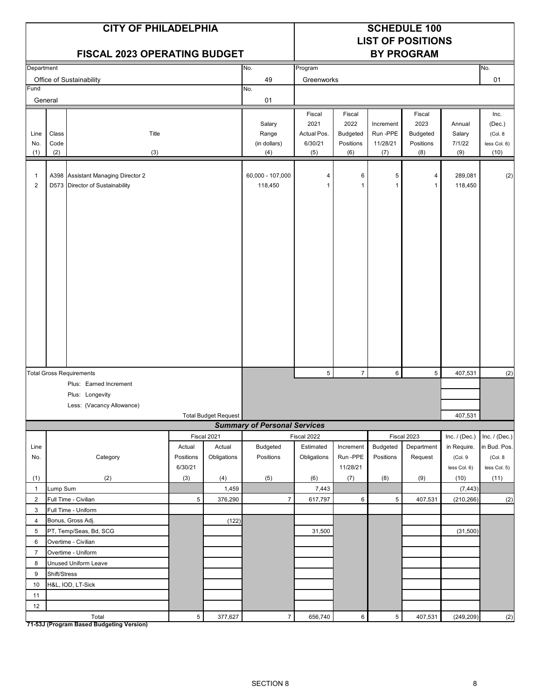| <b>CITY OF PHILADELPHIA</b><br><b>FISCAL 2023 OPERATING BUDGET</b> |                      |                                                                       |                |                             |                                        | <b>SCHEDULE 100</b><br><b>LIST OF POSITIONS</b><br><b>BY PROGRAM</b> |                                                       |                                         |                                                       |                                   |                                                   |
|--------------------------------------------------------------------|----------------------|-----------------------------------------------------------------------|----------------|-----------------------------|----------------------------------------|----------------------------------------------------------------------|-------------------------------------------------------|-----------------------------------------|-------------------------------------------------------|-----------------------------------|---------------------------------------------------|
| Department                                                         |                      |                                                                       |                |                             | No.                                    | Program                                                              |                                                       |                                         |                                                       |                                   | No.                                               |
|                                                                    |                      | Office of Sustainability                                              |                |                             | 49                                     | Greenworks                                                           |                                                       |                                         |                                                       |                                   | 01                                                |
| Fund<br>General                                                    |                      |                                                                       |                |                             | No.<br>01                              |                                                                      |                                                       |                                         |                                                       |                                   |                                                   |
|                                                                    |                      |                                                                       |                |                             |                                        |                                                                      |                                                       |                                         |                                                       |                                   |                                                   |
| Line<br>No.<br>(1)                                                 | Class<br>Code<br>(2) | Title<br>(3)                                                          |                |                             | Salary<br>Range<br>(in dollars)<br>(4) | Fiscal<br>2021<br>Actual Pos.<br>6/30/21<br>(5)                      | Fiscal<br>2022<br><b>Budgeted</b><br>Positions<br>(6) | Increment<br>Run-PPE<br>11/28/21<br>(7) | Fiscal<br>2023<br><b>Budgeted</b><br>Positions<br>(8) | Annual<br>Salary<br>7/1/22<br>(9) | Inc.<br>(Dec.)<br>(Col. 8<br>less Col. 6)<br>(10) |
| $\mathbf{1}$<br>2                                                  |                      | A398 Assistant Managing Director 2<br>D573 Director of Sustainability |                |                             | 60,000 - 107,000<br>118,450            | 4<br>1                                                               | 6                                                     | 5<br>1                                  | 4<br>$\mathbf{1}$                                     | 289,081<br>118,450                | (2)                                               |
|                                                                    |                      | <b>Total Gross Requirements</b>                                       |                |                             |                                        | 5                                                                    | $\overline{7}$                                        | 6                                       | 5                                                     | 407,531                           |                                                   |
|                                                                    |                      | Plus: Earned Increment                                                |                |                             |                                        |                                                                      |                                                       |                                         |                                                       |                                   | (2)                                               |
|                                                                    |                      | Plus: Longevity                                                       |                |                             |                                        |                                                                      |                                                       |                                         |                                                       |                                   |                                                   |
|                                                                    |                      | Less: (Vacancy Allowance)                                             |                |                             |                                        |                                                                      |                                                       |                                         |                                                       |                                   |                                                   |
|                                                                    |                      |                                                                       |                | <b>Total Budget Request</b> |                                        |                                                                      |                                                       |                                         |                                                       | 407,531                           |                                                   |
|                                                                    |                      |                                                                       |                |                             | <b>Summary of Personal Services</b>    |                                                                      |                                                       |                                         |                                                       |                                   |                                                   |
|                                                                    |                      |                                                                       |                | Fiscal 2021                 |                                        | Fiscal 2022                                                          |                                                       |                                         | Fiscal 2023                                           | Inc. $/$ (Dec.)                   | Inc. $/$ (Dec.)                                   |
| Line                                                               |                      |                                                                       | Actual         | Actual                      | <b>Budgeted</b>                        | Estimated                                                            | Increment                                             | Budgeted                                | Department                                            | in Require.                       | in Bud. Pos.                                      |
| No.                                                                |                      | Category                                                              | Positions      | Obligations                 | Positions                              | Obligations                                                          | Run -PPE                                              | Positions                               | Request                                               | (Col. 9                           | (Col. 8                                           |
| (1)                                                                |                      | (2)                                                                   | 6/30/21<br>(3) | (4)                         | (5)                                    | (6)                                                                  | 11/28/21<br>(7)                                       | (8)                                     | (9)                                                   | less Col. 6)<br>(10)              | less Col. 5)<br>(11)                              |
| $\mathbf{1}$                                                       | Lump Sum             |                                                                       |                | 1,459                       |                                        | 7,443                                                                |                                                       |                                         |                                                       | (7, 443)                          |                                                   |
| $\overline{2}$                                                     |                      | Full Time - Civilian                                                  | 5              | 376,290                     | $\overline{7}$                         | 617,797                                                              | 6                                                     | $\sqrt{5}$                              | 407,531                                               | (210, 266)                        | (2)                                               |
| 3                                                                  |                      | Full Time - Uniform                                                   |                |                             |                                        |                                                                      |                                                       |                                         |                                                       |                                   |                                                   |
| 4                                                                  |                      | Bonus, Gross Adj.                                                     |                | (122)                       |                                        |                                                                      |                                                       |                                         |                                                       |                                   |                                                   |
| 5                                                                  |                      | PT, Temp/Seas, Bd, SCG                                                |                |                             |                                        | 31,500                                                               |                                                       |                                         |                                                       | (31,500)                          |                                                   |
| 6                                                                  |                      | Overtime - Civilian                                                   |                |                             |                                        |                                                                      |                                                       |                                         |                                                       |                                   |                                                   |
| $\overline{7}$                                                     |                      | Overtime - Uniform                                                    |                |                             |                                        |                                                                      |                                                       |                                         |                                                       |                                   |                                                   |
| 8                                                                  |                      | Unused Uniform Leave                                                  |                |                             |                                        |                                                                      |                                                       |                                         |                                                       |                                   |                                                   |
| 9                                                                  | Shift/Stress         |                                                                       |                |                             |                                        |                                                                      |                                                       |                                         |                                                       |                                   |                                                   |
| 10                                                                 |                      | H&L, IOD, LT-Sick                                                     |                |                             |                                        |                                                                      |                                                       |                                         |                                                       |                                   |                                                   |
| 11                                                                 |                      |                                                                       |                |                             |                                        |                                                                      |                                                       |                                         |                                                       |                                   |                                                   |
| 12                                                                 |                      | Total                                                                 | $\mathbf 5$    | 377,627                     | $\overline{7}$                         | 656,740                                                              | $\,6\,$                                               | $\overline{5}$                          | 407,531                                               | (249, 209)                        | (2)                                               |
|                                                                    |                      |                                                                       |                |                             |                                        |                                                                      |                                                       |                                         |                                                       |                                   |                                                   |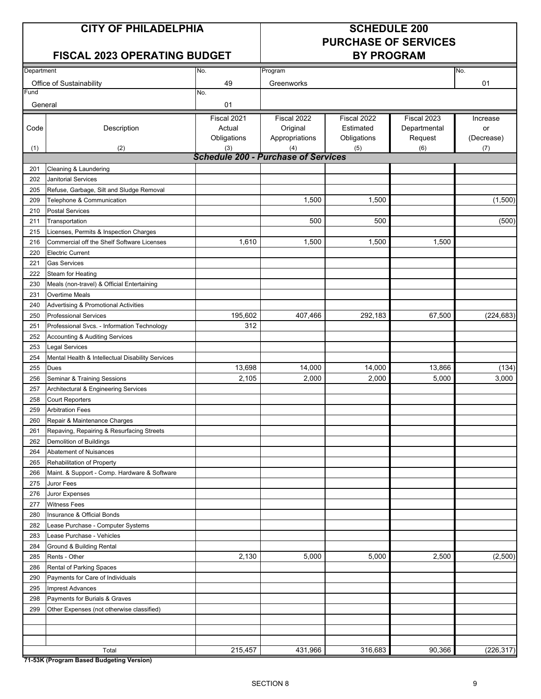### **CITY OF PHILADELPHIA SCHEDULE 200**

## **PURCHASE OF SERVICES**

### **FISCAL 2023 OPERATING BUDGET BY PROGRAM**

| Department |                                                   | No.                                        | Program        |             |              | No.        |
|------------|---------------------------------------------------|--------------------------------------------|----------------|-------------|--------------|------------|
|            | Office of Sustainability                          | 49                                         | Greenworks     |             |              | 01         |
| Fund       |                                                   | No.                                        |                |             |              |            |
| General    |                                                   | 01                                         |                |             |              |            |
|            |                                                   | Fiscal 2021                                | Fiscal 2022    | Fiscal 2022 | Fiscal 2023  | Increase   |
| Code       | Description                                       | Actual                                     | Original       | Estimated   | Departmental | or         |
|            |                                                   | Obligations                                | Appropriations | Obligations | Request      | (Decrease) |
| (1)        | (2)                                               | (3)                                        | (4)            | (5)         | (6)          | (7)        |
|            |                                                   | <b>Schedule 200 - Purchase of Services</b> |                |             |              |            |
| 201        | Cleaning & Laundering                             |                                            |                |             |              |            |
| 202        | Janitorial Services                               |                                            |                |             |              |            |
| 205        | Refuse, Garbage, Silt and Sludge Removal          |                                            |                |             |              |            |
| 209        | Telephone & Communication                         |                                            | 1,500          | 1,500       |              | (1,500)    |
| 210        | <b>Postal Services</b>                            |                                            |                |             |              |            |
| 211        | Transportation                                    |                                            | 500            | 500         |              | (500)      |
| 215        | Licenses, Permits & Inspection Charges            |                                            |                |             |              |            |
| 216        | Commercial off the Shelf Software Licenses        | 1,610                                      | 1,500          | 1,500       | 1,500        |            |
| 220        | <b>Electric Current</b>                           |                                            |                |             |              |            |
| 221        | <b>Gas Services</b>                               |                                            |                |             |              |            |
| 222        | <b>Steam for Heating</b>                          |                                            |                |             |              |            |
| 230        | Meals (non-travel) & Official Entertaining        |                                            |                |             |              |            |
| 231        | <b>Overtime Meals</b>                             |                                            |                |             |              |            |
| 240        | Advertising & Promotional Activities              |                                            |                |             |              |            |
| 250        | <b>Professional Services</b>                      | 195,602                                    | 407,466        | 292,183     | 67,500       | (224, 683) |
| 251        | Professional Svcs. - Information Technology       | 312                                        |                |             |              |            |
| 252        | <b>Accounting &amp; Auditing Services</b>         |                                            |                |             |              |            |
| 253        | <b>Legal Services</b>                             |                                            |                |             |              |            |
| 254        | Mental Health & Intellectual Disability Services  |                                            |                |             |              |            |
| 255        | <b>Dues</b>                                       | 13,698                                     | 14,000         | 14,000      | 13,866       | (134)      |
| 256        | Seminar & Training Sessions                       | 2,105                                      | 2,000          | 2,000       | 5,000        | 3,000      |
| 257        | Architectural & Engineering Services              |                                            |                |             |              |            |
| 258        | <b>Court Reporters</b>                            |                                            |                |             |              |            |
| 259        | <b>Arbitration Fees</b>                           |                                            |                |             |              |            |
| 260        | Repair & Maintenance Charges                      |                                            |                |             |              |            |
| 261        | Repaving, Repairing & Resurfacing Streets         |                                            |                |             |              |            |
| 262        | Demolition of Buildings                           |                                            |                |             |              |            |
| 264        | Abatement of Nuisances                            |                                            |                |             |              |            |
| 265        | Rehabilitation of Property                        |                                            |                |             |              |            |
| 266        | Maint. & Support - Comp. Hardware & Software      |                                            |                |             |              |            |
| 275        | Juror Fees                                        |                                            |                |             |              |            |
| 276        | Juror Expenses                                    |                                            |                |             |              |            |
| 277        | <b>Witness Fees</b>                               |                                            |                |             |              |            |
| 280        | Insurance & Official Bonds                        |                                            |                |             |              |            |
| 282        | Lease Purchase - Computer Systems                 |                                            |                |             |              |            |
| 283        | Lease Purchase - Vehicles                         |                                            |                |             |              |            |
| 284        | Ground & Building Rental                          |                                            |                |             |              |            |
| 285        | Rents - Other                                     | 2,130                                      | 5,000          | 5,000       | 2,500        | (2,500)    |
| 286        | Rental of Parking Spaces                          |                                            |                |             |              |            |
| 290        | Payments for Care of Individuals                  |                                            |                |             |              |            |
| 295        | <b>Imprest Advances</b>                           |                                            |                |             |              |            |
| 298        | Payments for Burials & Graves                     |                                            |                |             |              |            |
| 299        | Other Expenses (not otherwise classified)         |                                            |                |             |              |            |
|            |                                                   |                                            |                |             |              |            |
|            |                                                   |                                            |                |             |              |            |
|            |                                                   |                                            |                |             |              |            |
|            | Total<br>74 E2K (Drogram Paged Pudgeting Version) | 215,457                                    | 431,966        | 316,683     | 90,366       | (226, 317) |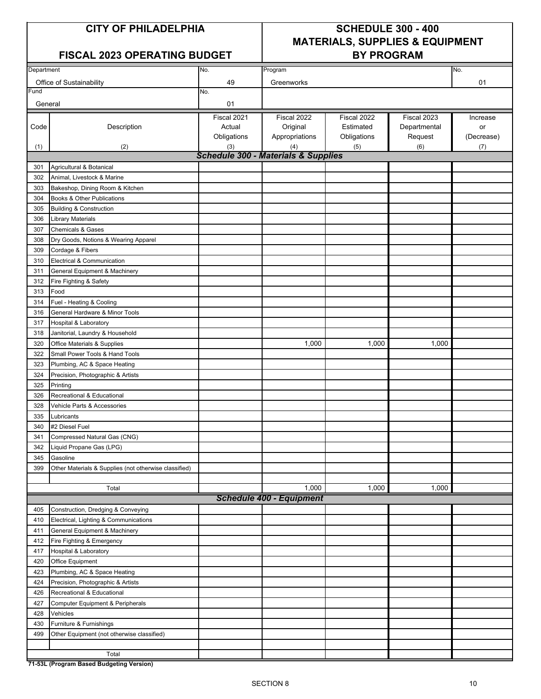### FISCAL 2023 OPERATING BUDGET | BY PROGRAM

### **CITY OF PHILADELPHIA SCHEDULE 300 - 400 MATERIALS, SUPPLIES & EQUIPMENT**

| Department |                                                       |             |                                                |             |              |            |
|------------|-------------------------------------------------------|-------------|------------------------------------------------|-------------|--------------|------------|
|            |                                                       | No.         | Program                                        |             |              | No.        |
|            | Office of Sustainability                              | 49          | Greenworks                                     |             |              | 01         |
| Fund       |                                                       | No.         |                                                |             |              |            |
| General    |                                                       | 01          |                                                |             |              |            |
|            |                                                       | Fiscal 2021 | Fiscal 2022                                    | Fiscal 2022 | Fiscal 2023  | Increase   |
| Code       | Description                                           | Actual      | Original                                       | Estimated   | Departmental | or         |
|            |                                                       | Obligations | Appropriations                                 | Obligations | Request      | (Decrease) |
| (1)        | (2)                                                   | (3)         | (4)                                            | (5)         | (6)          | (7)        |
|            |                                                       |             | <b>Schedule 300 - Materials &amp; Supplies</b> |             |              |            |
| 301        | Agricultural & Botanical                              |             |                                                |             |              |            |
| 302        | Animal, Livestock & Marine                            |             |                                                |             |              |            |
| 303        | Bakeshop, Dining Room & Kitchen                       |             |                                                |             |              |            |
| 304        | Books & Other Publications                            |             |                                                |             |              |            |
| 305        | <b>Building &amp; Construction</b>                    |             |                                                |             |              |            |
| 306        | Library Materials                                     |             |                                                |             |              |            |
| 307        | <b>Chemicals &amp; Gases</b>                          |             |                                                |             |              |            |
| 308        | Dry Goods, Notions & Wearing Apparel                  |             |                                                |             |              |            |
| 309        | Cordage & Fibers                                      |             |                                                |             |              |            |
| 310        | Electrical & Communication                            |             |                                                |             |              |            |
| 311        | General Equipment & Machinery                         |             |                                                |             |              |            |
| 312        | Fire Fighting & Safety                                |             |                                                |             |              |            |
| 313        | Food                                                  |             |                                                |             |              |            |
| 314        | Fuel - Heating & Cooling                              |             |                                                |             |              |            |
| 316        | General Hardware & Minor Tools                        |             |                                                |             |              |            |
| 317        | Hospital & Laboratory                                 |             |                                                |             |              |            |
| 318        | Janitorial, Laundry & Household                       |             |                                                |             |              |            |
| 320        | Office Materials & Supplies                           |             | 1,000                                          | 1,000       | 1,000        |            |
| 322        | Small Power Tools & Hand Tools                        |             |                                                |             |              |            |
| 323        | Plumbing, AC & Space Heating                          |             |                                                |             |              |            |
| 324        | Precision, Photographic & Artists                     |             |                                                |             |              |            |
| 325        | Printing                                              |             |                                                |             |              |            |
| 326        | Recreational & Educational                            |             |                                                |             |              |            |
| 328        | Vehicle Parts & Accessories                           |             |                                                |             |              |            |
| 335        | Lubricants                                            |             |                                                |             |              |            |
| 340        | #2 Diesel Fuel                                        |             |                                                |             |              |            |
| 341        | Compressed Natural Gas (CNG)                          |             |                                                |             |              |            |
|            |                                                       |             |                                                |             |              |            |
| 342<br>345 | Liquid Propane Gas (LPG)<br>Gasoline                  |             |                                                |             |              |            |
| 399        |                                                       |             |                                                |             |              |            |
|            | Other Materials & Supplies (not otherwise classified) |             |                                                |             |              |            |
|            | Total                                                 |             | 1,000                                          | 1,000       | 1,000        |            |
|            |                                                       |             | <b>Schedule 400 - Equipment</b>                |             |              |            |
|            |                                                       |             |                                                |             |              |            |
| 405        | Construction, Dredging & Conveying                    |             |                                                |             |              |            |
| 410        | Electrical, Lighting & Communications                 |             |                                                |             |              |            |
| 411        | General Equipment & Machinery                         |             |                                                |             |              |            |
| 412        | Fire Fighting & Emergency                             |             |                                                |             |              |            |
| 417        | Hospital & Laboratory                                 |             |                                                |             |              |            |
| 420        | Office Equipment                                      |             |                                                |             |              |            |
| 423        | Plumbing, AC & Space Heating                          |             |                                                |             |              |            |
| 424        | Precision, Photographic & Artists                     |             |                                                |             |              |            |
| 426        | Recreational & Educational                            |             |                                                |             |              |            |
| 427        | <b>Computer Equipment &amp; Peripherals</b>           |             |                                                |             |              |            |
| 428        | Vehicles                                              |             |                                                |             |              |            |
| 430        | Furniture & Furnishings                               |             |                                                |             |              |            |
| 499        | Other Equipment (not otherwise classified)            |             |                                                |             |              |            |
|            |                                                       |             |                                                |             |              |            |
|            | Total                                                 |             |                                                |             |              |            |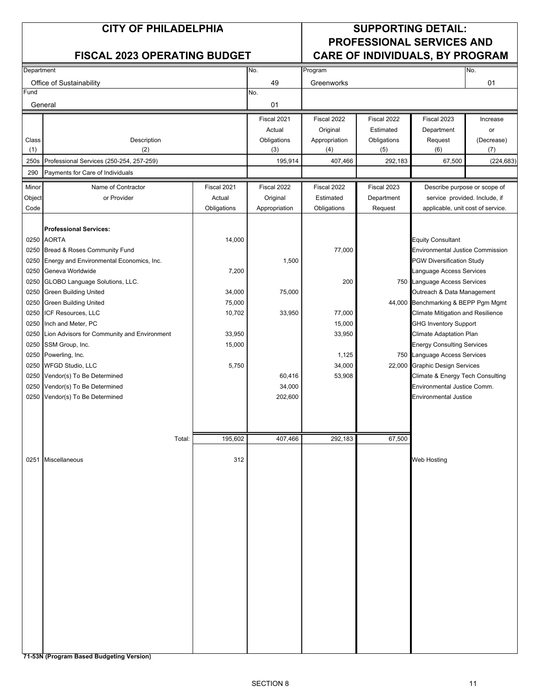### **CITY OF PHILADELPHIA SUPPORTING DETAIL: PROFESSIONAL SERVICES AND FISCAL 2023 OPERATING BUDGET CARE OF INDIVIDUALS, BY PROGRAM**

| Department |                                             |             | No.           | Program       |             |                                         | No.                           |
|------------|---------------------------------------------|-------------|---------------|---------------|-------------|-----------------------------------------|-------------------------------|
|            | Office of Sustainability                    |             | 49            | Greenworks    |             |                                         | 01                            |
| Fund       |                                             |             | No.           |               |             |                                         |                               |
| General    |                                             |             | 01            |               |             |                                         |                               |
|            |                                             |             | Fiscal 2021   | Fiscal 2022   | Fiscal 2022 | Fiscal 2023                             | Increase                      |
|            |                                             |             | Actual        | Original      | Estimated   | Department                              | or                            |
| Class      | Description                                 |             | Obligations   | Appropriation | Obligations | Request                                 | (Decrease)                    |
| (1)        | (2)                                         |             | (3)           | (4)           | (5)         | (6)                                     | (7)                           |
| 250s       | Professional Services (250-254, 257-259)    |             | 195,914       | 407,466       | 292,183     | 67,500                                  | (224, 683)                    |
| 290        | Payments for Care of Individuals            |             |               |               |             |                                         |                               |
| Minor      | Name of Contractor                          | Fiscal 2021 | Fiscal 2022   | Fiscal 2022   | Fiscal 2023 |                                         | Describe purpose or scope of  |
| Object     | or Provider                                 | Actual      | Original      | Estimated     | Department  |                                         | service provided. Include, if |
| Code       |                                             | Obligations | Appropriation | Obligations   | Request     | applicable, unit cost of service.       |                               |
|            |                                             |             |               |               |             |                                         |                               |
|            | <b>Professional Services:</b>               |             |               |               |             |                                         |                               |
|            | 0250 AORTA                                  | 14,000      |               |               |             | <b>Equity Consultant</b>                |                               |
| 0250       | Bread & Roses Community Fund                |             |               | 77,000        |             | <b>Environmental Justice Commission</b> |                               |
| 0250       | Energy and Environmental Economics, Inc.    |             | 1,500         |               |             | <b>PGW Diversification Study</b>        |                               |
| 0250       | Geneva Worldwide                            | 7,200       |               |               |             | Language Access Services                |                               |
| 0250       | GLOBO Language Solutions, LLC.              |             |               | 200           |             | 750 Language Access Services            |                               |
| 0250       | <b>Green Building United</b>                | 34,000      | 75,000        |               |             | Outreach & Data Management              |                               |
| 0250       | <b>Green Building United</b>                | 75,000      |               |               |             | 44,000 Benchmarking & BEPP Pgm Mgmt     |                               |
|            |                                             |             |               |               |             |                                         |                               |
| 0250       | ICF Resources, LLC                          | 10,702      | 33,950        | 77,000        |             | Climate Mitigation and Resilience       |                               |
| 0250       | Inch and Meter, PC                          |             |               | 15,000        |             | <b>GHG Inventory Support</b>            |                               |
| 0250       | Lion Advisors for Community and Environment | 33,950      |               | 33,950        |             | Climate Adaptation Plan                 |                               |
| 0250       | SSM Group, Inc.                             | 15,000      |               |               |             | <b>Energy Consulting Services</b>       |                               |
|            | 0250 Powerling, Inc.                        |             |               | 1,125         |             | 750 Language Access Services            |                               |
|            | 0250 WFGD Studio, LLC                       | 5,750       |               | 34,000        |             | 22,000 Graphic Design Services          |                               |
|            | 0250 Vendor(s) To Be Determined             |             | 60,416        | 53,908        |             | Climate & Energy Tech Consulting        |                               |
| 0250       | Vendor(s) To Be Determined                  |             | 34,000        |               |             | Environmental Justice Comm.             |                               |
|            | 0250 Vendor(s) To Be Determined             |             | 202,600       |               |             | Environmental Justice                   |                               |
|            |                                             |             |               |               |             |                                         |                               |
|            |                                             |             |               |               |             |                                         |                               |
|            | Total:                                      | 195,602     | 407,466       | 292,183       | 67,500      |                                         |                               |
|            |                                             |             |               |               |             |                                         |                               |
|            | 0251 Miscellaneous                          | 312         |               |               |             | Web Hosting                             |                               |
|            |                                             |             |               |               |             |                                         |                               |
|            |                                             |             |               |               |             |                                         |                               |
|            |                                             |             |               |               |             |                                         |                               |
|            |                                             |             |               |               |             |                                         |                               |
|            |                                             |             |               |               |             |                                         |                               |
|            |                                             |             |               |               |             |                                         |                               |
|            |                                             |             |               |               |             |                                         |                               |
|            |                                             |             |               |               |             |                                         |                               |
|            |                                             |             |               |               |             |                                         |                               |
|            |                                             |             |               |               |             |                                         |                               |
|            |                                             |             |               |               |             |                                         |                               |
|            |                                             |             |               |               |             |                                         |                               |
|            |                                             |             |               |               |             |                                         |                               |
|            |                                             |             |               |               |             |                                         |                               |
|            |                                             |             |               |               |             |                                         |                               |
|            |                                             |             |               |               |             |                                         |                               |
|            |                                             |             |               |               |             |                                         |                               |
|            |                                             |             |               |               |             |                                         |                               |
|            |                                             |             |               |               |             |                                         |                               |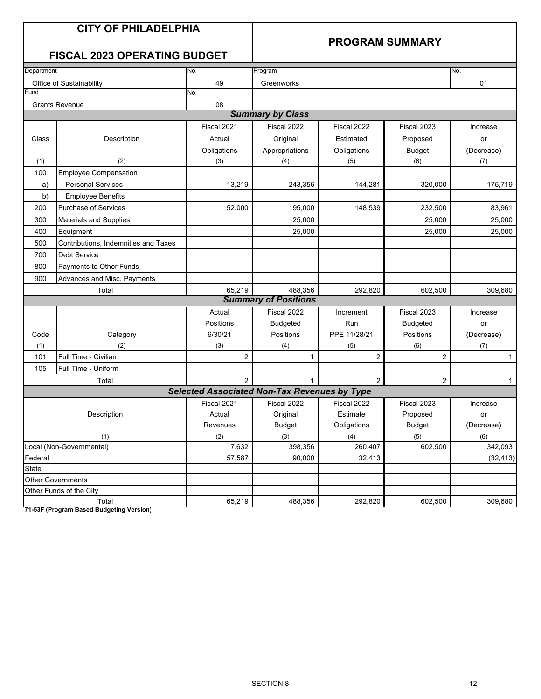### **PROGRAM SUMMARY**

### **FISCAL 2023 OPERATING BUDGET**

| Department   |                                      | No.                                                 | Program                     |                |                 | No.          |
|--------------|--------------------------------------|-----------------------------------------------------|-----------------------------|----------------|-----------------|--------------|
|              | Office of Sustainability             | 49                                                  | Greenworks                  |                |                 | 01           |
| Fund         |                                      | No.                                                 |                             |                |                 |              |
|              | <b>Grants Revenue</b>                | 08                                                  |                             |                |                 |              |
|              |                                      |                                                     | <b>Summary by Class</b>     |                |                 |              |
|              |                                      | Fiscal 2021                                         | Fiscal 2022                 | Fiscal 2022    | Fiscal 2023     | Increase     |
| Class        | Description                          | Actual                                              | Original                    | Estimated      | Proposed        | or           |
|              |                                      | Obligations                                         | Appropriations              | Obligations    | <b>Budget</b>   | (Decrease)   |
| (1)          | (2)                                  | (3)                                                 | (4)                         | (5)            | (6)             | (7)          |
| 100          | <b>Employee Compensation</b>         |                                                     |                             |                |                 |              |
| a)           | <b>Personal Services</b>             | 13,219                                              | 243,356                     | 144,281        | 320,000         | 175,719      |
| b)           | <b>Employee Benefits</b>             |                                                     |                             |                |                 |              |
| 200          | <b>Purchase of Services</b>          | 52.000                                              | 195,000                     | 148,539        | 232,500         | 83,961       |
| 300          | <b>Materials and Supplies</b>        |                                                     | 25,000                      |                | 25,000          | 25,000       |
| 400          | Equipment                            |                                                     | 25,000                      |                | 25,000          | 25,000       |
| 500          | Contributions, Indemnities and Taxes |                                                     |                             |                |                 |              |
| 700          | <b>Debt Service</b>                  |                                                     |                             |                |                 |              |
| 800          | Payments to Other Funds              |                                                     |                             |                |                 |              |
| 900          | Advances and Misc. Payments          |                                                     |                             |                |                 |              |
|              | Total                                | 65,219                                              | 488,356                     | 292,820        | 602,500         | 309,680      |
|              |                                      |                                                     | <b>Summary of Positions</b> |                |                 |              |
|              |                                      | Actual                                              | Fiscal 2022                 | Increment      | Fiscal 2023     | Increase     |
|              |                                      | Positions                                           | <b>Budgeted</b>             | Run            | <b>Budgeted</b> | or           |
| Code         | Category                             | 6/30/21                                             | Positions                   | PPE 11/28/21   | Positions       | (Decrease)   |
| (1)          | (2)                                  | (3)                                                 | (4)                         | (5)            | (6)             | (7)          |
| 101          | Full Time - Civilian                 | $\overline{c}$                                      | $\mathbf{1}$                | $\overline{2}$ | $\overline{c}$  | $\mathbf{1}$ |
| 105          | Full Time - Uniform                  |                                                     |                             |                |                 |              |
|              | Total                                | $\mathcal{P}$                                       | $\mathbf{1}$                | $\overline{2}$ | $\overline{c}$  | $\mathbf{1}$ |
|              |                                      | <b>Selected Associated Non-Tax Revenues by Type</b> |                             |                |                 |              |
|              |                                      | Fiscal 2021                                         | Fiscal 2022                 | Fiscal 2022    | Fiscal 2023     | Increase     |
|              | Description                          | Actual                                              | Original                    | Estimate       | Proposed        | or           |
|              |                                      | Revenues                                            | <b>Budget</b>               | Obligations    | <b>Budget</b>   | (Decrease)   |
|              | (1)                                  | (2)                                                 | (3)                         | (4)            | (5)             | (6)          |
|              | Local (Non-Governmental)             | 7,632                                               | 398,356                     | 260,407        | 602,500         | 342,093      |
| Federal      |                                      | 57,587                                              | 90,000                      | 32,413         |                 | (32, 413)    |
| <b>State</b> |                                      |                                                     |                             |                |                 |              |
|              | <b>Other Governments</b>             |                                                     |                             |                |                 |              |
|              | Other Funds of the City              |                                                     |                             |                |                 |              |
|              | Total                                | 65,219                                              | 488,356                     | 292,820        | 602,500         | 309,680      |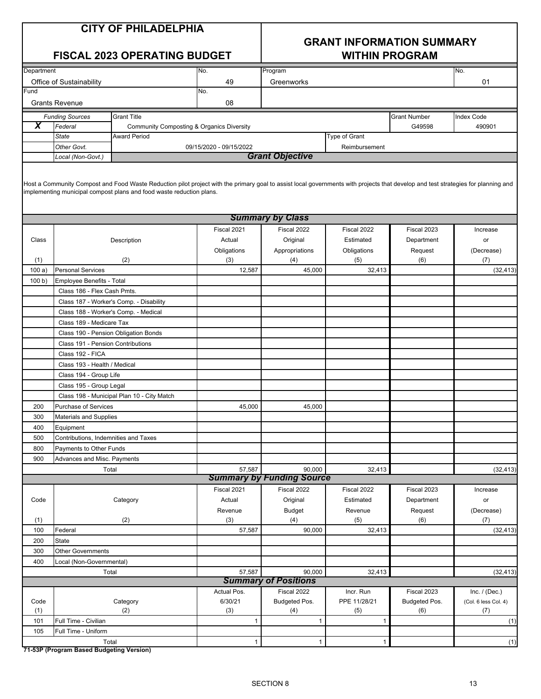## **GRANT INFORMATION SUMMARY**

|            |                                          | <b>FISCAL 2023 OPERATING BUDGET</b>                                                                                                                                                                                                                       |                         |                                  | <b>WITHIN PROGRAM</b> |                     |                      |
|------------|------------------------------------------|-----------------------------------------------------------------------------------------------------------------------------------------------------------------------------------------------------------------------------------------------------------|-------------------------|----------------------------------|-----------------------|---------------------|----------------------|
| Department |                                          |                                                                                                                                                                                                                                                           | No.                     | Program                          |                       |                     | No.                  |
|            | Office of Sustainability                 |                                                                                                                                                                                                                                                           | 49                      | Greenworks                       |                       |                     | 01                   |
| Fund       |                                          |                                                                                                                                                                                                                                                           | No.                     |                                  |                       |                     |                      |
|            | <b>Grants Revenue</b>                    |                                                                                                                                                                                                                                                           | 08                      |                                  |                       |                     |                      |
|            | <b>Funding Sources</b>                   | <b>Grant Title</b>                                                                                                                                                                                                                                        |                         |                                  |                       | <b>Grant Number</b> | <b>Index Code</b>    |
| X          | Federal                                  | <b>Community Composting &amp; Organics Diversity</b>                                                                                                                                                                                                      |                         |                                  |                       | G49598              | 490901               |
|            | <b>State</b>                             | <b>Award Period</b>                                                                                                                                                                                                                                       |                         |                                  | Type of Grant         |                     |                      |
|            | Other Govt.                              |                                                                                                                                                                                                                                                           | 09/15/2020 - 09/15/2022 |                                  | Reimbursement         |                     |                      |
|            | Local (Non-Govt.)                        |                                                                                                                                                                                                                                                           |                         | <b>Grant Objective</b>           |                       |                     |                      |
|            |                                          | Host a Community Compost and Food Waste Reduction pilot project with the primary goal to assist local governments with projects that develop and test strategies for planning and<br>implementing municipal compost plans and food waste reduction plans. |                         |                                  |                       |                     |                      |
|            |                                          |                                                                                                                                                                                                                                                           |                         | <b>Summary by Class</b>          |                       |                     |                      |
|            |                                          |                                                                                                                                                                                                                                                           | Fiscal 2021             | Fiscal 2022                      | Fiscal 2022           | Fiscal 2023         | Increase             |
| Class      |                                          | Description                                                                                                                                                                                                                                               | Actual                  | Original                         | Estimated             | Department          | or                   |
|            |                                          |                                                                                                                                                                                                                                                           | Obligations             | Appropriations                   | Obligations           | Request             | (Decrease)           |
| (1)        |                                          | (2)                                                                                                                                                                                                                                                       | (3)                     | (4)                              | (5)                   | (6)                 | (7)                  |
| 100a)      | <b>Personal Services</b>                 |                                                                                                                                                                                                                                                           | 12,587                  | 45,000                           | 32,413                |                     | (32, 413)            |
| 100 b)     | Employee Benefits - Total                |                                                                                                                                                                                                                                                           |                         |                                  |                       |                     |                      |
|            | Class 186 - Flex Cash Pmts.              |                                                                                                                                                                                                                                                           |                         |                                  |                       |                     |                      |
|            |                                          | Class 187 - Worker's Comp. - Disability                                                                                                                                                                                                                   |                         |                                  |                       |                     |                      |
|            | Class 188 - Worker's Comp. - Medical     |                                                                                                                                                                                                                                                           |                         |                                  |                       |                     |                      |
|            | Class 189 - Medicare Tax                 |                                                                                                                                                                                                                                                           |                         |                                  |                       |                     |                      |
|            | Class 190 - Pension Obligation Bonds     |                                                                                                                                                                                                                                                           |                         |                                  |                       |                     |                      |
|            | Class 191 - Pension Contributions        |                                                                                                                                                                                                                                                           |                         |                                  |                       |                     |                      |
|            | Class 192 - FICA                         |                                                                                                                                                                                                                                                           |                         |                                  |                       |                     |                      |
|            | Class 193 - Health / Medical             |                                                                                                                                                                                                                                                           |                         |                                  |                       |                     |                      |
|            | Class 194 - Group Life                   |                                                                                                                                                                                                                                                           |                         |                                  |                       |                     |                      |
|            | Class 195 - Group Legal                  |                                                                                                                                                                                                                                                           |                         |                                  |                       |                     |                      |
|            |                                          | Class 198 - Municipal Plan 10 - City Match                                                                                                                                                                                                                |                         |                                  |                       |                     |                      |
| 200        | Purchase of Services                     |                                                                                                                                                                                                                                                           | 45,000                  | 45,000                           |                       |                     |                      |
| 300        | <b>Materials and Supplies</b>            |                                                                                                                                                                                                                                                           |                         |                                  |                       |                     |                      |
| 400        | Equipment                                |                                                                                                                                                                                                                                                           |                         |                                  |                       |                     |                      |
| 500        | Contributions, Indemnities and Taxes     |                                                                                                                                                                                                                                                           |                         |                                  |                       |                     |                      |
| 800        | Payments to Other Funds                  |                                                                                                                                                                                                                                                           |                         |                                  |                       |                     |                      |
| 900        | Advances and Misc. Payments              |                                                                                                                                                                                                                                                           |                         |                                  |                       |                     |                      |
|            | Total                                    |                                                                                                                                                                                                                                                           | 57,587                  | 90,000                           | 32,413                |                     | (32, 413)            |
|            |                                          |                                                                                                                                                                                                                                                           |                         | <b>Summary by Funding Source</b> |                       |                     |                      |
|            |                                          |                                                                                                                                                                                                                                                           | Fiscal 2021             | Fiscal 2022                      | Fiscal 2022           | Fiscal 2023         | Increase             |
| Code       |                                          | Category                                                                                                                                                                                                                                                  | Actual                  | Original                         | Estimated             | Department          | or                   |
|            |                                          | (2)                                                                                                                                                                                                                                                       | Revenue<br>(3)          | <b>Budget</b>                    | Revenue               | Request             | (Decrease)           |
| (1)<br>100 | Federal                                  |                                                                                                                                                                                                                                                           | 57,587                  | (4)<br>90,000                    | (5)<br>32,413         | (6)                 | (7)                  |
| 200        | State                                    |                                                                                                                                                                                                                                                           |                         |                                  |                       |                     | (32, 413)            |
| 300        | <b>Other Governments</b>                 |                                                                                                                                                                                                                                                           |                         |                                  |                       |                     |                      |
| 400        | Local (Non-Governmental)                 |                                                                                                                                                                                                                                                           |                         |                                  |                       |                     |                      |
|            | Total                                    |                                                                                                                                                                                                                                                           | 57,587                  | 90,000                           | 32,413                |                     | (32, 413)            |
|            |                                          |                                                                                                                                                                                                                                                           |                         | <b>Summary of Positions</b>      |                       |                     |                      |
|            |                                          |                                                                                                                                                                                                                                                           | Actual Pos.             | Fiscal 2022                      | Incr. Run             | Fiscal 2023         | Inc. $/$ (Dec.)      |
| Code       |                                          | Category                                                                                                                                                                                                                                                  | 6/30/21                 | Budgeted Pos.                    | PPE 11/28/21          | Budgeted Pos.       | (Col. 6 less Col. 4) |
| (1)        |                                          | (2)                                                                                                                                                                                                                                                       | (3)                     | (4)                              | (5)                   | (6)                 | (7)                  |
| 101        | Full Time - Civilian                     |                                                                                                                                                                                                                                                           | $\mathbf{1}$            | $\mathbf{1}$                     | 1                     |                     | (1)                  |
| 105        | Full Time - Uniform                      |                                                                                                                                                                                                                                                           |                         |                                  |                       |                     |                      |
|            | Total                                    |                                                                                                                                                                                                                                                           | $\mathbf{1}$            | $\mathbf{1}$                     | 1                     |                     | (1)                  |
|            | 71-53P (Program Based Budgeting Version) |                                                                                                                                                                                                                                                           |                         |                                  |                       |                     |                      |
|            |                                          |                                                                                                                                                                                                                                                           |                         |                                  |                       |                     |                      |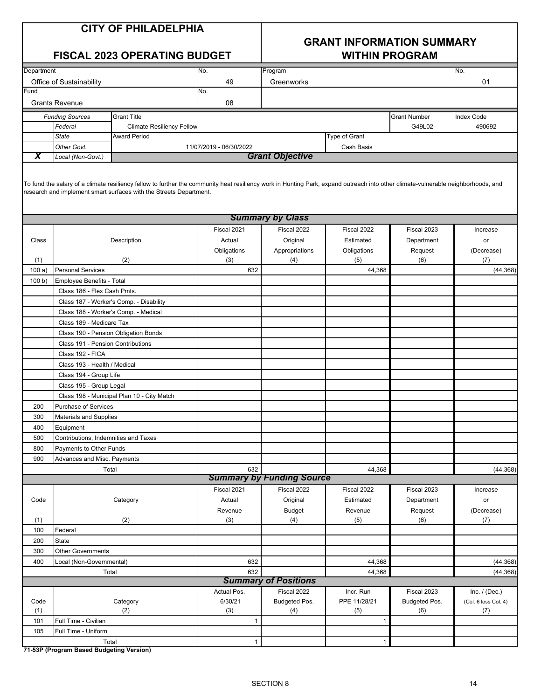### **GRANT INFORMATION SUMMARY FISCAL 2023 OPERATING BUDGET WITHIN PROGRAM**

| Department |                                          |                                                                                                                                                                                                                                                         | No.                     | Program                          |               |                     | No.                  |
|------------|------------------------------------------|---------------------------------------------------------------------------------------------------------------------------------------------------------------------------------------------------------------------------------------------------------|-------------------------|----------------------------------|---------------|---------------------|----------------------|
|            | Office of Sustainability                 |                                                                                                                                                                                                                                                         | 49                      | Greenworks                       |               |                     | 01                   |
| Fund       |                                          |                                                                                                                                                                                                                                                         | No.                     |                                  |               |                     |                      |
|            | <b>Grants Revenue</b>                    |                                                                                                                                                                                                                                                         | 08                      |                                  |               |                     |                      |
|            | <b>Funding Sources</b>                   | <b>Grant Title</b>                                                                                                                                                                                                                                      |                         |                                  |               | <b>Grant Number</b> | <b>Index Code</b>    |
|            | Federal                                  | <b>Climate Resiliency Fellow</b>                                                                                                                                                                                                                        |                         |                                  |               | G49L02              | 490692               |
|            | <b>State</b>                             | <b>Award Period</b>                                                                                                                                                                                                                                     |                         |                                  | Type of Grant |                     |                      |
|            | Other Govt.                              |                                                                                                                                                                                                                                                         | 11/07/2019 - 06/30/2022 |                                  | Cash Basis    |                     |                      |
| X          | Local (Non-Govt.)                        |                                                                                                                                                                                                                                                         |                         | <b>Grant Objective</b>           |               |                     |                      |
|            |                                          | To fund the salary of a climate resiliency fellow to further the community heat resiliency work in Hunting Park, expand outreach into other climate-vulnerable neighborhoods, and<br>research and implement smart surfaces with the Streets Department. |                         |                                  |               |                     |                      |
|            |                                          |                                                                                                                                                                                                                                                         |                         | <b>Summary by Class</b>          |               |                     |                      |
|            |                                          |                                                                                                                                                                                                                                                         | Fiscal 2021             | Fiscal 2022                      | Fiscal 2022   | Fiscal 2023         | Increase             |
| Class      |                                          | Description                                                                                                                                                                                                                                             | Actual                  | Original                         | Estimated     | Department          | or                   |
|            |                                          |                                                                                                                                                                                                                                                         | Obligations             | Appropriations                   | Obligations   | Request             | (Decrease)           |
| (1)        |                                          | (2)                                                                                                                                                                                                                                                     | (3)                     | (4)                              | (5)           | (6)                 | (7)                  |
| 100a)      | <b>Personal Services</b>                 |                                                                                                                                                                                                                                                         | 632                     |                                  | 44,368        |                     | (44, 368)            |
| 100 b)     | Employee Benefits - Total                |                                                                                                                                                                                                                                                         |                         |                                  |               |                     |                      |
|            | Class 186 - Flex Cash Pmts.              |                                                                                                                                                                                                                                                         |                         |                                  |               |                     |                      |
|            |                                          | Class 187 - Worker's Comp. - Disability                                                                                                                                                                                                                 |                         |                                  |               |                     |                      |
|            | Class 188 - Worker's Comp. - Medical     |                                                                                                                                                                                                                                                         |                         |                                  |               |                     |                      |
|            | Class 189 - Medicare Tax                 |                                                                                                                                                                                                                                                         |                         |                                  |               |                     |                      |
|            | Class 190 - Pension Obligation Bonds     |                                                                                                                                                                                                                                                         |                         |                                  |               |                     |                      |
|            | Class 191 - Pension Contributions        |                                                                                                                                                                                                                                                         |                         |                                  |               |                     |                      |
|            | Class 192 - FICA                         |                                                                                                                                                                                                                                                         |                         |                                  |               |                     |                      |
|            | Class 193 - Health / Medical             |                                                                                                                                                                                                                                                         |                         |                                  |               |                     |                      |
|            | Class 194 - Group Life                   |                                                                                                                                                                                                                                                         |                         |                                  |               |                     |                      |
|            | Class 195 - Group Legal                  |                                                                                                                                                                                                                                                         |                         |                                  |               |                     |                      |
|            |                                          | Class 198 - Municipal Plan 10 - City Match                                                                                                                                                                                                              |                         |                                  |               |                     |                      |
| 200        | <b>Purchase of Services</b>              |                                                                                                                                                                                                                                                         |                         |                                  |               |                     |                      |
| 300        | <b>Materials and Supplies</b>            |                                                                                                                                                                                                                                                         |                         |                                  |               |                     |                      |
| 400        | Equipment                                |                                                                                                                                                                                                                                                         |                         |                                  |               |                     |                      |
| 500        | Contributions, Indemnities and Taxes     |                                                                                                                                                                                                                                                         |                         |                                  |               |                     |                      |
| 800        | Payments to Other Funds                  |                                                                                                                                                                                                                                                         |                         |                                  |               |                     |                      |
| 900        | Advances and Misc. Payments              |                                                                                                                                                                                                                                                         |                         |                                  |               |                     |                      |
|            | Total                                    |                                                                                                                                                                                                                                                         | 632                     | <b>Summary by Funding Source</b> | 44.368        |                     | (44, 368)            |
|            |                                          |                                                                                                                                                                                                                                                         |                         |                                  |               |                     |                      |
|            |                                          |                                                                                                                                                                                                                                                         | Fiscal 2021             | Fiscal 2022                      | Fiscal 2022   | Fiscal 2023         | Increase             |
| Code       |                                          | Category                                                                                                                                                                                                                                                | Actual                  | Original                         | Estimated     | Department          | or                   |
|            |                                          | (2)                                                                                                                                                                                                                                                     | Revenue                 | <b>Budget</b>                    | Revenue       | Request             | (Decrease)           |
| (1)<br>100 | Federal                                  |                                                                                                                                                                                                                                                         | (3)                     | (4)                              | (5)           | (6)                 | (7)                  |
| 200        | <b>State</b>                             |                                                                                                                                                                                                                                                         |                         |                                  |               |                     |                      |
| 300        | Other Governments                        |                                                                                                                                                                                                                                                         |                         |                                  |               |                     |                      |
| 400        | Local (Non-Governmental)                 |                                                                                                                                                                                                                                                         | 632                     |                                  | 44,368        |                     | (44, 368)            |
|            | Total                                    |                                                                                                                                                                                                                                                         | 632                     |                                  | 44,368        |                     | (44, 368)            |
|            |                                          |                                                                                                                                                                                                                                                         |                         | <b>Summary of Positions</b>      |               |                     |                      |
|            |                                          |                                                                                                                                                                                                                                                         | Actual Pos.             | Fiscal 2022                      | Incr. Run     | Fiscal 2023         | Inc. $/$ (Dec.)      |
| Code       |                                          | Category                                                                                                                                                                                                                                                | 6/30/21                 | Budgeted Pos.                    | PPE 11/28/21  | Budgeted Pos.       | (Col. 6 less Col. 4) |
| (1)        |                                          | (2)                                                                                                                                                                                                                                                     | (3)                     | (4)                              | (5)           | (6)                 | (7)                  |
| 101        | Full Time - Civilian                     |                                                                                                                                                                                                                                                         | $\mathbf{1}$            |                                  | $\mathbf{1}$  |                     |                      |
| 105        | Full Time - Uniform                      |                                                                                                                                                                                                                                                         |                         |                                  |               |                     |                      |
|            | Total                                    |                                                                                                                                                                                                                                                         | 1                       |                                  | 1             |                     |                      |
|            | 71-53P (Program Based Budgeting Version) |                                                                                                                                                                                                                                                         |                         |                                  |               |                     |                      |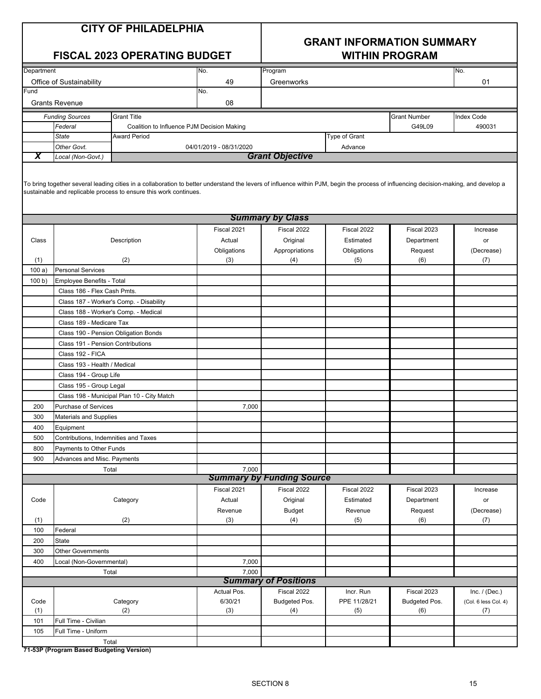## **GRANT INFORMATION SUMMARY**

| <b>FISCAL 2023 OPERATING BUDGET</b> |                                          |                                                                                                                                                                                                                                                           | <b>WITHIN PROGRAM</b>   |                                  |               |                     |                      |
|-------------------------------------|------------------------------------------|-----------------------------------------------------------------------------------------------------------------------------------------------------------------------------------------------------------------------------------------------------------|-------------------------|----------------------------------|---------------|---------------------|----------------------|
| Department                          |                                          |                                                                                                                                                                                                                                                           | No.                     | Program                          |               |                     | No.                  |
|                                     | Office of Sustainability                 |                                                                                                                                                                                                                                                           | 49                      | Greenworks                       |               |                     | 01                   |
| Fund                                |                                          |                                                                                                                                                                                                                                                           | No.                     |                                  |               |                     |                      |
|                                     | <b>Grants Revenue</b>                    |                                                                                                                                                                                                                                                           | 08                      |                                  |               |                     |                      |
|                                     | <b>Funding Sources</b>                   | <b>Grant Title</b>                                                                                                                                                                                                                                        |                         |                                  |               | <b>Grant Number</b> | <b>Index Code</b>    |
|                                     | Federal                                  | Coalition to Influence PJM Decision Making                                                                                                                                                                                                                |                         |                                  |               | G49L09              | 490031               |
|                                     | <b>State</b>                             | <b>Award Period</b>                                                                                                                                                                                                                                       |                         |                                  | Type of Grant |                     |                      |
|                                     | Other Govt.                              |                                                                                                                                                                                                                                                           | 04/01/2019 - 08/31/2020 |                                  | Advance       |                     |                      |
| X                                   | Local (Non-Govt.)                        |                                                                                                                                                                                                                                                           |                         | <b>Grant Objective</b>           |               |                     |                      |
|                                     |                                          | To bring together several leading cities in a collaboration to better understand the levers of influence within PJM, begin the process of influencing decision-making, and develop a<br>sustainable and replicable process to ensure this work continues. |                         |                                  |               |                     |                      |
|                                     |                                          |                                                                                                                                                                                                                                                           |                         | <b>Summary by Class</b>          |               |                     |                      |
|                                     |                                          |                                                                                                                                                                                                                                                           | Fiscal 2021             | Fiscal 2022                      | Fiscal 2022   | Fiscal 2023         | Increase             |
| Class                               |                                          | Description                                                                                                                                                                                                                                               | Actual                  | Original                         | Estimated     | Department          | or                   |
|                                     |                                          |                                                                                                                                                                                                                                                           | Obligations             | Appropriations                   | Obligations   | Request             | (Decrease)           |
| (1)                                 |                                          | (2)                                                                                                                                                                                                                                                       | (3)                     | (4)                              | (5)           | (6)                 | (7)                  |
| 100a)                               | <b>Personal Services</b>                 |                                                                                                                                                                                                                                                           |                         |                                  |               |                     |                      |
| 100 b)                              | Employee Benefits - Total                |                                                                                                                                                                                                                                                           |                         |                                  |               |                     |                      |
|                                     | Class 186 - Flex Cash Pmts.              |                                                                                                                                                                                                                                                           |                         |                                  |               |                     |                      |
|                                     |                                          | Class 187 - Worker's Comp. - Disability                                                                                                                                                                                                                   |                         |                                  |               |                     |                      |
|                                     |                                          | Class 188 - Worker's Comp. - Medical                                                                                                                                                                                                                      |                         |                                  |               |                     |                      |
|                                     | Class 189 - Medicare Tax                 |                                                                                                                                                                                                                                                           |                         |                                  |               |                     |                      |
|                                     |                                          | Class 190 - Pension Obligation Bonds                                                                                                                                                                                                                      |                         |                                  |               |                     |                      |
|                                     | Class 191 - Pension Contributions        |                                                                                                                                                                                                                                                           |                         |                                  |               |                     |                      |
|                                     | Class 192 - FICA                         |                                                                                                                                                                                                                                                           |                         |                                  |               |                     |                      |
|                                     | Class 193 - Health / Medical             |                                                                                                                                                                                                                                                           |                         |                                  |               |                     |                      |
|                                     | Class 194 - Group Life                   |                                                                                                                                                                                                                                                           |                         |                                  |               |                     |                      |
|                                     | Class 195 - Group Legal                  |                                                                                                                                                                                                                                                           |                         |                                  |               |                     |                      |
|                                     |                                          | Class 198 - Municipal Plan 10 - City Match                                                                                                                                                                                                                |                         |                                  |               |                     |                      |
| 200                                 | <b>Purchase of Services</b>              |                                                                                                                                                                                                                                                           | 7,000                   |                                  |               |                     |                      |
| 300                                 | Materials and Supplies                   |                                                                                                                                                                                                                                                           |                         |                                  |               |                     |                      |
| 400                                 | Equipment                                |                                                                                                                                                                                                                                                           |                         |                                  |               |                     |                      |
| 500                                 | Contributions, Indemnities and Taxes     |                                                                                                                                                                                                                                                           |                         |                                  |               |                     |                      |
| 800                                 | Payments to Other Funds                  |                                                                                                                                                                                                                                                           |                         |                                  |               |                     |                      |
| 900                                 | Advances and Misc. Payments              |                                                                                                                                                                                                                                                           |                         |                                  |               |                     |                      |
|                                     |                                          | Total                                                                                                                                                                                                                                                     | 7,000                   |                                  |               |                     |                      |
|                                     |                                          |                                                                                                                                                                                                                                                           |                         | <b>Summary by Funding Source</b> |               |                     |                      |
|                                     |                                          |                                                                                                                                                                                                                                                           | Fiscal 2021             | Fiscal 2022                      | Fiscal 2022   | Fiscal 2023         | Increase             |
| Code                                |                                          | Category                                                                                                                                                                                                                                                  | Actual                  | Original                         | Estimated     | Department          | or                   |
|                                     |                                          |                                                                                                                                                                                                                                                           | Revenue                 | <b>Budget</b>                    | Revenue       | Request             | (Decrease)           |
| (1)                                 |                                          | (2)                                                                                                                                                                                                                                                       | (3)                     | (4)                              | (5)           | (6)                 | (7)                  |
| 100                                 | Federal                                  |                                                                                                                                                                                                                                                           |                         |                                  |               |                     |                      |
| 200                                 | State                                    |                                                                                                                                                                                                                                                           |                         |                                  |               |                     |                      |
| 300                                 | <b>Other Governments</b>                 |                                                                                                                                                                                                                                                           |                         |                                  |               |                     |                      |
| 400                                 | Local (Non-Governmental)                 |                                                                                                                                                                                                                                                           | 7,000                   |                                  |               |                     |                      |
|                                     |                                          | Total                                                                                                                                                                                                                                                     | 7,000                   |                                  |               |                     |                      |
|                                     |                                          |                                                                                                                                                                                                                                                           |                         | <b>Summary of Positions</b>      |               |                     |                      |
|                                     |                                          |                                                                                                                                                                                                                                                           | Actual Pos.             | Fiscal 2022                      | Incr. Run     | Fiscal 2023         | Inc. $/$ (Dec.)      |
| Code                                |                                          | Category                                                                                                                                                                                                                                                  | 6/30/21                 | Budgeted Pos.                    | PPE 11/28/21  | Budgeted Pos.       | (Col. 6 less Col. 4) |
| (1)                                 |                                          | (2)                                                                                                                                                                                                                                                       | (3)                     | (4)                              | (5)           | (6)                 | (7)                  |
| 101                                 | Full Time - Civilian                     |                                                                                                                                                                                                                                                           |                         |                                  |               |                     |                      |
| 105                                 | Full Time - Uniform                      |                                                                                                                                                                                                                                                           |                         |                                  |               |                     |                      |
|                                     |                                          | Total                                                                                                                                                                                                                                                     |                         |                                  |               |                     |                      |
|                                     | 71-53P (Program Based Budgeting Version) |                                                                                                                                                                                                                                                           |                         |                                  |               |                     |                      |
|                                     |                                          |                                                                                                                                                                                                                                                           |                         |                                  |               |                     |                      |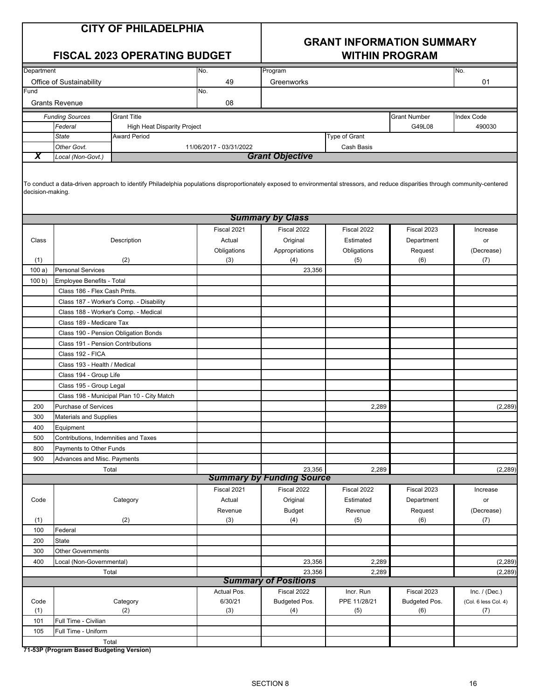## **GRANT INFORMATION SUMMARY**

### **FISCAL 2023 OPERATING BUDGET WITHIN PROGRAM**

| Department                                   |                       |                                    | No.                     | Program    |                      |                     | No.               |
|----------------------------------------------|-----------------------|------------------------------------|-------------------------|------------|----------------------|---------------------|-------------------|
| Office of Sustainability                     |                       |                                    | 49                      | Greenworks |                      |                     | 01                |
| Fund                                         |                       |                                    | No.                     |            |                      |                     |                   |
|                                              | <b>Grants Revenue</b> |                                    | 08                      |            |                      |                     |                   |
| <b>Funding Sources</b><br><b>Grant Title</b> |                       |                                    |                         |            |                      | <b>Grant Number</b> | <b>Index Code</b> |
|                                              | Federal               | <b>High Heat Disparity Project</b> |                         |            |                      | G49L08              | 490030            |
|                                              | <b>State</b>          | <b>Award Period</b>                |                         |            | <b>Type of Grant</b> |                     |                   |
|                                              | Other Govt.           |                                    | 11/06/2017 - 03/31/2022 |            | Cash Basis           |                     |                   |
|                                              | Local (Non-Govt.)     | <b>Grant Objective</b>             |                         |            |                      |                     |                   |
|                                              |                       |                                    |                         |            |                      |                     |                   |

 $|$ To conduct a data-driven approach to identify Philadelphia populations disproportionately exposed to environmental stressors, and reduce disparities through community-centered decision-making.

|        |                                                   |             | <b>Summary by Class</b>          |              |               |                      |  |  |
|--------|---------------------------------------------------|-------------|----------------------------------|--------------|---------------|----------------------|--|--|
|        |                                                   | Fiscal 2021 | Fiscal 2022                      | Fiscal 2022  | Fiscal 2023   | Increase             |  |  |
| Class  | Description                                       | Actual      | Original                         | Estimated    | Department    | or                   |  |  |
|        |                                                   | Obligations | Appropriations                   | Obligations  | Request       | (Decrease)           |  |  |
| (1)    | (2)                                               | (3)         | (4)                              | (5)          | (6)           | (7)                  |  |  |
| 100a)  | <b>Personal Services</b>                          |             | 23,356                           |              |               |                      |  |  |
| 100 b) | Employee Benefits - Total                         |             |                                  |              |               |                      |  |  |
|        | Class 186 - Flex Cash Pmts.                       |             |                                  |              |               |                      |  |  |
|        | Class 187 - Worker's Comp. - Disability           |             |                                  |              |               |                      |  |  |
|        | Class 188 - Worker's Comp. - Medical              |             |                                  |              |               |                      |  |  |
|        | Class 189 - Medicare Tax                          |             |                                  |              |               |                      |  |  |
|        | Class 190 - Pension Obligation Bonds              |             |                                  |              |               |                      |  |  |
|        | Class 191 - Pension Contributions                 |             |                                  |              |               |                      |  |  |
|        | Class 192 - FICA                                  |             |                                  |              |               |                      |  |  |
|        | Class 193 - Health / Medical                      |             |                                  |              |               |                      |  |  |
|        | Class 194 - Group Life                            |             |                                  |              |               |                      |  |  |
|        | Class 195 - Group Legal                           |             |                                  |              |               |                      |  |  |
|        | Class 198 - Municipal Plan 10 - City Match        |             |                                  |              |               |                      |  |  |
| 200    | <b>Purchase of Services</b>                       |             |                                  | 2,289        |               | (2, 289)             |  |  |
| 300    | Materials and Supplies                            |             |                                  |              |               |                      |  |  |
| 400    | Equipment                                         |             |                                  |              |               |                      |  |  |
| 500    | Contributions, Indemnities and Taxes              |             |                                  |              |               |                      |  |  |
| 800    | Payments to Other Funds                           |             |                                  |              |               |                      |  |  |
| 900    | Advances and Misc. Payments                       |             |                                  |              |               |                      |  |  |
|        | Total                                             |             | 23,356                           | 2,289        |               | (2, 289)             |  |  |
|        |                                                   |             | <b>Summary by Funding Source</b> |              |               |                      |  |  |
|        |                                                   | Fiscal 2021 | Fiscal 2022                      | Fiscal 2022  | Fiscal 2023   | Increase             |  |  |
| Code   | Category                                          | Actual      | Original                         | Estimated    | Department    | or                   |  |  |
|        |                                                   | Revenue     | <b>Budget</b>                    | Revenue      | Request       | (Decrease)           |  |  |
| (1)    | (2)                                               | (3)         | (4)                              | (5)          | (6)           | (7)                  |  |  |
| 100    | Federal                                           |             |                                  |              |               |                      |  |  |
| 200    | <b>State</b>                                      |             |                                  |              |               |                      |  |  |
| 300    | <b>Other Governments</b>                          |             |                                  |              |               |                      |  |  |
| 400    | Local (Non-Governmental)                          |             | 23,356                           | 2,289        |               | (2, 289)             |  |  |
|        | Total                                             |             | 23,356                           | 2,289        |               | (2, 289)             |  |  |
|        | <b>Summary of Positions</b>                       |             |                                  |              |               |                      |  |  |
|        |                                                   | Actual Pos. | Fiscal 2022                      | Incr. Run    | Fiscal 2023   | Inc. $/$ (Dec.)      |  |  |
| Code   | Category                                          | 6/30/21     | Budgeted Pos.                    | PPE 11/28/21 | Budgeted Pos. | (Col. 6 less Col. 4) |  |  |
| (1)    | (2)                                               | (3)         | (4)                              | (5)          | (6)           | (7)                  |  |  |
| 101    | Full Time - Civilian                              |             |                                  |              |               |                      |  |  |
| 105    | Full Time - Uniform                               |             |                                  |              |               |                      |  |  |
|        | Total<br>71-53P (Program Based Budgeting Version) |             |                                  |              |               |                      |  |  |
|        |                                                   |             |                                  |              |               |                      |  |  |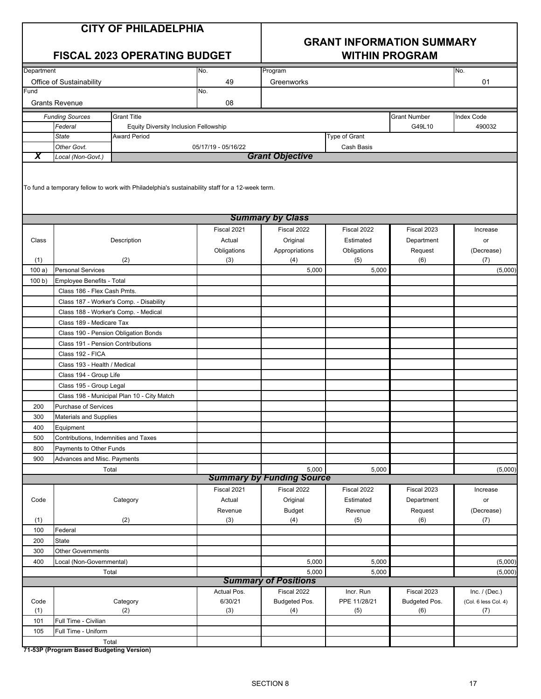| <b>CITY OF PHILADELPHIA</b> |  |  |
|-----------------------------|--|--|
|-----------------------------|--|--|

### **GRANT INFORMATION SUMMARY FISCAL 2023 OPERATING BUDGET WITHIN PROGRAM**

| Department |                                      |                                                                                                 | No.                 | Program                          |              |                     | No.                  |
|------------|--------------------------------------|-------------------------------------------------------------------------------------------------|---------------------|----------------------------------|--------------|---------------------|----------------------|
|            | Office of Sustainability             |                                                                                                 | 49                  | Greenworks                       |              |                     | 01                   |
| Fund       |                                      |                                                                                                 | No.                 |                                  |              |                     |                      |
|            | <b>Grants Revenue</b>                |                                                                                                 | 08                  |                                  |              |                     |                      |
|            | <b>Funding Sources</b>               | Grant Title                                                                                     |                     |                                  |              | <b>Grant Number</b> | <b>Index Code</b>    |
|            | Federal                              | <b>Equity Diversity Inclusion Fellowship</b>                                                    |                     |                                  |              | G49L10              | 490032               |
|            | <b>State</b>                         | <b>Award Period</b>                                                                             | Type of Grant       |                                  |              |                     |                      |
|            | Other Govt.                          |                                                                                                 | 05/17/19 - 05/16/22 |                                  | Cash Basis   |                     |                      |
| X          | Local (Non-Govt.)                    |                                                                                                 |                     | <b>Grant Objective</b>           |              |                     |                      |
|            |                                      | To fund a temporary fellow to work with Philadelphia's sustainability staff for a 12-week term. |                     |                                  |              |                     |                      |
|            |                                      |                                                                                                 |                     | <b>Summary by Class</b>          |              |                     |                      |
|            |                                      |                                                                                                 | Fiscal 2021         | Fiscal 2022                      | Fiscal 2022  | Fiscal 2023         | Increase             |
| Class      |                                      | Description                                                                                     | Actual              | Original                         | Estimated    | Department          | or                   |
|            |                                      |                                                                                                 | Obligations         | Appropriations                   | Obligations  | Request             | (Decrease)           |
| (1)        |                                      | (2)                                                                                             | (3)                 | (4)                              | (5)          | (6)                 | (7)                  |
| 100a)      | <b>Personal Services</b>             |                                                                                                 |                     | 5,000                            | 5,000        |                     | (5,000)              |
| 100 b)     | Employee Benefits - Total            |                                                                                                 |                     |                                  |              |                     |                      |
|            | Class 186 - Flex Cash Pmts.          |                                                                                                 |                     |                                  |              |                     |                      |
|            |                                      | Class 187 - Worker's Comp. - Disability                                                         |                     |                                  |              |                     |                      |
|            | Class 188 - Worker's Comp. - Medical |                                                                                                 |                     |                                  |              |                     |                      |
|            | Class 189 - Medicare Tax             |                                                                                                 |                     |                                  |              |                     |                      |
|            | Class 190 - Pension Obligation Bonds |                                                                                                 |                     |                                  |              |                     |                      |
|            | Class 191 - Pension Contributions    |                                                                                                 |                     |                                  |              |                     |                      |
|            | Class 192 - FICA                     |                                                                                                 |                     |                                  |              |                     |                      |
|            | Class 193 - Health / Medical         |                                                                                                 |                     |                                  |              |                     |                      |
|            | Class 194 - Group Life               |                                                                                                 |                     |                                  |              |                     |                      |
|            | Class 195 - Group Legal              |                                                                                                 |                     |                                  |              |                     |                      |
|            |                                      | Class 198 - Municipal Plan 10 - City Match                                                      |                     |                                  |              |                     |                      |
| 200        | Purchase of Services                 |                                                                                                 |                     |                                  |              |                     |                      |
| 300        | Materials and Supplies               |                                                                                                 |                     |                                  |              |                     |                      |
| 400        | Equipment                            |                                                                                                 |                     |                                  |              |                     |                      |
| 500        | Contributions, Indemnities and Taxes |                                                                                                 |                     |                                  |              |                     |                      |
| 800        | Payments to Other Funds              |                                                                                                 |                     |                                  |              |                     |                      |
| 900        | Advances and Misc. Payments          |                                                                                                 |                     |                                  |              |                     |                      |
|            | Total                                |                                                                                                 |                     | 5,000                            | 5,000        |                     | (5,000)              |
|            |                                      |                                                                                                 |                     | <b>Summary by Funding Source</b> |              |                     |                      |
|            |                                      |                                                                                                 | Fiscal 2021         | Fiscal 2022                      | Fiscal 2022  | Fiscal 2023         | Increase             |
| Code       |                                      | Category                                                                                        | Actual              | Original                         | Estimated    | Department          | or                   |
|            |                                      | (2)                                                                                             | Revenue             | <b>Budget</b>                    | Revenue      | Request             | (Decrease)           |
| (1)<br>100 | Federal                              |                                                                                                 | (3)                 | (4)                              | (5)          | (6)                 | (7)                  |
| 200        | <b>State</b>                         |                                                                                                 |                     |                                  |              |                     |                      |
| 300        | <b>Other Governments</b>             |                                                                                                 |                     |                                  |              |                     |                      |
| 400        | Local (Non-Governmental)             |                                                                                                 |                     | 5,000                            | 5,000        |                     | (5,000)              |
|            | Total                                |                                                                                                 |                     | 5,000                            | 5,000        |                     |                      |
|            |                                      |                                                                                                 |                     | <b>Summary of Positions</b>      |              |                     | (5,000)              |
|            |                                      |                                                                                                 | Actual Pos.         | Fiscal 2022                      | Incr. Run    | Fiscal 2023         | Inc. $/$ (Dec.)      |
| Code       |                                      | Category                                                                                        | 6/30/21             | Budgeted Pos.                    | PPE 11/28/21 | Budgeted Pos.       | (Col. 6 less Col. 4) |
| (1)        |                                      | (2)                                                                                             | (3)                 | (4)                              | (5)          | (6)                 | (7)                  |
| 101        | Full Time - Civilian                 |                                                                                                 |                     |                                  |              |                     |                      |
| 105        | Full Time - Uniform                  |                                                                                                 |                     |                                  |              |                     |                      |
|            | Total                                |                                                                                                 |                     |                                  |              |                     |                      |
|            |                                      |                                                                                                 |                     |                                  |              |                     |                      |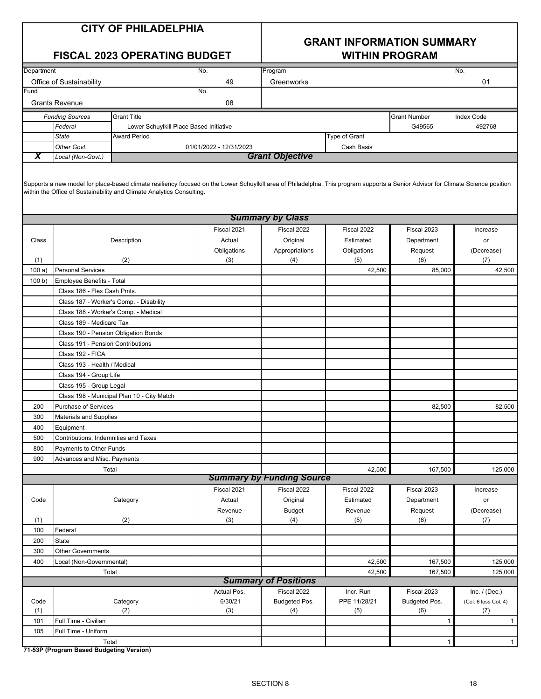### **GRANT INFORMATION SUMMARY FISCAL 2023 OPERATING BUDGET WITHIN PROGRAM**

| Department |                                                   |                                                                                                                                                                                                                                                            | No.                     | Program                          |               |                     | No.                  |
|------------|---------------------------------------------------|------------------------------------------------------------------------------------------------------------------------------------------------------------------------------------------------------------------------------------------------------------|-------------------------|----------------------------------|---------------|---------------------|----------------------|
| Fund       | Office of Sustainability                          |                                                                                                                                                                                                                                                            | 49                      | Greenworks                       |               |                     | 01                   |
|            | <b>Grants Revenue</b>                             |                                                                                                                                                                                                                                                            | No.<br>08               |                                  |               |                     |                      |
|            | <b>Funding Sources</b>                            | <b>Grant Title</b>                                                                                                                                                                                                                                         |                         |                                  |               | <b>Grant Number</b> | Index Code           |
|            | Federal                                           | Lower Schuylkill Place Based Initiative                                                                                                                                                                                                                    |                         |                                  |               | G49565              | 492768               |
|            | <b>State</b>                                      | <b>Award Period</b>                                                                                                                                                                                                                                        |                         |                                  | Type of Grant |                     |                      |
|            | Other Govt.                                       |                                                                                                                                                                                                                                                            | 01/01/2022 - 12/31/2023 |                                  | Cash Basis    |                     |                      |
| X          | Local (Non-Govt.)                                 |                                                                                                                                                                                                                                                            |                         | <b>Grant Objective</b>           |               |                     |                      |
|            |                                                   | Supports a new model for place-based climate resiliency focused on the Lower Schuylkill area of Philadelphia. This program supports a Senior Advisor for Climate Science position<br>within the Office of Sustainability and Climate Analytics Consulting. |                         |                                  |               |                     |                      |
|            |                                                   |                                                                                                                                                                                                                                                            |                         | <b>Summary by Class</b>          |               |                     |                      |
|            |                                                   |                                                                                                                                                                                                                                                            | Fiscal 2021             | Fiscal 2022                      | Fiscal 2022   | Fiscal 2023         | Increase             |
| Class      |                                                   | Description                                                                                                                                                                                                                                                | Actual                  | Original                         | Estimated     | Department          | or                   |
|            |                                                   |                                                                                                                                                                                                                                                            | Obligations             | Appropriations                   | Obligations   | Request             | (Decrease)           |
| (1)        |                                                   | (2)                                                                                                                                                                                                                                                        | (3)                     | (4)                              | (5)           | (6)                 | (7)                  |
| 100a)      | <b>Personal Services</b>                          |                                                                                                                                                                                                                                                            |                         |                                  | 42,500        | 85,000              | 42,500               |
| 100 b)     | Employee Benefits - Total                         |                                                                                                                                                                                                                                                            |                         |                                  |               |                     |                      |
|            | Class 186 - Flex Cash Pmts.                       |                                                                                                                                                                                                                                                            |                         |                                  |               |                     |                      |
|            |                                                   | Class 187 - Worker's Comp. - Disability                                                                                                                                                                                                                    |                         |                                  |               |                     |                      |
|            | Class 188 - Worker's Comp. - Medical              |                                                                                                                                                                                                                                                            |                         |                                  |               |                     |                      |
|            | Class 189 - Medicare Tax                          |                                                                                                                                                                                                                                                            |                         |                                  |               |                     |                      |
|            | Class 190 - Pension Obligation Bonds              |                                                                                                                                                                                                                                                            |                         |                                  |               |                     |                      |
|            | Class 191 - Pension Contributions                 |                                                                                                                                                                                                                                                            |                         |                                  |               |                     |                      |
|            | Class 192 - FICA                                  |                                                                                                                                                                                                                                                            |                         |                                  |               |                     |                      |
|            | Class 193 - Health / Medical                      |                                                                                                                                                                                                                                                            |                         |                                  |               |                     |                      |
|            | Class 194 - Group Life                            |                                                                                                                                                                                                                                                            |                         |                                  |               |                     |                      |
|            | Class 195 - Group Legal                           |                                                                                                                                                                                                                                                            |                         |                                  |               |                     |                      |
|            |                                                   | Class 198 - Municipal Plan 10 - City Match                                                                                                                                                                                                                 |                         |                                  |               |                     |                      |
| 200        | <b>Purchase of Services</b>                       |                                                                                                                                                                                                                                                            |                         |                                  |               | 82,500              | 82,500               |
| 300        | <b>Materials and Supplies</b>                     |                                                                                                                                                                                                                                                            |                         |                                  |               |                     |                      |
| 400        | Equipment                                         |                                                                                                                                                                                                                                                            |                         |                                  |               |                     |                      |
| 500        | Contributions, Indemnities and Taxes              |                                                                                                                                                                                                                                                            |                         |                                  |               |                     |                      |
| 800        | Payments to Other Funds                           |                                                                                                                                                                                                                                                            |                         |                                  |               |                     |                      |
| 900        | Advances and Misc. Payments                       |                                                                                                                                                                                                                                                            |                         |                                  |               |                     |                      |
|            | Total                                             |                                                                                                                                                                                                                                                            |                         |                                  | 42,500        | 167,500             | 125,000              |
|            |                                                   |                                                                                                                                                                                                                                                            |                         | <b>Summary by Funding Source</b> |               |                     |                      |
|            |                                                   |                                                                                                                                                                                                                                                            | Fiscal 2021             | Fiscal 2022                      | Fiscal 2022   | Fiscal 2023         | Increase             |
| Code       |                                                   | Category                                                                                                                                                                                                                                                   | Actual                  | Original                         | Estimated     | Department          | or                   |
|            |                                                   |                                                                                                                                                                                                                                                            | Revenue                 | <b>Budget</b>                    | Revenue       | Request             | (Decrease)           |
| (1)        |                                                   | (2)                                                                                                                                                                                                                                                        | (3)                     | (4)                              | (5)           | (6)                 | (7)                  |
| 100        | Federal                                           |                                                                                                                                                                                                                                                            |                         |                                  |               |                     |                      |
| 200        | State                                             |                                                                                                                                                                                                                                                            |                         |                                  |               |                     |                      |
| 300        | <b>Other Governments</b>                          |                                                                                                                                                                                                                                                            |                         |                                  |               |                     |                      |
| 400        | Local (Non-Governmental)                          |                                                                                                                                                                                                                                                            |                         |                                  | 42,500        | 167,500             | 125,000              |
|            | Total                                             |                                                                                                                                                                                                                                                            |                         |                                  | 42,500        | 167,500             | 125,000              |
|            |                                                   |                                                                                                                                                                                                                                                            |                         | <b>Summary of Positions</b>      |               |                     |                      |
|            |                                                   |                                                                                                                                                                                                                                                            | Actual Pos.             | Fiscal 2022                      | Incr. Run     | Fiscal 2023         | Inc. $/$ (Dec.)      |
| Code       |                                                   | Category                                                                                                                                                                                                                                                   | 6/30/21                 | Budgeted Pos.                    | PPE 11/28/21  | Budgeted Pos.       | (Col. 6 less Col. 4) |
| (1)        |                                                   | (2)                                                                                                                                                                                                                                                        | (3)                     | (4)                              | (5)           | (6)                 | (7)                  |
| 101        | Full Time - Civilian                              |                                                                                                                                                                                                                                                            |                         |                                  |               | $\mathbf{1}$        | $\mathbf{1}$         |
| 105        | Full Time - Uniform                               |                                                                                                                                                                                                                                                            |                         |                                  |               |                     |                      |
|            | Total<br>71-53P (Program Rased Rudgeting Version) |                                                                                                                                                                                                                                                            |                         |                                  |               | $\mathbf{1}$        | $\mathbf{1}$         |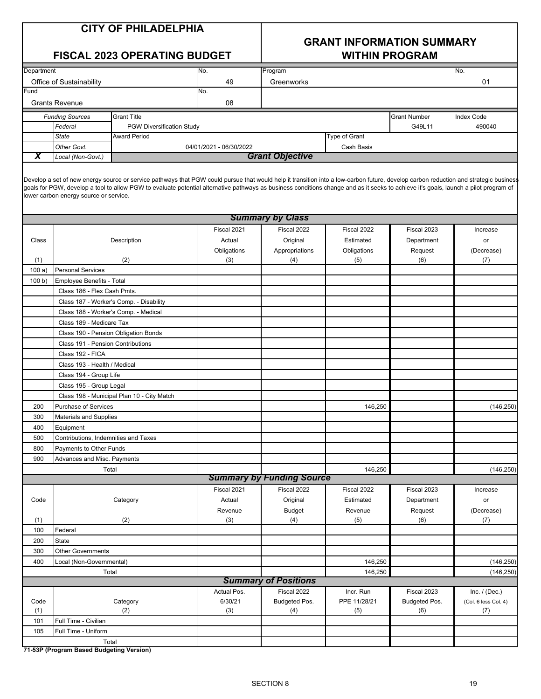## **GRANT INFORMATION SUMMARY**

### **FISCAL 2023 OPERATING BUDGET WITHIN PROGRAM**

| Department |                                   |                                         | No.                     | Program                 |               |                     | No.               |
|------------|-----------------------------------|-----------------------------------------|-------------------------|-------------------------|---------------|---------------------|-------------------|
|            | Office of Sustainability          |                                         | 49                      | Greenworks              |               |                     | 01                |
| Fund       |                                   |                                         | No.                     |                         |               |                     |                   |
|            | <b>Grants Revenue</b>             |                                         | 08                      |                         |               |                     |                   |
|            | <b>Funding Sources</b>            | <b>Grant Title</b>                      |                         |                         |               | <b>Grant Number</b> | <b>Index Code</b> |
|            | Federal                           | <b>PGW Diversification Study</b>        |                         |                         |               | G49L11              | 490040            |
|            | <b>State</b>                      | <b>Award Period</b>                     |                         |                         | Type of Grant |                     |                   |
|            | Other Govt.                       |                                         | 04/01/2021 - 06/30/2022 |                         | Cash Basis    |                     |                   |
| χ          | Local (Non-Govt.)                 |                                         |                         | <b>Grant Objective</b>  |               |                     |                   |
|            |                                   |                                         |                         | <b>Summary by Class</b> |               |                     |                   |
|            |                                   |                                         | Fiscal 2021             | Fiscal 2022             | Fiscal 2022   | Fiscal 2023         | Increase          |
| Class      |                                   | Description                             | Actual                  | Original                | Estimated     | Department          | or                |
|            |                                   |                                         | Obligations             | Appropriations          | Obligations   | Request             | (Decrease)        |
| (1)        |                                   | (2)                                     | (3)                     | (4)                     | (5)           | (6)                 | (7)               |
| 100a)      | <b>Personal Services</b>          |                                         |                         |                         |               |                     |                   |
| 100 b      | <b>Employee Benefits - Total</b>  |                                         |                         |                         |               |                     |                   |
|            | Class 186 - Flex Cash Pmts.       |                                         |                         |                         |               |                     |                   |
|            |                                   | Class 187 - Worker's Comp. - Disability |                         |                         |               |                     |                   |
|            |                                   | Class 188 - Worker's Comp. - Medical    |                         |                         |               |                     |                   |
|            | Class 189 - Medicare Tax          |                                         |                         |                         |               |                     |                   |
|            |                                   | Class 190 - Pension Obligation Bonds    |                         |                         |               |                     |                   |
|            | Class 191 - Pension Contributions |                                         |                         |                         |               |                     |                   |
|            | Class 192 - FICA                  |                                         |                         |                         |               |                     |                   |
|            | Class 193 - Health / Medical      |                                         |                         |                         |               |                     |                   |
|            | Class 194 - Group Life            |                                         |                         |                         |               |                     |                   |
|            | Class 195 - Group Legal           |                                         |                         |                         |               |                     |                   |

|      | Class 195 - Group Legal                    |             |                                  |              |               |                      |
|------|--------------------------------------------|-------------|----------------------------------|--------------|---------------|----------------------|
|      | Class 198 - Municipal Plan 10 - City Match |             |                                  |              |               |                      |
| 200  | <b>Purchase of Services</b>                |             |                                  | 146,250      |               | (146, 250)           |
| 300  | Materials and Supplies                     |             |                                  |              |               |                      |
| 400  | Equipment                                  |             |                                  |              |               |                      |
| 500  | Contributions, Indemnities and Taxes       |             |                                  |              |               |                      |
| 800  | Payments to Other Funds                    |             |                                  |              |               |                      |
| 900  | Advances and Misc. Payments                |             |                                  |              |               |                      |
|      | Total                                      |             |                                  | 146,250      |               | (146, 250)           |
|      |                                            |             | <b>Summary by Funding Source</b> |              |               |                      |
|      |                                            | Fiscal 2021 | Fiscal 2022                      | Fiscal 2022  | Fiscal 2023   | Increase             |
| Code | Category                                   | Actual      | Original                         | Estimated    | Department    | or                   |
|      |                                            | Revenue     | <b>Budget</b>                    | Revenue      | Request       | (Decrease)           |
| (1)  | (2)                                        | (3)         | (4)                              | (5)          | (6)           | (7)                  |
| 100  | Federal                                    |             |                                  |              |               |                      |
| 200  | <b>State</b>                               |             |                                  |              |               |                      |
| 300  | <b>Other Governments</b>                   |             |                                  |              |               |                      |
| 400  | Local (Non-Governmental)                   |             |                                  | 146,250      |               | (146, 250)           |
|      | Total                                      |             |                                  | 146,250      |               | (146, 250)           |
|      |                                            |             | <b>Summary of Positions</b>      |              |               |                      |
|      |                                            | Actual Pos. | Fiscal 2022                      | Incr. Run    | Fiscal 2023   | Inc. $/$ (Dec.)      |
| Code | Category                                   | 6/30/21     | Budgeted Pos.                    | PPE 11/28/21 | Budgeted Pos. | (Col. 6 less Col. 4) |
| (1)  | (2)                                        | (3)         | (4)                              | (5)          | (6)           | (7)                  |
| 101  | Full Time - Civilian                       |             |                                  |              |               |                      |
| 105  | Full Time - Uniform                        |             |                                  |              |               |                      |
|      | Total                                      |             |                                  |              |               |                      |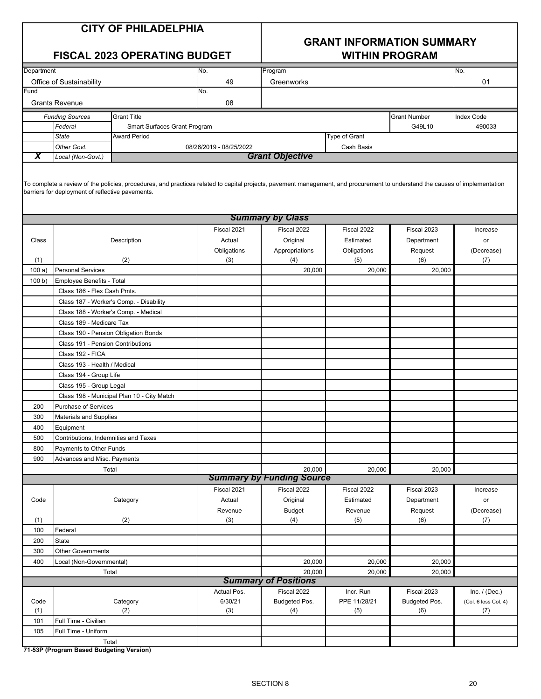### **GRANT INFORMATION SUMMARY FISCAL 2023 OPERATING BUDGET WITHIN PROGRAM**

| Department   |                                                  |                                                                                                                                                                              | No.                     | Program                                    |                    |                     | No.                  |
|--------------|--------------------------------------------------|------------------------------------------------------------------------------------------------------------------------------------------------------------------------------|-------------------------|--------------------------------------------|--------------------|---------------------|----------------------|
|              | Office of Sustainability                         |                                                                                                                                                                              | 49                      | Greenworks                                 |                    |                     | 01                   |
| Fund         |                                                  |                                                                                                                                                                              | No.                     |                                            |                    |                     |                      |
|              | <b>Grants Revenue</b>                            |                                                                                                                                                                              | 08                      |                                            |                    |                     |                      |
|              | <b>Funding Sources</b>                           | <b>Grant Title</b>                                                                                                                                                           |                         |                                            |                    | <b>Grant Number</b> | Index Code           |
|              | Federal                                          | Smart Surfaces Grant Program                                                                                                                                                 |                         |                                            |                    | G49L10              | 490033               |
|              | <b>State</b>                                     | <b>Award Period</b>                                                                                                                                                          |                         |                                            | Type of Grant      |                     |                      |
|              | Other Govt.                                      |                                                                                                                                                                              | 08/26/2019 - 08/25/2022 |                                            | Cash Basis         |                     |                      |
| х            | Local (Non-Govt.)                                |                                                                                                                                                                              |                         | <b>Grant Objective</b>                     |                    |                     |                      |
|              | barriers for deployment of reflective pavements. | To complete a review of the policies, procedures, and practices related to capital projects, pavement management, and procurement to understand the causes of implementation |                         | <b>Summary by Class</b>                    |                    |                     |                      |
|              |                                                  |                                                                                                                                                                              | Fiscal 2021             | Fiscal 2022                                | Fiscal 2022        | Fiscal 2023         | Increase             |
|              |                                                  |                                                                                                                                                                              |                         |                                            |                    |                     |                      |
| Class        |                                                  | Description                                                                                                                                                                  | Actual                  | Original                                   | Estimated          | Department          | or                   |
|              |                                                  | (2)                                                                                                                                                                          | Obligations<br>(3)      | Appropriations<br>(4)                      | Obligations<br>(5) | Request<br>(6)      | (Decrease)<br>(7)    |
| (1)<br>100a) | <b>Personal Services</b>                         |                                                                                                                                                                              |                         | 20,000                                     | 20,000             | 20,000              |                      |
| 100 b)       | <b>Employee Benefits - Total</b>                 |                                                                                                                                                                              |                         |                                            |                    |                     |                      |
|              | Class 186 - Flex Cash Pmts.                      |                                                                                                                                                                              |                         |                                            |                    |                     |                      |
|              |                                                  | Class 187 - Worker's Comp. - Disability                                                                                                                                      |                         |                                            |                    |                     |                      |
|              | Class 188 - Worker's Comp. - Medical             |                                                                                                                                                                              |                         |                                            |                    |                     |                      |
|              | Class 189 - Medicare Tax                         |                                                                                                                                                                              |                         |                                            |                    |                     |                      |
|              | Class 190 - Pension Obligation Bonds             |                                                                                                                                                                              |                         |                                            |                    |                     |                      |
|              | Class 191 - Pension Contributions                |                                                                                                                                                                              |                         |                                            |                    |                     |                      |
|              | Class 192 - FICA                                 |                                                                                                                                                                              |                         |                                            |                    |                     |                      |
|              | Class 193 - Health / Medical                     |                                                                                                                                                                              |                         |                                            |                    |                     |                      |
|              | Class 194 - Group Life                           |                                                                                                                                                                              |                         |                                            |                    |                     |                      |
|              |                                                  |                                                                                                                                                                              |                         |                                            |                    |                     |                      |
|              | Class 195 - Group Legal                          | Class 198 - Municipal Plan 10 - City Match                                                                                                                                   |                         |                                            |                    |                     |                      |
| 200          | <b>Purchase of Services</b>                      |                                                                                                                                                                              |                         |                                            |                    |                     |                      |
|              |                                                  |                                                                                                                                                                              |                         |                                            |                    |                     |                      |
| 300          | Materials and Supplies                           |                                                                                                                                                                              |                         |                                            |                    |                     |                      |
| 400          | Equipment                                        |                                                                                                                                                                              |                         |                                            |                    |                     |                      |
| 500          | Contributions, Indemnities and Taxes             |                                                                                                                                                                              |                         |                                            |                    |                     |                      |
| 800          | Payments to Other Funds                          |                                                                                                                                                                              |                         |                                            |                    |                     |                      |
| 900          | Advances and Misc. Payments                      |                                                                                                                                                                              |                         |                                            |                    |                     |                      |
|              | Total                                            |                                                                                                                                                                              |                         | 20,000<br><b>Summary by Funding Source</b> | 20,000             | 20,000              |                      |
|              |                                                  |                                                                                                                                                                              | Fiscal 2021             | Fiscal 2022                                | Fiscal 2022        | Fiscal 2023         |                      |
| Code         |                                                  | Category                                                                                                                                                                     | Actual                  | Original                                   | Estimated          | Department          | Increase             |
|              |                                                  |                                                                                                                                                                              | Revenue                 | <b>Budget</b>                              | Revenue            | Request             | or<br>(Decrease)     |
| (1)          |                                                  | (2)                                                                                                                                                                          | (3)                     | (4)                                        | (5)                | (6)                 | (7)                  |
| 100          | Federal                                          |                                                                                                                                                                              |                         |                                            |                    |                     |                      |
| 200          | <b>State</b>                                     |                                                                                                                                                                              |                         |                                            |                    |                     |                      |
| 300          | <b>Other Governments</b>                         |                                                                                                                                                                              |                         |                                            |                    |                     |                      |
| 400          | Local (Non-Governmental)                         |                                                                                                                                                                              |                         | 20,000                                     | 20,000             | 20,000              |                      |
|              |                                                  |                                                                                                                                                                              |                         | 20,000                                     | 20,000             | 20,000              |                      |
|              | Total<br><b>Summary of Positions</b>             |                                                                                                                                                                              |                         |                                            |                    |                     |                      |
|              |                                                  |                                                                                                                                                                              | Actual Pos.             | Fiscal 2022                                | Incr. Run          | Fiscal 2023         | Inc. $/$ (Dec.)      |
| Code         |                                                  | Category                                                                                                                                                                     | 6/30/21                 | Budgeted Pos.                              | PPE 11/28/21       | Budgeted Pos.       | (Col. 6 less Col. 4) |
| (1)          |                                                  | (2)                                                                                                                                                                          | (3)                     | (4)                                        | (5)                | (6)                 | (7)                  |
| 101          | Full Time - Civilian                             |                                                                                                                                                                              |                         |                                            |                    |                     |                      |
| 105          | Full Time - Uniform                              |                                                                                                                                                                              |                         |                                            |                    |                     |                      |
|              | Total                                            |                                                                                                                                                                              |                         |                                            |                    |                     |                      |
|              | 71-53P (Program Based Budgeting Version)         |                                                                                                                                                                              |                         |                                            |                    |                     |                      |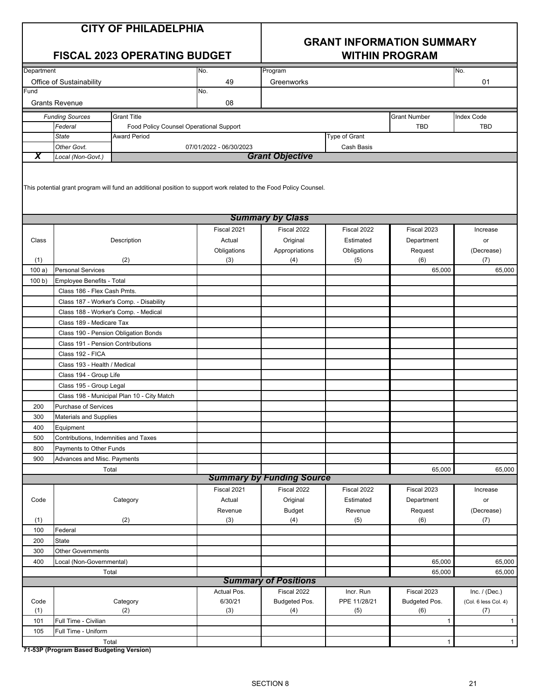|  |  | <b>CITY OF PHILADELPHIA</b> |
|--|--|-----------------------------|
|--|--|-----------------------------|

## UMMARY

|            | <b>CITY OF PHILADELPHIA</b><br><b>FISCAL 2023 OPERATING BUDGET</b> |                                                                                                                   |                         |                                  | <b>GRANT INFORMATION SUMMARY</b><br><b>WITHIN PROGRAM</b> |                     |                      |  |  |
|------------|--------------------------------------------------------------------|-------------------------------------------------------------------------------------------------------------------|-------------------------|----------------------------------|-----------------------------------------------------------|---------------------|----------------------|--|--|
|            |                                                                    |                                                                                                                   |                         |                                  |                                                           |                     |                      |  |  |
| Department |                                                                    |                                                                                                                   | No.                     | Program                          |                                                           |                     | No.                  |  |  |
| Fund       | Office of Sustainability                                           |                                                                                                                   | 49                      | Greenworks                       |                                                           |                     | 01                   |  |  |
|            |                                                                    |                                                                                                                   | No.                     |                                  |                                                           |                     |                      |  |  |
|            | <b>Grants Revenue</b>                                              |                                                                                                                   | 08                      |                                  |                                                           |                     |                      |  |  |
|            | <b>Funding Sources</b>                                             | <b>Grant Title</b>                                                                                                |                         |                                  |                                                           | <b>Grant Number</b> | Index Code           |  |  |
|            | Federal                                                            | Food Policy Counsel Operational Support                                                                           |                         |                                  |                                                           | <b>TBD</b>          | <b>TBD</b>           |  |  |
|            | <b>State</b>                                                       | <b>Award Period</b>                                                                                               |                         |                                  | Type of Grant                                             |                     |                      |  |  |
|            | Other Govt.                                                        |                                                                                                                   | 07/01/2022 - 06/30/2023 |                                  | Cash Basis                                                |                     |                      |  |  |
| X          | Local (Non-Govt.)                                                  |                                                                                                                   |                         | <b>Grant Objective</b>           |                                                           |                     |                      |  |  |
|            |                                                                    | This potential grant program will fund an additional position to support work related to the Food Policy Counsel. |                         | <b>Summary by Class</b>          |                                                           |                     |                      |  |  |
|            |                                                                    |                                                                                                                   | Fiscal 2021             | Fiscal 2022                      | Fiscal 2022                                               | Fiscal 2023         | Increase             |  |  |
| Class      |                                                                    | Description                                                                                                       | Actual                  | Original                         | Estimated                                                 | Department          | or                   |  |  |
|            |                                                                    |                                                                                                                   | Obligations             | Appropriations                   | Obligations                                               | Request             | (Decrease)           |  |  |
| (1)        |                                                                    | (2)                                                                                                               | (3)                     | (4)                              | (5)                                                       | (6)                 | (7)                  |  |  |
| 100a)      | <b>Personal Services</b>                                           |                                                                                                                   |                         |                                  |                                                           | 65,000              | 65.000               |  |  |
| 100 b)     | Employee Benefits - Total                                          |                                                                                                                   |                         |                                  |                                                           |                     |                      |  |  |
|            | Class 186 - Flex Cash Pmts.                                        |                                                                                                                   |                         |                                  |                                                           |                     |                      |  |  |
|            |                                                                    | Class 187 - Worker's Comp. - Disability                                                                           |                         |                                  |                                                           |                     |                      |  |  |
|            |                                                                    |                                                                                                                   |                         |                                  |                                                           |                     |                      |  |  |
|            | Class 188 - Worker's Comp. - Medical                               |                                                                                                                   |                         |                                  |                                                           |                     |                      |  |  |
|            | Class 189 - Medicare Tax                                           |                                                                                                                   |                         |                                  |                                                           |                     |                      |  |  |
|            | Class 190 - Pension Obligation Bonds                               |                                                                                                                   |                         |                                  |                                                           |                     |                      |  |  |
|            | Class 191 - Pension Contributions                                  |                                                                                                                   |                         |                                  |                                                           |                     |                      |  |  |
|            | Class 192 - FICA                                                   |                                                                                                                   |                         |                                  |                                                           |                     |                      |  |  |
|            | Class 193 - Health / Medical                                       |                                                                                                                   |                         |                                  |                                                           |                     |                      |  |  |
|            | Class 194 - Group Life                                             |                                                                                                                   |                         |                                  |                                                           |                     |                      |  |  |
|            | Class 195 - Group Legal                                            |                                                                                                                   |                         |                                  |                                                           |                     |                      |  |  |
|            |                                                                    | Class 198 - Municipal Plan 10 - City Match                                                                        |                         |                                  |                                                           |                     |                      |  |  |
| 200        | <b>Purchase of Services</b>                                        |                                                                                                                   |                         |                                  |                                                           |                     |                      |  |  |
| 300        | <b>Materials and Supplies</b>                                      |                                                                                                                   |                         |                                  |                                                           |                     |                      |  |  |
| 400        | Equipment                                                          |                                                                                                                   |                         |                                  |                                                           |                     |                      |  |  |
| 500        | Contributions, Indemnities and Taxes                               |                                                                                                                   |                         |                                  |                                                           |                     |                      |  |  |
| 800        | Payments to Other Funds                                            |                                                                                                                   |                         |                                  |                                                           |                     |                      |  |  |
| 900        | Advances and Misc. Payments                                        |                                                                                                                   |                         |                                  |                                                           |                     |                      |  |  |
|            | Total                                                              |                                                                                                                   |                         |                                  |                                                           | 65,000              | 65,000               |  |  |
|            |                                                                    |                                                                                                                   |                         | <b>Summary by Funding Source</b> |                                                           |                     |                      |  |  |
|            |                                                                    |                                                                                                                   | Fiscal 2021             | Fiscal 2022                      | Fiscal 2022                                               | Fiscal 2023         | Increase             |  |  |
| Code       |                                                                    | Category                                                                                                          | Actual                  | Original                         | Estimated                                                 | Department          | or                   |  |  |
|            |                                                                    |                                                                                                                   | Revenue                 | <b>Budget</b>                    | Revenue                                                   | Request             | (Decrease)           |  |  |
| (1)        |                                                                    | (2)                                                                                                               | (3)                     | (4)                              | (5)                                                       | (6)                 | (7)                  |  |  |
| 100        | Federal                                                            |                                                                                                                   |                         |                                  |                                                           |                     |                      |  |  |
| 200        | State                                                              |                                                                                                                   |                         |                                  |                                                           |                     |                      |  |  |
| 300        | <b>Other Governments</b>                                           |                                                                                                                   |                         |                                  |                                                           |                     |                      |  |  |
| 400        | Local (Non-Governmental)                                           |                                                                                                                   |                         |                                  |                                                           | 65,000              | 65,000               |  |  |
|            | Total                                                              |                                                                                                                   |                         |                                  |                                                           | 65,000              | 65,000               |  |  |
|            |                                                                    |                                                                                                                   |                         | <b>Summary of Positions</b>      |                                                           |                     |                      |  |  |
|            |                                                                    |                                                                                                                   | Actual Pos.             | Fiscal 2022                      | Incr. Run                                                 | Fiscal 2023         | Inc. $/$ (Dec.)      |  |  |
| Code       |                                                                    | Category                                                                                                          | 6/30/21                 | Budgeted Pos.                    | PPE 11/28/21                                              | Budgeted Pos.       | (Col. 6 less Col. 4) |  |  |
| (1)        |                                                                    | (2)                                                                                                               | (3)                     | (4)                              | (5)                                                       | (6)                 | (7)                  |  |  |
| 101        | Full Time - Civilian                                               |                                                                                                                   |                         |                                  |                                                           | $\mathbf{1}$        | 1                    |  |  |
| 105        | Full Time - Uniform                                                |                                                                                                                   |                         |                                  |                                                           |                     |                      |  |  |
|            | Total                                                              |                                                                                                                   |                         |                                  |                                                           | $\mathbf{1}$        | $\mathbf{1}$         |  |  |

**71-53P (Program Based Budgeting Version)**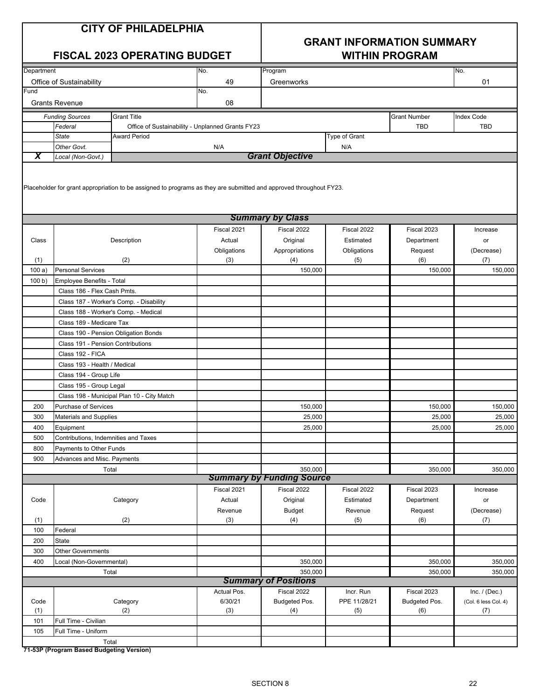| <b>CITY OF PHILADELPHIA</b> |  |
|-----------------------------|--|
|-----------------------------|--|

### **GRANT INFORMATION SUMMARY FISCAL 2023 OPERATING BUDGET WITHIN PROGRAM**

| Department |                                      |                                                                                                                    | No.                                              | Program                                |               |                     | No.                  |
|------------|--------------------------------------|--------------------------------------------------------------------------------------------------------------------|--------------------------------------------------|----------------------------------------|---------------|---------------------|----------------------|
|            | Office of Sustainability             |                                                                                                                    | 49                                               | Greenworks                             |               |                     | 01                   |
| Fund       |                                      |                                                                                                                    | No.                                              |                                        |               |                     |                      |
|            | <b>Grants Revenue</b>                |                                                                                                                    | 08                                               |                                        |               |                     |                      |
|            | <b>Funding Sources</b>               | <b>Grant Title</b>                                                                                                 |                                                  |                                        |               | <b>Grant Number</b> | <b>Index Code</b>    |
|            | Federal                              |                                                                                                                    | Office of Sustainability - Unplanned Grants FY23 |                                        |               | <b>TBD</b>          | <b>TBD</b>           |
|            | <b>State</b>                         | <b>Award Period</b>                                                                                                |                                                  |                                        | Type of Grant |                     |                      |
|            | Other Govt.                          |                                                                                                                    | N/A                                              |                                        | N/A           |                     |                      |
| X          | Local (Non-Govt.)                    |                                                                                                                    |                                                  | <b>Grant Objective</b>                 |               |                     |                      |
|            |                                      |                                                                                                                    |                                                  |                                        |               |                     |                      |
|            |                                      |                                                                                                                    |                                                  |                                        |               |                     |                      |
|            |                                      | Placeholder for grant appropriation to be assigned to programs as they are submitted and approved throughout FY23. |                                                  |                                        |               |                     |                      |
|            |                                      |                                                                                                                    |                                                  |                                        |               |                     |                      |
|            |                                      |                                                                                                                    |                                                  | <b>Summary by Class</b>                |               |                     |                      |
|            |                                      |                                                                                                                    | Fiscal 2021                                      | Fiscal 2022                            | Fiscal 2022   | Fiscal 2023         | Increase             |
| Class      |                                      | Description                                                                                                        | Actual                                           | Original                               | Estimated     | Department          | or                   |
|            |                                      |                                                                                                                    | Obligations                                      | Appropriations                         | Obligations   | Request             | (Decrease)           |
| (1)        |                                      | (2)                                                                                                                | (3)                                              | (4)                                    | (5)           | (6)                 | (7)                  |
| 100a)      | <b>Personal Services</b>             |                                                                                                                    |                                                  | 150,000                                |               | 150,000             | 150,000              |
| 100 b)     | <b>Employee Benefits - Total</b>     |                                                                                                                    |                                                  |                                        |               |                     |                      |
|            | Class 186 - Flex Cash Pmts.          |                                                                                                                    |                                                  |                                        |               |                     |                      |
|            |                                      | Class 187 - Worker's Comp. - Disability                                                                            |                                                  |                                        |               |                     |                      |
|            | Class 188 - Worker's Comp. - Medical |                                                                                                                    |                                                  |                                        |               |                     |                      |
|            | Class 189 - Medicare Tax             |                                                                                                                    |                                                  |                                        |               |                     |                      |
|            |                                      | Class 190 - Pension Obligation Bonds                                                                               |                                                  |                                        |               |                     |                      |
|            | Class 191 - Pension Contributions    |                                                                                                                    |                                                  |                                        |               |                     |                      |
|            | Class 192 - FICA                     |                                                                                                                    |                                                  |                                        |               |                     |                      |
|            | Class 193 - Health / Medical         |                                                                                                                    |                                                  |                                        |               |                     |                      |
|            | Class 194 - Group Life               |                                                                                                                    |                                                  |                                        |               |                     |                      |
|            | Class 195 - Group Legal              |                                                                                                                    |                                                  |                                        |               |                     |                      |
|            |                                      | Class 198 - Municipal Plan 10 - City Match                                                                         |                                                  |                                        |               |                     |                      |
| 200        | <b>Purchase of Services</b>          |                                                                                                                    |                                                  | 150,000                                |               | 150,000             | 150,000              |
| 300        | Materials and Supplies               |                                                                                                                    |                                                  | 25,000                                 |               | 25,000              | 25,000               |
| 400        | Equipment                            |                                                                                                                    |                                                  | 25,000                                 |               | 25,000              | 25,000               |
| 500        | Contributions, Indemnities and Taxes |                                                                                                                    |                                                  |                                        |               |                     |                      |
| 800        | Payments to Other Funds              |                                                                                                                    |                                                  |                                        |               |                     |                      |
| 900        | Advances and Misc. Payments          |                                                                                                                    |                                                  |                                        |               |                     |                      |
|            | Total                                |                                                                                                                    |                                                  | 350,000                                |               | 350,000             | 350,000              |
|            |                                      |                                                                                                                    |                                                  | <b>Summary by Funding Source</b>       |               |                     |                      |
|            |                                      |                                                                                                                    | Fiscal 2021                                      | Fiscal 2022                            | Fiscal 2022   | Fiscal 2023         | Increase             |
| Code       |                                      | Category                                                                                                           | Actual                                           | Original                               | Estimated     | Department          | or                   |
|            |                                      |                                                                                                                    | Revenue                                          | <b>Budget</b>                          | Revenue       | Request             | (Decrease)           |
| (1)        |                                      | (2)                                                                                                                | (3)                                              | (4)                                    | (5)           | (6)                 | (7)                  |
| 100        | Federal                              |                                                                                                                    |                                                  |                                        |               |                     |                      |
| 200        | State                                |                                                                                                                    |                                                  |                                        |               |                     |                      |
| 300        | <b>Other Governments</b>             |                                                                                                                    |                                                  |                                        |               |                     |                      |
| 400        | Local (Non-Governmental)             |                                                                                                                    |                                                  | 350,000                                |               | 350,000             | 350,000              |
|            | Total                                |                                                                                                                    |                                                  | 350,000<br><b>Summary of Positions</b> |               | 350,000             | 350,000              |
|            |                                      |                                                                                                                    | Actual Pos.                                      | Fiscal 2022                            | Incr. Run     | Fiscal 2023         | Inc. $/$ (Dec.)      |
| Code       |                                      | Category                                                                                                           | 6/30/21                                          | Budgeted Pos.                          | PPE 11/28/21  | Budgeted Pos.       | (Col. 6 less Col. 4) |
| (1)        |                                      | (2)                                                                                                                | (3)                                              | (4)                                    | (5)           | (6)                 | (7)                  |
| 101        | Full Time - Civilian                 |                                                                                                                    |                                                  |                                        |               |                     |                      |
| 105        | Full Time - Uniform                  |                                                                                                                    |                                                  |                                        |               |                     |                      |
|            | Total                                |                                                                                                                    |                                                  |                                        |               |                     |                      |
|            |                                      |                                                                                                                    |                                                  |                                        |               |                     |                      |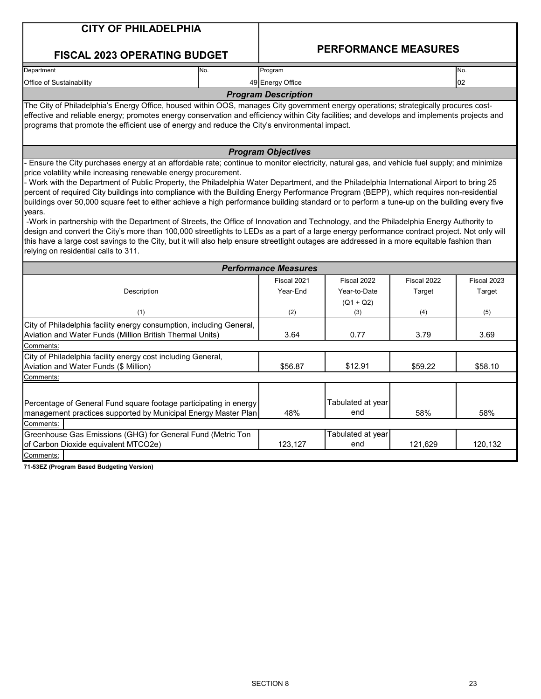| <b>CITY OF PHILADELPHIA</b>                                                                                                                                                                                                                                                                                                                                                                                                                                                                                                                                                                                                                                                                                                                                                                                                                                                                                                                                                                                                                                                                                                                    |                             |                             |             |             |
|------------------------------------------------------------------------------------------------------------------------------------------------------------------------------------------------------------------------------------------------------------------------------------------------------------------------------------------------------------------------------------------------------------------------------------------------------------------------------------------------------------------------------------------------------------------------------------------------------------------------------------------------------------------------------------------------------------------------------------------------------------------------------------------------------------------------------------------------------------------------------------------------------------------------------------------------------------------------------------------------------------------------------------------------------------------------------------------------------------------------------------------------|-----------------------------|-----------------------------|-------------|-------------|
| <b>FISCAL 2023 OPERATING BUDGET</b>                                                                                                                                                                                                                                                                                                                                                                                                                                                                                                                                                                                                                                                                                                                                                                                                                                                                                                                                                                                                                                                                                                            |                             | <b>PERFORMANCE MEASURES</b> |             |             |
| Department<br>No.                                                                                                                                                                                                                                                                                                                                                                                                                                                                                                                                                                                                                                                                                                                                                                                                                                                                                                                                                                                                                                                                                                                              | Program                     |                             |             | No.         |
| Office of Sustainability                                                                                                                                                                                                                                                                                                                                                                                                                                                                                                                                                                                                                                                                                                                                                                                                                                                                                                                                                                                                                                                                                                                       | 49 Energy Office            |                             |             | 02          |
|                                                                                                                                                                                                                                                                                                                                                                                                                                                                                                                                                                                                                                                                                                                                                                                                                                                                                                                                                                                                                                                                                                                                                | <b>Program Description</b>  |                             |             |             |
| The City of Philadelphia's Energy Office, housed within OOS, manages City government energy operations; strategically procures cost-                                                                                                                                                                                                                                                                                                                                                                                                                                                                                                                                                                                                                                                                                                                                                                                                                                                                                                                                                                                                           |                             |                             |             |             |
| effective and reliable energy; promotes energy conservation and efficiency within City facilities; and develops and implements projects and<br>programs that promote the efficient use of energy and reduce the City's environmental impact.                                                                                                                                                                                                                                                                                                                                                                                                                                                                                                                                                                                                                                                                                                                                                                                                                                                                                                   |                             |                             |             |             |
|                                                                                                                                                                                                                                                                                                                                                                                                                                                                                                                                                                                                                                                                                                                                                                                                                                                                                                                                                                                                                                                                                                                                                | <b>Program Objectives</b>   |                             |             |             |
| Ensure the City purchases energy at an affordable rate; continue to monitor electricity, natural gas, and vehicle fuel supply; and minimize<br>price volatility while increasing renewable energy procurement.<br>- Work with the Department of Public Property, the Philadelphia Water Department, and the Philadelphia International Airport to bring 25<br>percent of required City buildings into compliance with the Building Energy Performance Program (BEPP), which requires non-residential<br>buildings over 50,000 square feet to either achieve a high performance building standard or to perform a tune-up on the building every five<br>years.<br>-Work in partnership with the Department of Streets, the Office of Innovation and Technology, and the Philadelphia Energy Authority to<br>design and convert the City's more than 100,000 streetlights to LEDs as a part of a large energy performance contract project. Not only will<br>this have a large cost savings to the City, but it will also help ensure streetlight outages are addressed in a more equitable fashion than<br>relying on residential calls to 311. |                             |                             |             |             |
|                                                                                                                                                                                                                                                                                                                                                                                                                                                                                                                                                                                                                                                                                                                                                                                                                                                                                                                                                                                                                                                                                                                                                | <b>Performance Measures</b> |                             |             |             |
|                                                                                                                                                                                                                                                                                                                                                                                                                                                                                                                                                                                                                                                                                                                                                                                                                                                                                                                                                                                                                                                                                                                                                | Fiscal 2021                 | Fiscal 2022                 | Fiscal 2022 | Fiscal 2023 |
| Description                                                                                                                                                                                                                                                                                                                                                                                                                                                                                                                                                                                                                                                                                                                                                                                                                                                                                                                                                                                                                                                                                                                                    | Year-End                    | Year-to-Date                | Target      | Target      |
|                                                                                                                                                                                                                                                                                                                                                                                                                                                                                                                                                                                                                                                                                                                                                                                                                                                                                                                                                                                                                                                                                                                                                |                             | $(Q1 + Q2)$                 |             |             |
| (1)                                                                                                                                                                                                                                                                                                                                                                                                                                                                                                                                                                                                                                                                                                                                                                                                                                                                                                                                                                                                                                                                                                                                            | (2)                         | (3)                         | (4)         | (5)         |
| City of Philadelphia facility energy consumption, including General,<br>Aviation and Water Funds (Million British Thermal Units)                                                                                                                                                                                                                                                                                                                                                                                                                                                                                                                                                                                                                                                                                                                                                                                                                                                                                                                                                                                                               | 3.64                        | 0.77                        | 3.79        | 3.69        |
| Comments:                                                                                                                                                                                                                                                                                                                                                                                                                                                                                                                                                                                                                                                                                                                                                                                                                                                                                                                                                                                                                                                                                                                                      |                             |                             |             |             |
| City of Philadelphia facility energy cost including General,                                                                                                                                                                                                                                                                                                                                                                                                                                                                                                                                                                                                                                                                                                                                                                                                                                                                                                                                                                                                                                                                                   |                             |                             |             |             |
| Aviation and Water Funds (\$ Million)                                                                                                                                                                                                                                                                                                                                                                                                                                                                                                                                                                                                                                                                                                                                                                                                                                                                                                                                                                                                                                                                                                          | \$56.87                     | \$12.91                     | \$59.22     | \$58.10     |
| Comments:                                                                                                                                                                                                                                                                                                                                                                                                                                                                                                                                                                                                                                                                                                                                                                                                                                                                                                                                                                                                                                                                                                                                      |                             |                             |             |             |
| Percentage of General Fund square footage participating in energy<br>management practices supported by Municipal Energy Master Plan                                                                                                                                                                                                                                                                                                                                                                                                                                                                                                                                                                                                                                                                                                                                                                                                                                                                                                                                                                                                            | 48%                         | Tabulated at year<br>end    | 58%         | 58%         |
| Comments:                                                                                                                                                                                                                                                                                                                                                                                                                                                                                                                                                                                                                                                                                                                                                                                                                                                                                                                                                                                                                                                                                                                                      |                             |                             |             |             |
| Greenhouse Gas Emissions (GHG) for General Fund (Metric Ton<br>of Carbon Dioxide equivalent MTCO2e)                                                                                                                                                                                                                                                                                                                                                                                                                                                                                                                                                                                                                                                                                                                                                                                                                                                                                                                                                                                                                                            | 123,127                     | Tabulated at year<br>end    | 121,629     | 120,132     |
| Comments:                                                                                                                                                                                                                                                                                                                                                                                                                                                                                                                                                                                                                                                                                                                                                                                                                                                                                                                                                                                                                                                                                                                                      |                             |                             |             |             |
| 71-53EZ (Program Based Budgeting Version)                                                                                                                                                                                                                                                                                                                                                                                                                                                                                                                                                                                                                                                                                                                                                                                                                                                                                                                                                                                                                                                                                                      |                             |                             |             |             |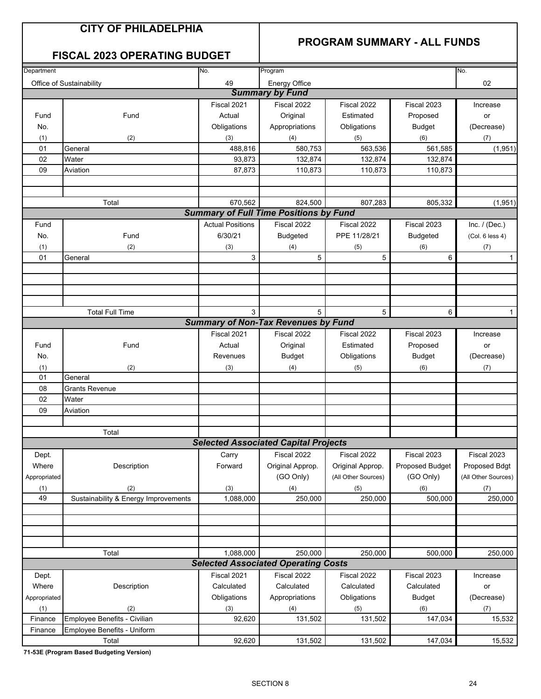### **PROGRAM SUMMARY - ALL FUNDS**

### **FISCAL 2023 OPERATING BUDGET**

| Department   |                                      | No.                     | Program                                       |                     | No.             |                     |  |
|--------------|--------------------------------------|-------------------------|-----------------------------------------------|---------------------|-----------------|---------------------|--|
|              | Office of Sustainability             | 49                      | <b>Energy Office</b>                          |                     |                 | 02                  |  |
|              |                                      |                         | <b>Summary by Fund</b>                        |                     |                 |                     |  |
|              |                                      | Fiscal 2021             | Fiscal 2022                                   | Fiscal 2022         | Fiscal 2023     |                     |  |
| Fund         | Fund                                 | Actual                  | Original                                      | Estimated           | Proposed        | Increase            |  |
|              |                                      |                         |                                               |                     |                 | or                  |  |
| No.          |                                      | Obligations             | Appropriations                                | Obligations         | <b>Budget</b>   | (Decrease)          |  |
| (1)          | (2)                                  | (3)                     | (4)                                           | (5)                 | (6)             | (7)                 |  |
| 01           | General                              | 488,816                 | 580,753                                       | 563,536             | 561,585         | (1,951)             |  |
| 02           | Water                                | 93,873                  | 132,874                                       | 132,874             | 132,874         |                     |  |
| 09           | Aviation                             | 87,873                  | 110,873                                       | 110,873             | 110,873         |                     |  |
|              |                                      |                         |                                               |                     |                 |                     |  |
|              |                                      |                         |                                               |                     |                 |                     |  |
|              | Total                                | 670,562                 | 824,500                                       | 807,283             | 805,332         | (1,951)             |  |
|              |                                      |                         | <b>Summary of Full Time Positions by Fund</b> |                     |                 |                     |  |
| Fund         |                                      | <b>Actual Positions</b> | Fiscal 2022                                   | Fiscal 2022         | Fiscal 2023     | Inc. $/$ (Dec.)     |  |
| No.          | Fund                                 | 6/30/21                 | <b>Budgeted</b>                               | PPE 11/28/21        | <b>Budgeted</b> | (Col. 6 less 4)     |  |
| (1)          | (2)                                  | (3)                     | (4)                                           | (5)                 | (6)             | (7)                 |  |
| 01           | General                              | 3                       | 5                                             | 5                   | 6               | 1                   |  |
|              |                                      |                         |                                               |                     |                 |                     |  |
|              |                                      |                         |                                               |                     |                 |                     |  |
|              |                                      |                         |                                               |                     |                 |                     |  |
|              |                                      |                         |                                               |                     |                 |                     |  |
|              | <b>Total Full Time</b>               | 3                       | 5                                             | 5                   | 6               | $\mathbf 1$         |  |
|              |                                      |                         | <b>Summary of Non-Tax Revenues by Fund</b>    |                     |                 |                     |  |
|              |                                      | Fiscal 2021             | Fiscal 2022                                   | Fiscal 2022         | Fiscal 2023     | Increase            |  |
| Fund         | Fund                                 | Actual                  | Original                                      | Estimated           | Proposed        | or                  |  |
| No.          |                                      | Revenues                | <b>Budget</b>                                 | Obligations         | <b>Budget</b>   | (Decrease)          |  |
| (1)          | (2)                                  | (3)                     | (4)                                           | (5)                 | (6)             | (7)                 |  |
| 01           | General                              |                         |                                               |                     |                 |                     |  |
| 08           | <b>Grants Revenue</b>                |                         |                                               |                     |                 |                     |  |
| 02           | Water                                |                         |                                               |                     |                 |                     |  |
| 09           | Aviation                             |                         |                                               |                     |                 |                     |  |
|              |                                      |                         |                                               |                     |                 |                     |  |
|              | Total                                |                         |                                               |                     |                 |                     |  |
|              |                                      |                         | <b>Selected Associated Capital Projects</b>   |                     |                 |                     |  |
| Dept.        |                                      | Carry                   | Fiscal 2022                                   | Fiscal 2022         | Fiscal 2023     | Fiscal 2023         |  |
| Where        | Description                          | Forward                 | Original Approp.                              | Original Approp.    | Proposed Budget | Proposed Bdgt       |  |
| Appropriated |                                      |                         | (GO Only)                                     | (All Other Sources) | (GO Only)       | (All Other Sources) |  |
| (1)          | (2)                                  | (3)                     | (4)                                           | (5)                 | (6)             | (7)                 |  |
| 49           | Sustainability & Energy Improvements | 1,088,000               | 250,000                                       | 250,000             | 500,000         | 250,000             |  |
|              |                                      |                         |                                               |                     |                 |                     |  |
|              |                                      |                         |                                               |                     |                 |                     |  |
|              |                                      |                         |                                               |                     |                 |                     |  |
|              |                                      |                         |                                               |                     |                 |                     |  |
|              | Total                                | 1,088,000               | 250,000                                       | 250,000             | 500,000         | 250,000             |  |
|              |                                      |                         | <b>Selected Associated Operating Costs</b>    |                     |                 |                     |  |
|              |                                      | Fiscal 2021             | Fiscal 2022                                   | Fiscal 2022         | Fiscal 2023     | Increase            |  |
| Dept.        |                                      |                         | Calculated                                    | Calculated          | Calculated      |                     |  |
| Where        | Description                          | Calculated              |                                               |                     |                 | or                  |  |
| Appropriated |                                      | Obligations             | Appropriations                                | Obligations         | <b>Budget</b>   | (Decrease)          |  |
| (1)          | (2)                                  | (3)                     | (4)                                           | (5)                 | (6)             | (7)                 |  |
| Finance      | Employee Benefits - Civilian         | 92,620                  | 131,502                                       | 131,502             | 147,034         | 15,532              |  |
| Finance      | Employee Benefits - Uniform          |                         |                                               |                     |                 |                     |  |
|              | Total                                | 92,620                  | 131,502                                       | 131,502             | 147,034         | 15,532              |  |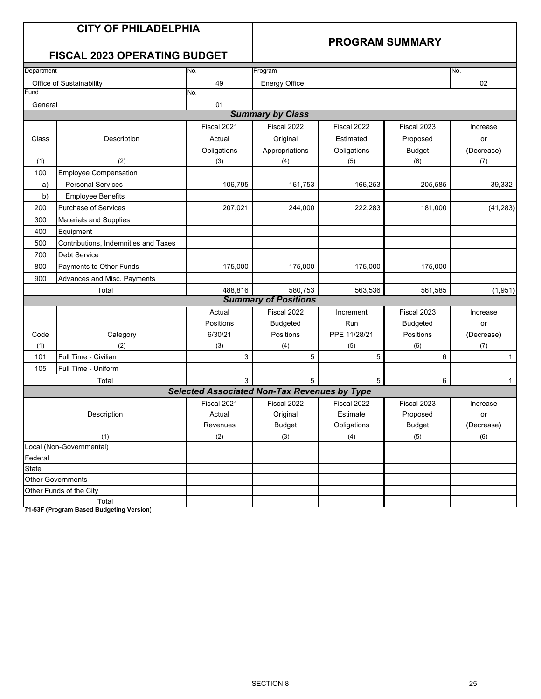### **PROGRAM SUMMARY**

### **FISCAL 2023 OPERATING BUDGET**

| Department   |                                      | No.                                                 | Program                     |              |                 | No.          |
|--------------|--------------------------------------|-----------------------------------------------------|-----------------------------|--------------|-----------------|--------------|
|              | Office of Sustainability             | 49                                                  | <b>Energy Office</b>        |              |                 | 02           |
| Fund         |                                      | No.                                                 |                             |              |                 |              |
| General      |                                      | 01                                                  |                             |              |                 |              |
|              |                                      |                                                     | <b>Summary by Class</b>     |              |                 |              |
|              |                                      | Fiscal 2021                                         | Fiscal 2022                 | Fiscal 2022  | Fiscal 2023     | Increase     |
| Class        | Description                          | Actual                                              | Original                    | Estimated    | Proposed        | or           |
|              |                                      | Obligations                                         | Appropriations              | Obligations  | <b>Budget</b>   | (Decrease)   |
| (1)          | (2)                                  | (3)                                                 | (4)                         | (5)          | (6)             | (7)          |
| 100          | <b>Employee Compensation</b>         |                                                     |                             |              |                 |              |
| a)           | <b>Personal Services</b>             | 106,795                                             | 161,753                     | 166,253      | 205,585         | 39,332       |
| b)           | <b>Employee Benefits</b>             |                                                     |                             |              |                 |              |
| 200          | Purchase of Services                 | 207,021                                             | 244,000                     | 222,283      | 181,000         | (41, 283)    |
| 300          | <b>Materials and Supplies</b>        |                                                     |                             |              |                 |              |
| 400          | Equipment                            |                                                     |                             |              |                 |              |
| 500          | Contributions, Indemnities and Taxes |                                                     |                             |              |                 |              |
| 700          | <b>Debt Service</b>                  |                                                     |                             |              |                 |              |
| 800          | Payments to Other Funds              | 175,000                                             | 175,000                     | 175,000      | 175.000         |              |
| 900          | Advances and Misc. Payments          |                                                     |                             |              |                 |              |
|              | Total                                | 488,816                                             | 580.753                     | 563,536      | 561,585         | (1,951)      |
|              |                                      |                                                     | <b>Summary of Positions</b> |              |                 |              |
|              |                                      | Actual                                              | Fiscal 2022                 | Increment    | Fiscal 2023     | Increase     |
|              |                                      | Positions                                           | <b>Budgeted</b>             | Run          | <b>Budgeted</b> | or           |
| Code         | Category                             | 6/30/21                                             | Positions                   | PPE 11/28/21 | Positions       | (Decrease)   |
| (1)          | (2)                                  | (3)                                                 | (4)                         | (5)          | (6)             | (7)          |
| 101          | Full Time - Civilian                 | 3                                                   | 5                           | 5            | 6               | $\mathbf{1}$ |
| 105          | Full Time - Uniform                  |                                                     |                             |              |                 |              |
|              | Total                                | 3                                                   | 5                           | 5            | $\,6\,$         | $\mathbf{1}$ |
|              |                                      | <b>Selected Associated Non-Tax Revenues by Type</b> |                             |              |                 |              |
|              |                                      | Fiscal 2021                                         | Fiscal 2022                 | Fiscal 2022  | Fiscal 2023     | Increase     |
|              | Description                          | Actual                                              | Original                    | Estimate     | Proposed        | or           |
|              |                                      | Revenues                                            | Budget                      | Obligations  | <b>Budget</b>   | (Decrease)   |
|              | (1)                                  | (2)                                                 | (3)                         | (4)          | (5)             | (6)          |
|              | Local (Non-Governmental)             |                                                     |                             |              |                 |              |
| Federal      |                                      |                                                     |                             |              |                 |              |
| <b>State</b> |                                      |                                                     |                             |              |                 |              |
|              | <b>Other Governments</b>             |                                                     |                             |              |                 |              |
|              | Other Funds of the City              |                                                     |                             |              |                 |              |
|              | Total                                |                                                     |                             |              |                 |              |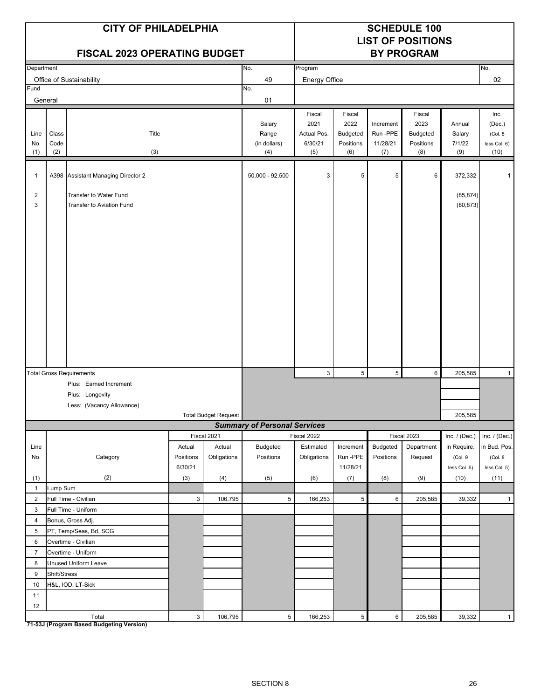|                     |                      | <b>CITY OF PHILADELPHIA</b><br><b>FISCAL 2023 OPERATING BUDGET</b> |                           |                             |                                        | <b>SCHEDULE 100</b><br><b>LIST OF POSITIONS</b><br><b>BY PROGRAM</b> |                                      |                                          |                                             |                                   |                                            |
|---------------------|----------------------|--------------------------------------------------------------------|---------------------------|-----------------------------|----------------------------------------|----------------------------------------------------------------------|--------------------------------------|------------------------------------------|---------------------------------------------|-----------------------------------|--------------------------------------------|
| Department          |                      |                                                                    |                           |                             | No.                                    | Program                                                              |                                      |                                          |                                             |                                   | No.                                        |
|                     |                      | Office of Sustainability                                           |                           |                             | 49                                     | Energy Office                                                        |                                      |                                          |                                             |                                   | 02                                         |
| Fund<br>General     |                      |                                                                    |                           |                             | No.<br>01                              |                                                                      |                                      |                                          |                                             |                                   |                                            |
|                     |                      |                                                                    |                           |                             |                                        | Fiscal                                                               | Fiscal                               |                                          | Fiscal                                      |                                   | Inc.                                       |
| Line<br>No.<br>(1)  | Class<br>Code<br>(2) | Title<br>(3)                                                       |                           |                             | Salary<br>Range<br>(in dollars)<br>(4) | 2021<br>Actual Pos.<br>6/30/21<br>(5)                                | 2022<br>Budgeted<br>Positions<br>(6) | Increment<br>Run -PPE<br>11/28/21<br>(7) | 2023<br><b>Budgeted</b><br>Positions<br>(8) | Annual<br>Salary<br>7/1/22<br>(9) | (Dec.)<br>(Col. 8)<br>less Col. 6)<br>(10) |
|                     |                      |                                                                    |                           |                             |                                        |                                                                      |                                      |                                          |                                             |                                   |                                            |
| $\mathbf{1}$        |                      | A398 Assistant Managing Director 2                                 |                           |                             | $50,000 - 92,500$                      | 3                                                                    | 5                                    | 5                                        | 6                                           | 372,332                           | $\mathbf 1$                                |
| $\overline{2}$<br>3 |                      | Transfer to Water Fund<br><b>Transfer to Aviation Fund</b>         |                           |                             |                                        |                                                                      |                                      |                                          |                                             | (85, 874)<br>(80, 873)            |                                            |
|                     |                      |                                                                    |                           |                             |                                        |                                                                      |                                      |                                          |                                             |                                   |                                            |
|                     |                      | <b>Total Gross Requirements</b>                                    |                           |                             |                                        | 3                                                                    | $\mathbf 5$                          | $5\phantom{.0}$                          | 6                                           | 205,585                           | $\mathbf{1}$                               |
|                     |                      | Plus: Earned Increment                                             |                           |                             |                                        |                                                                      |                                      |                                          |                                             |                                   |                                            |
|                     |                      | Plus: Longevity                                                    |                           |                             |                                        |                                                                      |                                      |                                          |                                             |                                   |                                            |
|                     |                      | Less: (Vacancy Allowance)                                          |                           |                             |                                        |                                                                      |                                      |                                          |                                             |                                   |                                            |
|                     |                      |                                                                    |                           | <b>Total Budget Request</b> |                                        |                                                                      |                                      |                                          |                                             | 205,585                           |                                            |
|                     |                      |                                                                    |                           |                             | <b>Summary of Personal Services</b>    |                                                                      |                                      |                                          |                                             |                                   |                                            |
| Line                |                      |                                                                    | Actual                    | Fiscal 2021<br>Actual       | Budgeted                               | Fiscal 2022<br>Estimated                                             | Increment                            | Budgeted                                 | Fiscal 2023<br>Department                   | Inc. / (Dec.)<br>in Require.      | Inc. $/$ (Dec.)<br>in Bud. Pos.            |
| No.                 |                      | Category                                                           | Positions<br>6/30/21      | Obligations                 | Positions                              | Obligations                                                          | Run-PPE<br>11/28/21                  | Positions                                | Request                                     | (Col. 9<br>less Col. 6)           | (Col. 8)<br>less Col. 5)                   |
| (1)                 |                      | (2)                                                                | (3)                       | (4)                         | (5)                                    | (6)                                                                  | (7)                                  | (8)                                      | (9)                                         | (10)                              | (11)                                       |
| $\mathbf{1}$        | Lump Sum             |                                                                    |                           |                             |                                        |                                                                      |                                      |                                          |                                             |                                   |                                            |
| $\overline{2}$      |                      | Full Time - Civilian                                               | $\mathbf{3}$              | 106,795                     | $5\,$                                  | 166,253                                                              | $\sqrt{5}$                           | $\,6\,$                                  | 205,585                                     | 39,332                            | $\mathbf{1}$                               |
| 3                   |                      | Full Time - Uniform                                                |                           |                             |                                        |                                                                      |                                      |                                          |                                             |                                   |                                            |
| 4                   |                      | Bonus, Gross Adj.                                                  |                           |                             |                                        |                                                                      |                                      |                                          |                                             |                                   |                                            |
| 5                   |                      | PT, Temp/Seas, Bd, SCG                                             |                           |                             |                                        |                                                                      |                                      |                                          |                                             |                                   |                                            |
| 6                   |                      | Overtime - Civilian                                                |                           |                             |                                        |                                                                      |                                      |                                          |                                             |                                   |                                            |
| $\overline{7}$      |                      | Overtime - Uniform                                                 |                           |                             |                                        |                                                                      |                                      |                                          |                                             |                                   |                                            |
| 8                   |                      | Unused Uniform Leave                                               |                           |                             |                                        |                                                                      |                                      |                                          |                                             |                                   |                                            |
| 9                   | Shift/Stress         |                                                                    |                           |                             |                                        |                                                                      |                                      |                                          |                                             |                                   |                                            |
| 10                  |                      | H&L, IOD, LT-Sick                                                  |                           |                             |                                        |                                                                      |                                      |                                          |                                             |                                   |                                            |
| 11<br>12            |                      |                                                                    |                           |                             |                                        |                                                                      |                                      |                                          |                                             |                                   |                                            |
|                     |                      | Total                                                              | $\ensuremath{\mathsf{3}}$ | 106,795                     | $\sqrt{5}$                             | 166,253                                                              | $\sqrt{5}$                           | $\,6\,$                                  | 205,585                                     | 39,332                            | $\mathbf{1}$                               |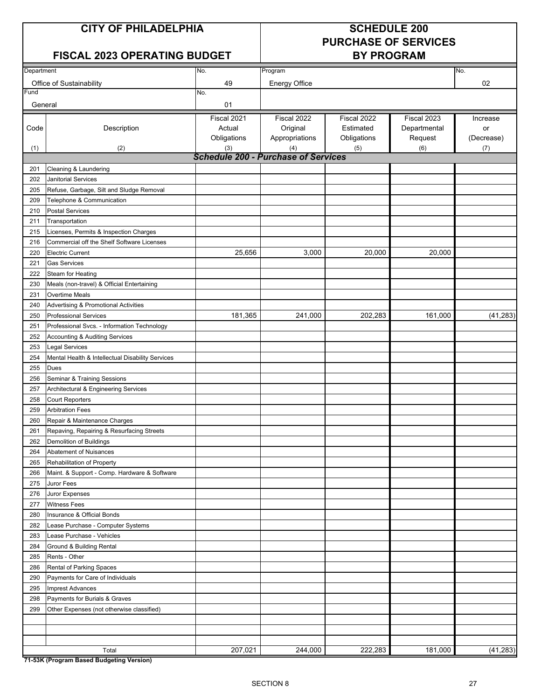### **CITY OF PHILADELPHIA SCHEDULE 200**

# **PURCHASE OF SERVICES**

### **FISCAL 2023 OPERATING BUDGET BY PROGRAM**

| Department |                                                  | No.                                        | Program              |             |              | No.        |
|------------|--------------------------------------------------|--------------------------------------------|----------------------|-------------|--------------|------------|
|            | Office of Sustainability                         | 49                                         | <b>Energy Office</b> |             |              | 02         |
| Fund       |                                                  | No.                                        |                      |             |              |            |
| General    |                                                  | 01                                         |                      |             |              |            |
|            |                                                  | Fiscal 2021                                | Fiscal 2022          | Fiscal 2022 | Fiscal 2023  | Increase   |
| Code       | Description                                      | Actual                                     | Original             | Estimated   | Departmental | or         |
|            |                                                  | Obligations                                | Appropriations       | Obligations | Request      | (Decrease) |
| (1)        | (2)                                              | (3)                                        | (4)                  | (5)         | (6)          | (7)        |
|            |                                                  | <b>Schedule 200 - Purchase of Services</b> |                      |             |              |            |
| 201        | Cleaning & Laundering                            |                                            |                      |             |              |            |
| 202        | Janitorial Services                              |                                            |                      |             |              |            |
| 205        | Refuse, Garbage, Silt and Sludge Removal         |                                            |                      |             |              |            |
| 209        | Telephone & Communication                        |                                            |                      |             |              |            |
| 210        | <b>Postal Services</b>                           |                                            |                      |             |              |            |
| 211        | Transportation                                   |                                            |                      |             |              |            |
| 215        | Licenses, Permits & Inspection Charges           |                                            |                      |             |              |            |
| 216        | Commercial off the Shelf Software Licenses       |                                            |                      |             |              |            |
| 220        | <b>Electric Current</b>                          | 25,656                                     | 3,000                | 20,000      | 20,000       |            |
| 221        | <b>Gas Services</b>                              |                                            |                      |             |              |            |
| 222        | Steam for Heating                                |                                            |                      |             |              |            |
| 230        | Meals (non-travel) & Official Entertaining       |                                            |                      |             |              |            |
| 231        | Overtime Meals                                   |                                            |                      |             |              |            |
| 240        | Advertising & Promotional Activities             |                                            |                      |             |              |            |
| 250        | <b>Professional Services</b>                     | 181,365                                    | 241,000              | 202,283     | 161,000      | (41, 283)  |
| 251        | Professional Svcs. - Information Technology      |                                            |                      |             |              |            |
| 252        | Accounting & Auditing Services                   |                                            |                      |             |              |            |
| 253        | <b>Legal Services</b>                            |                                            |                      |             |              |            |
| 254        | Mental Health & Intellectual Disability Services |                                            |                      |             |              |            |
| 255        | Dues                                             |                                            |                      |             |              |            |
| 256        | Seminar & Training Sessions                      |                                            |                      |             |              |            |
| 257        | Architectural & Engineering Services             |                                            |                      |             |              |            |
| 258        | <b>Court Reporters</b>                           |                                            |                      |             |              |            |
| 259        | <b>Arbitration Fees</b>                          |                                            |                      |             |              |            |
| 260        | Repair & Maintenance Charges                     |                                            |                      |             |              |            |
| 261        | Repaving, Repairing & Resurfacing Streets        |                                            |                      |             |              |            |
| 262        | Demolition of Buildings                          |                                            |                      |             |              |            |
| 264        | <b>Abatement of Nuisances</b>                    |                                            |                      |             |              |            |
| 265        | Rehabilitation of Property                       |                                            |                      |             |              |            |
| 266        | Maint. & Support - Comp. Hardware & Software     |                                            |                      |             |              |            |
| 275        | Juror Fees                                       |                                            |                      |             |              |            |
| 276        | Juror Expenses                                   |                                            |                      |             |              |            |
| 277        | <b>Witness Fees</b>                              |                                            |                      |             |              |            |
| 280        | Insurance & Official Bonds                       |                                            |                      |             |              |            |
| 282        | Lease Purchase - Computer Systems                |                                            |                      |             |              |            |
| 283        | Lease Purchase - Vehicles                        |                                            |                      |             |              |            |
| 284        | Ground & Building Rental                         |                                            |                      |             |              |            |
| 285        | Rents - Other                                    |                                            |                      |             |              |            |
| 286        | Rental of Parking Spaces                         |                                            |                      |             |              |            |
| 290        | Payments for Care of Individuals                 |                                            |                      |             |              |            |
| 295        | <b>Imprest Advances</b>                          |                                            |                      |             |              |            |
| 298        | Payments for Burials & Graves                    |                                            |                      |             |              |            |
| 299        | Other Expenses (not otherwise classified)        |                                            |                      |             |              |            |
|            |                                                  |                                            |                      |             |              |            |
|            |                                                  |                                            |                      |             |              |            |
|            |                                                  |                                            |                      |             |              |            |
|            | Total                                            | 207,021                                    | 244,000              | 222,283     | 181,000      | (41, 283)  |
|            | 74 E2K (Drogram Depad Dudgeting Version)         |                                            |                      |             |              |            |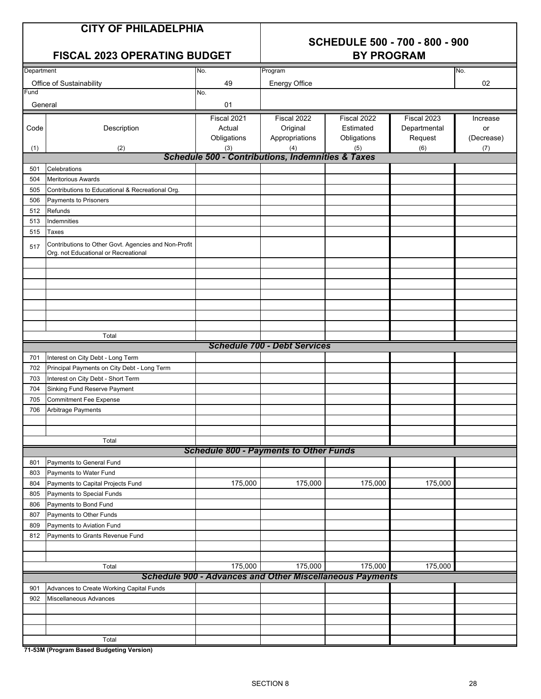## **SCHEDULE 500 - 700 - 800 - 900**

|            | <b>FISCAL 2023 OPERATING BUDGET</b>                                                          |                                                                 | <b>BY PROGRAM</b>                   |             |              |            |  |
|------------|----------------------------------------------------------------------------------------------|-----------------------------------------------------------------|-------------------------------------|-------------|--------------|------------|--|
| Department |                                                                                              | No.                                                             | Program                             |             |              | No.        |  |
|            | Office of Sustainability                                                                     | 49                                                              | <b>Energy Office</b>                |             |              | 02         |  |
| Fund       |                                                                                              | No.                                                             |                                     |             |              |            |  |
| General    |                                                                                              | 01                                                              |                                     |             |              |            |  |
|            |                                                                                              | Fiscal 2021                                                     | Fiscal 2022                         | Fiscal 2022 | Fiscal 2023  | Increase   |  |
| Code       | Description                                                                                  | Actual                                                          | Original                            | Estimated   | Departmental | or         |  |
|            |                                                                                              | Obligations                                                     | Appropriations                      | Obligations | Request      | (Decrease) |  |
| (1)        | (2)                                                                                          | (3)                                                             | (4)                                 | (5)         | (6)          | (7)        |  |
|            |                                                                                              | <b>Schedule 500 - Contributions, Indemnities &amp; Taxes</b>    |                                     |             |              |            |  |
| 501        | Celebrations                                                                                 |                                                                 |                                     |             |              |            |  |
| 504        | <b>Meritorious Awards</b>                                                                    |                                                                 |                                     |             |              |            |  |
| 505        | Contributions to Educational & Recreational Org.                                             |                                                                 |                                     |             |              |            |  |
| 506        | Payments to Prisoners                                                                        |                                                                 |                                     |             |              |            |  |
| 512        | Refunds                                                                                      |                                                                 |                                     |             |              |            |  |
| 513        | Indemnities                                                                                  |                                                                 |                                     |             |              |            |  |
| 515        | Taxes                                                                                        |                                                                 |                                     |             |              |            |  |
| 517        | Contributions to Other Govt. Agencies and Non-Profit<br>Org. not Educational or Recreational |                                                                 |                                     |             |              |            |  |
|            |                                                                                              |                                                                 |                                     |             |              |            |  |
|            |                                                                                              |                                                                 |                                     |             |              |            |  |
|            |                                                                                              |                                                                 |                                     |             |              |            |  |
|            |                                                                                              |                                                                 |                                     |             |              |            |  |
|            |                                                                                              |                                                                 |                                     |             |              |            |  |
|            |                                                                                              |                                                                 |                                     |             |              |            |  |
|            |                                                                                              |                                                                 |                                     |             |              |            |  |
|            | Total                                                                                        |                                                                 | <b>Schedule 700 - Debt Services</b> |             |              |            |  |
|            |                                                                                              |                                                                 |                                     |             |              |            |  |
| 701        | Interest on City Debt - Long Term                                                            |                                                                 |                                     |             |              |            |  |
| 702        | Principal Payments on City Debt - Long Term                                                  |                                                                 |                                     |             |              |            |  |
| 703        | Interest on City Debt - Short Term                                                           |                                                                 |                                     |             |              |            |  |
| 704        | Sinking Fund Reserve Payment                                                                 |                                                                 |                                     |             |              |            |  |
| 705        | <b>Commitment Fee Expense</b>                                                                |                                                                 |                                     |             |              |            |  |
| 706        | Arbitrage Payments                                                                           |                                                                 |                                     |             |              |            |  |
|            |                                                                                              |                                                                 |                                     |             |              |            |  |
|            | Total                                                                                        |                                                                 |                                     |             |              |            |  |
|            |                                                                                              | <b>Schedule 800 - Payments to Other Funds</b>                   |                                     |             |              |            |  |
| 801        | Payments to General Fund                                                                     |                                                                 |                                     |             |              |            |  |
| 803        | Payments to Water Fund                                                                       |                                                                 |                                     |             |              |            |  |
| 804        | Payments to Capital Projects Fund                                                            | 175,000                                                         | 175,000                             | 175,000     | 175,000      |            |  |
| 805        | Payments to Special Funds                                                                    |                                                                 |                                     |             |              |            |  |
| 806        | Payments to Bond Fund                                                                        |                                                                 |                                     |             |              |            |  |
| 807        | Payments to Other Funds                                                                      |                                                                 |                                     |             |              |            |  |
| 809        | Payments to Aviation Fund                                                                    |                                                                 |                                     |             |              |            |  |
| 812        | Payments to Grants Revenue Fund                                                              |                                                                 |                                     |             |              |            |  |
|            |                                                                                              |                                                                 |                                     |             |              |            |  |
|            |                                                                                              |                                                                 |                                     |             |              |            |  |
|            | Total                                                                                        | 175,000                                                         | 175,000                             | 175,000     | 175,000      |            |  |
|            |                                                                                              | <b>Schedule 900 - Advances and Other Miscellaneous Payments</b> |                                     |             |              |            |  |
| 901        | Advances to Create Working Capital Funds                                                     |                                                                 |                                     |             |              |            |  |
| 902        | Miscellaneous Advances                                                                       |                                                                 |                                     |             |              |            |  |
|            |                                                                                              |                                                                 |                                     |             |              |            |  |
|            |                                                                                              |                                                                 |                                     |             |              |            |  |
|            |                                                                                              |                                                                 |                                     |             |              |            |  |
|            | Total                                                                                        |                                                                 |                                     |             |              |            |  |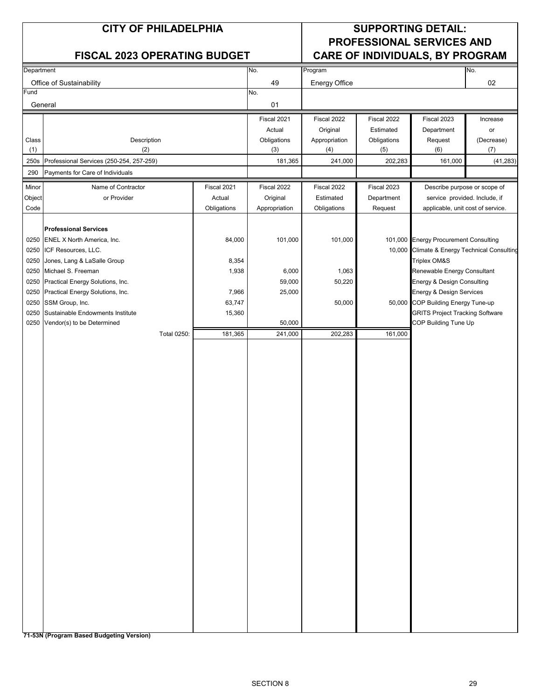### **CITY OF PHILADELPHIA SUPPORTING DETAIL: PROFESSIONAL SERVICES AND FISCAL 2023 OPERATING BUDGET CARE OF INDIVIDUALS, BY PROGRAM**

| Department |                                          |             | No.           | Program              |             |                                              | No.                          |
|------------|------------------------------------------|-------------|---------------|----------------------|-------------|----------------------------------------------|------------------------------|
|            | Office of Sustainability                 |             | 49            | <b>Energy Office</b> |             |                                              | $02\,$                       |
| Fund       |                                          |             | No.           |                      |             |                                              |                              |
| General    |                                          |             | 01            |                      |             |                                              |                              |
|            |                                          |             | Fiscal 2021   | Fiscal 2022          | Fiscal 2022 | Fiscal 2023                                  | Increase                     |
|            |                                          |             | Actual        | Original             | Estimated   | Department                                   | or                           |
| Class      | Description                              |             | Obligations   | Appropriation        | Obligations | Request                                      | (Decrease)                   |
| (1)        | (2)                                      |             | (3)           | (4)                  | (5)         | (6)                                          | (7)                          |
| 250s       | Professional Services (250-254, 257-259) |             | 181,365       | 241,000              | 202,283     | 161,000                                      | (41, 283)                    |
| 290        | Payments for Care of Individuals         |             |               |                      |             |                                              |                              |
| Minor      | Name of Contractor                       | Fiscal 2021 | Fiscal 2022   | Fiscal 2022          | Fiscal 2023 |                                              | Describe purpose or scope of |
| Object     | or Provider                              | Actual      | Original      | Estimated            | Department  | service provided. Include, if                |                              |
| Code       |                                          | Obligations | Appropriation | Obligations          | Request     | applicable, unit cost of service.            |                              |
|            |                                          |             |               |                      |             |                                              |                              |
|            | <b>Professional Services</b>             |             |               |                      |             |                                              |                              |
|            | 0250 ENEL X North America, Inc.          | 84,000      | 101,000       | 101,000              |             | 101,000 Energy Procurement Consulting        |                              |
| 0250       | ICF Resources, LLC.                      |             |               |                      |             | 10,000 Climate & Energy Technical Consulting |                              |
| 0250       | Jones, Lang & LaSalle Group              | 8,354       |               |                      |             | <b>Triplex OM&amp;S</b>                      |                              |
| 0250       | Michael S. Freeman                       | 1,938       | 6,000         | 1,063                |             | Renewable Energy Consultant                  |                              |
| 0250       | Practical Energy Solutions, Inc.         |             | 59,000        | 50,220               |             | Energy & Design Consulting                   |                              |
| 0250       | Practical Energy Solutions, Inc.         | 7,966       | 25,000        |                      |             | Energy & Design Services                     |                              |
| 0250       | SSM Group, Inc.                          | 63,747      |               | 50,000               |             | 50,000 COP Building Energy Tune-up           |                              |
| 0250       | Sustainable Endowments Institute         | 15,360      |               |                      |             | <b>GRITS Project Tracking Software</b>       |                              |
| 0250       | Vendor(s) to be Determined               |             | 50,000        |                      |             | COP Building Tune Up                         |                              |
|            | <b>Total 0250:</b>                       | 181,365     | 241,000       | 202,283              | 161,000     |                                              |                              |
|            |                                          |             |               |                      |             |                                              |                              |
|            |                                          |             |               |                      |             |                                              |                              |
|            |                                          |             |               |                      |             |                                              |                              |
|            |                                          |             |               |                      |             |                                              |                              |
|            |                                          |             |               |                      |             |                                              |                              |
|            |                                          |             |               |                      |             |                                              |                              |
|            |                                          |             |               |                      |             |                                              |                              |
|            |                                          |             |               |                      |             |                                              |                              |
|            |                                          |             |               |                      |             |                                              |                              |
|            |                                          |             |               |                      |             |                                              |                              |
|            |                                          |             |               |                      |             |                                              |                              |
|            |                                          |             |               |                      |             |                                              |                              |
|            |                                          |             |               |                      |             |                                              |                              |
|            |                                          |             |               |                      |             |                                              |                              |
|            |                                          |             |               |                      |             |                                              |                              |
|            |                                          |             |               |                      |             |                                              |                              |
|            |                                          |             |               |                      |             |                                              |                              |
|            |                                          |             |               |                      |             |                                              |                              |
|            |                                          |             |               |                      |             |                                              |                              |
|            |                                          |             |               |                      |             |                                              |                              |
|            |                                          |             |               |                      |             |                                              |                              |
|            |                                          |             |               |                      |             |                                              |                              |
|            |                                          |             |               |                      |             |                                              |                              |
|            |                                          |             |               |                      |             |                                              |                              |
|            |                                          |             |               |                      |             |                                              |                              |
|            |                                          |             |               |                      |             |                                              |                              |
|            |                                          |             |               |                      |             |                                              |                              |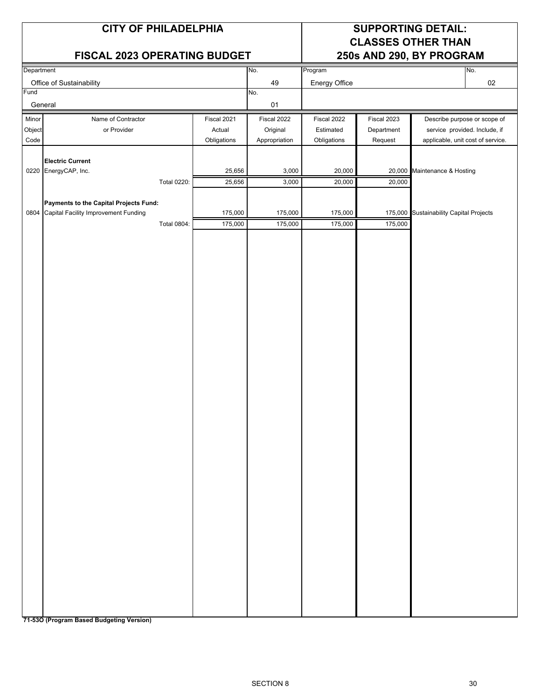### **FISCAL 2023 OPERATING BUDGET 250s AND 290, BY PROGRAM**

### **CITY OF PHILADELPHIA SUPPORTING DETAIL: CLASSES OTHER THAN**

| Department |                                           |                    |                  | No.            | Program          |             |                                         | No.    |
|------------|-------------------------------------------|--------------------|------------------|----------------|------------------|-------------|-----------------------------------------|--------|
|            | Office of Sustainability                  |                    |                  | 49             | Energy Office    |             |                                         | $02\,$ |
| Fund       |                                           |                    |                  | No.            |                  |             |                                         |        |
|            | General                                   |                    |                  | 01             |                  |             |                                         |        |
| Minor      | Name of Contractor                        |                    | Fiscal 2021      | Fiscal 2022    | Fiscal 2022      | Fiscal 2023 | Describe purpose or scope of            |        |
| Object     | or Provider                               |                    | Actual           | Original       | Estimated        | Department  | service provided. Include, if           |        |
| Code       |                                           |                    | Obligations      | Appropriation  | Obligations      | Request     | applicable, unit cost of service.       |        |
|            |                                           |                    |                  |                |                  |             |                                         |        |
|            | <b>Electric Current</b>                   |                    |                  |                |                  |             |                                         |        |
|            | 0220 EnergyCAP, Inc.                      | <b>Total 0220:</b> | 25,656<br>25,656 | 3,000<br>3,000 | 20,000<br>20,000 | 20,000      | 20,000 Maintenance & Hosting            |        |
|            |                                           |                    |                  |                |                  |             |                                         |        |
|            | Payments to the Capital Projects Fund:    |                    |                  |                |                  |             |                                         |        |
|            | 0804 Capital Facility Improvement Funding |                    | 175,000          | 175,000        | 175,000          |             | 175,000 Sustainability Capital Projects |        |
|            |                                           | Total 0804:        | 175,000          | 175,000        | 175,000          | 175,000     |                                         |        |
|            |                                           |                    |                  |                |                  |             |                                         |        |
|            |                                           |                    |                  |                |                  |             |                                         |        |
|            |                                           |                    |                  |                |                  |             |                                         |        |
|            |                                           |                    |                  |                |                  |             |                                         |        |
|            |                                           |                    |                  |                |                  |             |                                         |        |
|            |                                           |                    |                  |                |                  |             |                                         |        |
|            |                                           |                    |                  |                |                  |             |                                         |        |
|            |                                           |                    |                  |                |                  |             |                                         |        |
|            |                                           |                    |                  |                |                  |             |                                         |        |
|            |                                           |                    |                  |                |                  |             |                                         |        |
|            |                                           |                    |                  |                |                  |             |                                         |        |
|            |                                           |                    |                  |                |                  |             |                                         |        |
|            |                                           |                    |                  |                |                  |             |                                         |        |
|            |                                           |                    |                  |                |                  |             |                                         |        |
|            |                                           |                    |                  |                |                  |             |                                         |        |
|            |                                           |                    |                  |                |                  |             |                                         |        |
|            |                                           |                    |                  |                |                  |             |                                         |        |
|            |                                           |                    |                  |                |                  |             |                                         |        |
|            |                                           |                    |                  |                |                  |             |                                         |        |
|            |                                           |                    |                  |                |                  |             |                                         |        |
|            |                                           |                    |                  |                |                  |             |                                         |        |
|            |                                           |                    |                  |                |                  |             |                                         |        |
|            |                                           |                    |                  |                |                  |             |                                         |        |
|            |                                           |                    |                  |                |                  |             |                                         |        |
|            |                                           |                    |                  |                |                  |             |                                         |        |
|            |                                           |                    |                  |                |                  |             |                                         |        |
|            |                                           |                    |                  |                |                  |             |                                         |        |
|            |                                           |                    |                  |                |                  |             |                                         |        |
|            |                                           |                    |                  |                |                  |             |                                         |        |
|            |                                           |                    |                  |                |                  |             |                                         |        |
|            |                                           |                    |                  |                |                  |             |                                         |        |
|            |                                           |                    |                  |                |                  |             |                                         |        |
|            |                                           |                    |                  |                |                  |             |                                         |        |
|            |                                           |                    |                  |                |                  |             |                                         |        |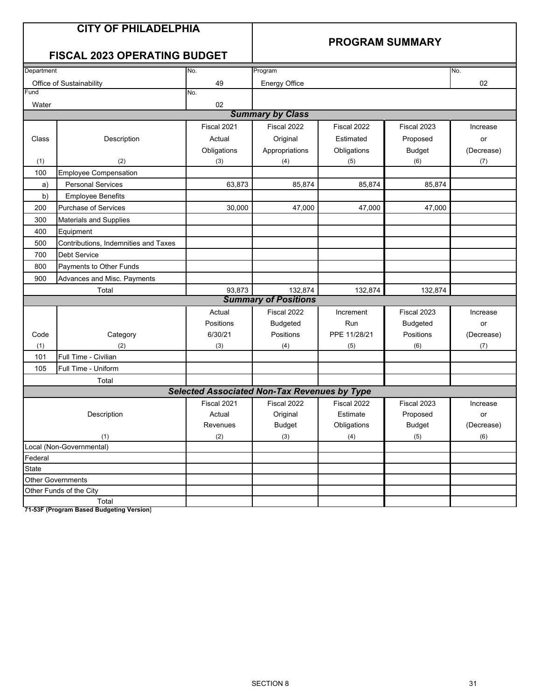### **PROGRAM SUMMARY**

### **FISCAL 2023 OPERATING BUDGET**

| Department |                                      | No.                                                 | Program                     |              |                 | No.        |
|------------|--------------------------------------|-----------------------------------------------------|-----------------------------|--------------|-----------------|------------|
|            | Office of Sustainability             | 49                                                  | <b>Energy Office</b>        |              |                 | 02         |
| Fund       |                                      | No.                                                 |                             |              |                 |            |
| Water      |                                      | 02                                                  |                             |              |                 |            |
|            |                                      |                                                     | <b>Summary by Class</b>     |              |                 |            |
|            |                                      | Fiscal 2021                                         | Fiscal 2022                 | Fiscal 2022  | Fiscal 2023     | Increase   |
| Class      | Description                          | Actual                                              | Original                    | Estimated    | Proposed        | or         |
|            |                                      | Obligations                                         | Appropriations              | Obligations  | <b>Budget</b>   | (Decrease) |
| (1)        | (2)                                  | (3)                                                 | (4)                         | (5)          | (6)             | (7)        |
| 100        | <b>Employee Compensation</b>         |                                                     |                             |              |                 |            |
| a)         | <b>Personal Services</b>             | 63,873                                              | 85,874                      | 85,874       | 85,874          |            |
| b)         | <b>Employee Benefits</b>             |                                                     |                             |              |                 |            |
| 200        | Purchase of Services                 | 30,000                                              | 47,000                      | 47,000       | 47,000          |            |
| 300        | <b>Materials and Supplies</b>        |                                                     |                             |              |                 |            |
| 400        | Equipment                            |                                                     |                             |              |                 |            |
| 500        | Contributions, Indemnities and Taxes |                                                     |                             |              |                 |            |
| 700        | <b>Debt Service</b>                  |                                                     |                             |              |                 |            |
| 800        | Payments to Other Funds              |                                                     |                             |              |                 |            |
| 900        | Advances and Misc. Payments          |                                                     |                             |              |                 |            |
|            | Total                                | 93,873                                              | 132,874                     | 132,874      | 132,874         |            |
|            |                                      |                                                     | <b>Summary of Positions</b> |              |                 |            |
|            |                                      | Actual                                              | Fiscal 2022                 | Increment    | Fiscal 2023     | Increase   |
|            |                                      | Positions                                           | <b>Budgeted</b>             | Run          | <b>Budgeted</b> | or         |
| Code       | Category                             | 6/30/21                                             | Positions                   | PPE 11/28/21 | Positions       | (Decrease) |
| (1)        | (2)                                  | (3)                                                 | (4)                         | (5)          | (6)             | (7)        |
| 101        | Full Time - Civilian                 |                                                     |                             |              |                 |            |
| 105        | Full Time - Uniform                  |                                                     |                             |              |                 |            |
|            | Total                                |                                                     |                             |              |                 |            |
|            |                                      | <b>Selected Associated Non-Tax Revenues by Type</b> |                             |              |                 |            |
|            |                                      | Fiscal 2021                                         | Fiscal 2022                 | Fiscal 2022  | Fiscal 2023     | Increase   |
|            | Description                          | Actual                                              | Original                    | Estimate     | Proposed        | or         |
|            |                                      | Revenues                                            | <b>Budget</b>               | Obligations  | <b>Budget</b>   | (Decrease) |
|            | (1)                                  | (2)                                                 | (3)                         | (4)          | (5)             | (6)        |
|            | Local (Non-Governmental)             |                                                     |                             |              |                 |            |
| Federal    |                                      |                                                     |                             |              |                 |            |
| State      |                                      |                                                     |                             |              |                 |            |
|            | <b>Other Governments</b>             |                                                     |                             |              |                 |            |
|            | Other Funds of the City              |                                                     |                             |              |                 |            |
|            | Total                                |                                                     |                             |              |                 |            |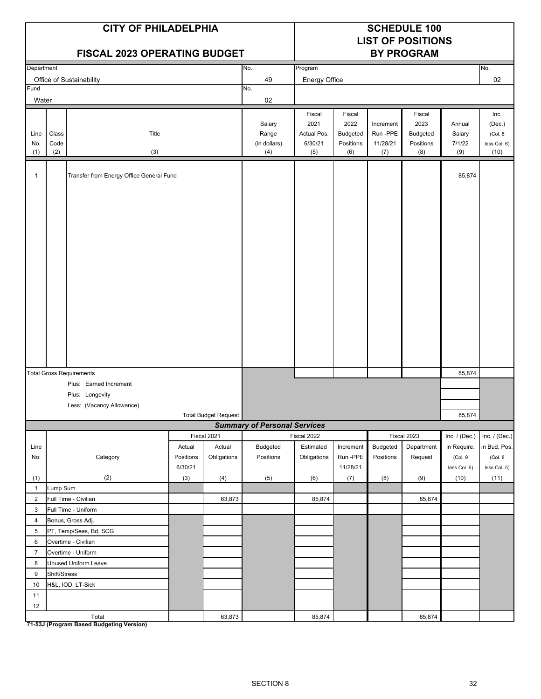|                     |                      | <b>CITY OF PHILADELPHIA</b><br><b>FISCAL 2023 OPERATING BUDGET</b> |                      |                      |                                        | <b>SCHEDULE 100</b><br><b>LIST OF POSITIONS</b><br><b>BY PROGRAM</b> |                                      |                                          |                                      |                                   |                                            |
|---------------------|----------------------|--------------------------------------------------------------------|----------------------|----------------------|----------------------------------------|----------------------------------------------------------------------|--------------------------------------|------------------------------------------|--------------------------------------|-----------------------------------|--------------------------------------------|
| Department          |                      |                                                                    |                      |                      | No.                                    | Program                                                              |                                      |                                          |                                      |                                   | No.                                        |
|                     |                      | Office of Sustainability                                           |                      |                      | 49                                     | Energy Office                                                        |                                      |                                          |                                      |                                   | 02                                         |
| Fund<br>Water       |                      |                                                                    |                      |                      | No.<br>02                              |                                                                      |                                      |                                          |                                      |                                   |                                            |
|                     |                      |                                                                    |                      |                      |                                        | Fiscal                                                               | Fiscal                               |                                          | Fiscal                               |                                   | Inc.                                       |
| Line<br>No.<br>(1)  | Class<br>Code<br>(2) | Title<br>(3)                                                       |                      |                      | Salary<br>Range<br>(in dollars)<br>(4) | 2021<br>Actual Pos.<br>6/30/21<br>(5)                                | 2022<br>Budgeted<br>Positions<br>(6) | Increment<br>Run -PPE<br>11/28/21<br>(7) | 2023<br>Budgeted<br>Positions<br>(8) | Annual<br>Salary<br>7/1/22<br>(9) | (Dec.)<br>(Col. 8)<br>less Col. 6)<br>(10) |
|                     |                      |                                                                    |                      |                      |                                        |                                                                      |                                      |                                          |                                      |                                   |                                            |
| 1                   |                      | Transfer from Energy Office General Fund                           |                      |                      |                                        |                                                                      |                                      |                                          |                                      | 85,874                            |                                            |
|                     |                      |                                                                    |                      |                      |                                        |                                                                      |                                      |                                          |                                      |                                   |                                            |
|                     |                      | <b>Total Gross Requirements</b>                                    |                      |                      |                                        |                                                                      |                                      |                                          |                                      | 85,874                            |                                            |
|                     |                      | Plus: Earned Increment                                             |                      |                      |                                        |                                                                      |                                      |                                          |                                      |                                   |                                            |
|                     |                      | Plus: Longevity                                                    |                      |                      |                                        |                                                                      |                                      |                                          |                                      |                                   |                                            |
|                     |                      | Less: (Vacancy Allowance)                                          |                      | Total Budget Request |                                        |                                                                      |                                      |                                          |                                      | 85,874                            |                                            |
|                     |                      |                                                                    |                      |                      | <b>Summary of Personal Services</b>    |                                                                      |                                      |                                          |                                      |                                   |                                            |
|                     |                      |                                                                    |                      | Fiscal 2021          |                                        | Fiscal 2022                                                          |                                      |                                          | Fiscal 2023                          | Inc. $/$ (Dec.)                   | Inc. $/$ (Dec.)                            |
| Line                |                      |                                                                    | Actual               | Actual               | <b>Budgeted</b>                        | Estimated                                                            | Increment                            | Budgeted                                 | Department                           | in Require.                       | in Bud. Pos.                               |
| No.                 |                      | Category                                                           | Positions<br>6/30/21 | Obligations          | Positions                              | Obligations                                                          | Run-PPE<br>11/28/21                  | Positions                                | Request                              | (Col.9<br>less Col. 6)            | (Col. 8<br>less Col. 5)                    |
| (1)                 |                      | (2)                                                                | (3)                  | (4)                  | (5)                                    | (6)                                                                  | (7)                                  | (8)                                      | (9)                                  | (10)                              | (11)                                       |
| $\mathbf{1}$        | Lump Sum             |                                                                    |                      |                      |                                        |                                                                      |                                      |                                          |                                      |                                   |                                            |
| $\overline{2}$<br>3 |                      | Full Time - Civilian                                               |                      | 63,873               |                                        | 85,874                                                               |                                      |                                          | 85,874                               |                                   |                                            |
| 4                   |                      | Full Time - Uniform<br>Bonus, Gross Adj.                           |                      |                      |                                        |                                                                      |                                      |                                          |                                      |                                   |                                            |
| 5                   |                      | PT, Temp/Seas, Bd, SCG                                             |                      |                      |                                        |                                                                      |                                      |                                          |                                      |                                   |                                            |
| 6                   |                      | Overtime - Civilian                                                |                      |                      |                                        |                                                                      |                                      |                                          |                                      |                                   |                                            |
| $\overline{7}$      |                      | Overtime - Uniform                                                 |                      |                      |                                        |                                                                      |                                      |                                          |                                      |                                   |                                            |
| 8                   |                      | Unused Uniform Leave                                               |                      |                      |                                        |                                                                      |                                      |                                          |                                      |                                   |                                            |
| 9                   | Shift/Stress         |                                                                    |                      |                      |                                        |                                                                      |                                      |                                          |                                      |                                   |                                            |
| 10                  |                      | H&L, IOD, LT-Sick                                                  |                      |                      |                                        |                                                                      |                                      |                                          |                                      |                                   |                                            |
| 11                  |                      |                                                                    |                      |                      |                                        |                                                                      |                                      |                                          |                                      |                                   |                                            |
| 12                  |                      |                                                                    |                      |                      |                                        |                                                                      |                                      |                                          |                                      |                                   |                                            |
|                     |                      | Total                                                              |                      | 63,873               |                                        | 85,874                                                               |                                      |                                          | 85,874                               |                                   |                                            |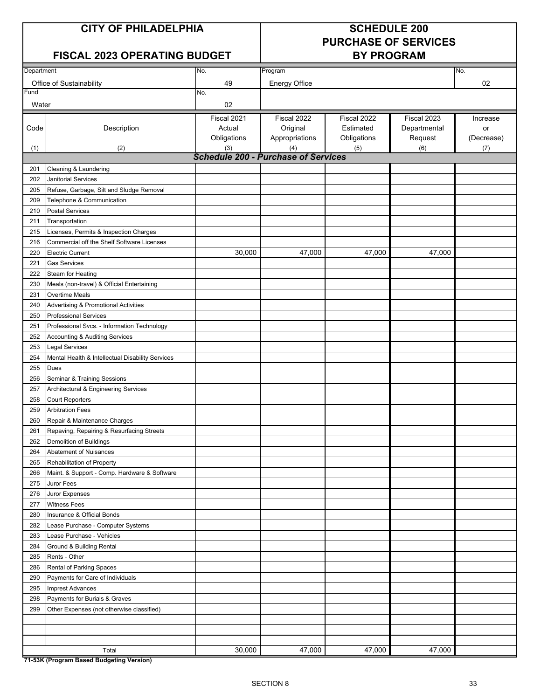### **CITY OF PHILADELPHIA SCHEDULE 200**

# **PURCHASE OF SERVICES**

### **FISCAL 2023 OPERATING BUDGET**

| Department |                                                  | No.                                        | Program              |             |              | No.        |
|------------|--------------------------------------------------|--------------------------------------------|----------------------|-------------|--------------|------------|
|            | Office of Sustainability                         | 49                                         | <b>Energy Office</b> |             |              | 02         |
| Fund       |                                                  | No.                                        |                      |             |              |            |
| Water      |                                                  | 02                                         |                      |             |              |            |
|            |                                                  | Fiscal 2021                                | Fiscal 2022          | Fiscal 2022 | Fiscal 2023  | Increase   |
| Code       | Description                                      | Actual                                     | Original             | Estimated   | Departmental | or         |
|            |                                                  | Obligations                                | Appropriations       | Obligations | Request      | (Decrease) |
| (1)        | (2)                                              | (3)                                        | (4)                  | (5)         | (6)          | (7)        |
|            |                                                  | <b>Schedule 200 - Purchase of Services</b> |                      |             |              |            |
| 201        | Cleaning & Laundering                            |                                            |                      |             |              |            |
| 202        | Janitorial Services                              |                                            |                      |             |              |            |
| 205        | Refuse, Garbage, Silt and Sludge Removal         |                                            |                      |             |              |            |
| 209        | Telephone & Communication                        |                                            |                      |             |              |            |
| 210        | <b>Postal Services</b>                           |                                            |                      |             |              |            |
| 211        | Transportation                                   |                                            |                      |             |              |            |
| 215        | Licenses, Permits & Inspection Charges           |                                            |                      |             |              |            |
| 216        | Commercial off the Shelf Software Licenses       |                                            |                      |             |              |            |
| 220        | <b>Electric Current</b>                          | 30,000                                     | 47,000               | 47,000      | 47,000       |            |
| 221        | <b>Gas Services</b>                              |                                            |                      |             |              |            |
| 222        | <b>Steam for Heating</b>                         |                                            |                      |             |              |            |
| 230        | Meals (non-travel) & Official Entertaining       |                                            |                      |             |              |            |
| 231        | <b>Overtime Meals</b>                            |                                            |                      |             |              |            |
| 240        | <b>Advertising &amp; Promotional Activities</b>  |                                            |                      |             |              |            |
| 250        | <b>Professional Services</b>                     |                                            |                      |             |              |            |
| 251        | Professional Svcs. - Information Technology      |                                            |                      |             |              |            |
| 252        | Accounting & Auditing Services                   |                                            |                      |             |              |            |
| 253        | <b>Legal Services</b>                            |                                            |                      |             |              |            |
| 254        | Mental Health & Intellectual Disability Services |                                            |                      |             |              |            |
| 255        | <b>Dues</b>                                      |                                            |                      |             |              |            |
| 256        | Seminar & Training Sessions                      |                                            |                      |             |              |            |
| 257        | Architectural & Engineering Services             |                                            |                      |             |              |            |
| 258        | <b>Court Reporters</b>                           |                                            |                      |             |              |            |
| 259        | <b>Arbitration Fees</b>                          |                                            |                      |             |              |            |
| 260        | Repair & Maintenance Charges                     |                                            |                      |             |              |            |
| 261        | Repaving, Repairing & Resurfacing Streets        |                                            |                      |             |              |            |
| 262        | Demolition of Buildings                          |                                            |                      |             |              |            |
| 264        | Abatement of Nuisances                           |                                            |                      |             |              |            |
| 265        | Rehabilitation of Property                       |                                            |                      |             |              |            |
| 266        | Maint. & Support - Comp. Hardware & Software     |                                            |                      |             |              |            |
| 275        | Juror Fees                                       |                                            |                      |             |              |            |
| 276        | Juror Expenses                                   |                                            |                      |             |              |            |
| 277        | <b>Witness Fees</b>                              |                                            |                      |             |              |            |
| 280        | Insurance & Official Bonds                       |                                            |                      |             |              |            |
| 282        | Lease Purchase - Computer Systems                |                                            |                      |             |              |            |
| 283        | Lease Purchase - Vehicles                        |                                            |                      |             |              |            |
| 284        | Ground & Building Rental                         |                                            |                      |             |              |            |
| 285        | Rents - Other                                    |                                            |                      |             |              |            |
| 286        | Rental of Parking Spaces                         |                                            |                      |             |              |            |
| 290        | Payments for Care of Individuals                 |                                            |                      |             |              |            |
| 295        | <b>Imprest Advances</b>                          |                                            |                      |             |              |            |
| 298        | Payments for Burials & Graves                    |                                            |                      |             |              |            |
| 299        | Other Expenses (not otherwise classified)        |                                            |                      |             |              |            |
|            |                                                  |                                            |                      |             |              |            |
|            |                                                  |                                            |                      |             |              |            |
|            |                                                  |                                            |                      |             |              |            |
| 74.001/10  | Total<br>-                                       | 30,000                                     | 47,000               | 47,000      | 47,000       |            |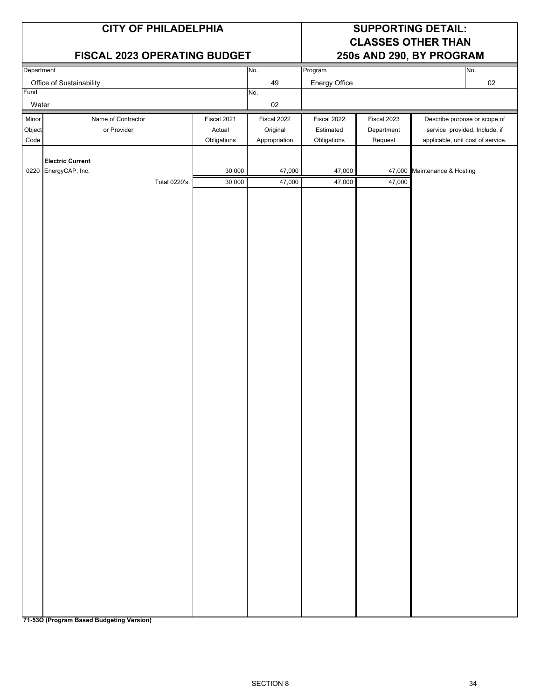|                 | <b>CITY OF PHILADELPHIA</b><br>FISCAL 2023 OPERATING BUDGET      |                                 |                                   | <b>SUPPORTING DETAIL:</b><br><b>CLASSES OTHER THAN</b><br>250s AND 290, BY PROGRAM |                           |                                                                   |  |
|-----------------|------------------------------------------------------------------|---------------------------------|-----------------------------------|------------------------------------------------------------------------------------|---------------------------|-------------------------------------------------------------------|--|
| Department      |                                                                  |                                 | No.                               | Program                                                                            |                           | No.                                                               |  |
|                 | Office of Sustainability                                         |                                 | 49                                | Energy Office                                                                      |                           | 02                                                                |  |
| Fund<br>Water   |                                                                  |                                 | No.<br>$02\,$                     |                                                                                    |                           |                                                                   |  |
| Minor<br>Object | Name of Contractor<br>or Provider                                | Fiscal 2021<br>Actual           | Fiscal 2022<br>Original           | Fiscal 2022<br>Estimated                                                           | Fiscal 2023<br>Department | Describe purpose or scope of<br>service provided. Include, if     |  |
| Code            | <b>Electric Current</b><br>0220 EnergyCAP, Inc.<br>Total 0220's: | Obligations<br>30,000<br>30,000 | Appropriation<br>47,000<br>47,000 | Obligations<br>47,000<br>47,000                                                    | Request<br>47,000         | applicable, unit cost of service.<br>47,000 Maintenance & Hosting |  |
|                 |                                                                  |                                 |                                   |                                                                                    |                           |                                                                   |  |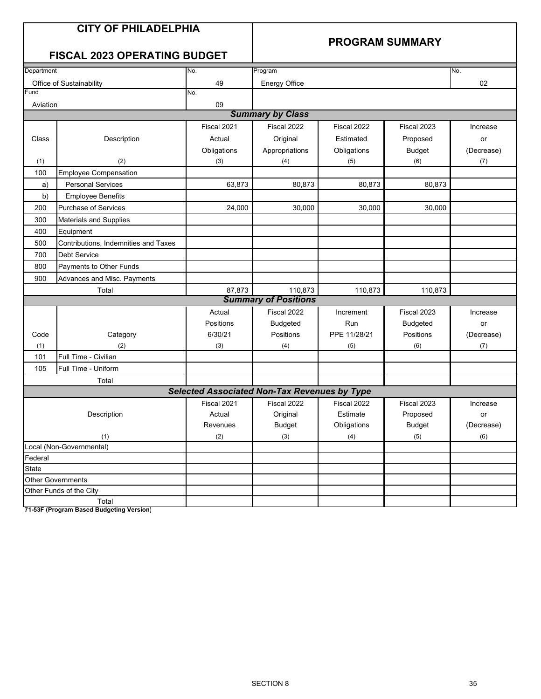### **PROGRAM SUMMARY**

### **FISCAL 2023 OPERATING BUDGET**

| Department |                                      | No.                                                 | Program                     |              |                 | No.        |  |  |  |
|------------|--------------------------------------|-----------------------------------------------------|-----------------------------|--------------|-----------------|------------|--|--|--|
|            | Office of Sustainability             | 49                                                  | <b>Energy Office</b>        |              |                 | 02         |  |  |  |
| Fund       |                                      | No.                                                 |                             |              |                 |            |  |  |  |
| Aviation   |                                      | 09                                                  |                             |              |                 |            |  |  |  |
|            |                                      |                                                     | <b>Summary by Class</b>     |              |                 |            |  |  |  |
|            |                                      | Fiscal 2021                                         | Fiscal 2022                 | Fiscal 2022  | Fiscal 2023     | Increase   |  |  |  |
| Class      | Description                          | Actual                                              | Original                    | Estimated    | Proposed        | or         |  |  |  |
|            |                                      | Obligations                                         | Appropriations              | Obligations  | <b>Budget</b>   | (Decrease) |  |  |  |
| (1)        | (2)                                  | (3)                                                 | (4)                         | (5)          | (6)             | (7)        |  |  |  |
| 100        | <b>Employee Compensation</b>         |                                                     |                             |              |                 |            |  |  |  |
| a)         | <b>Personal Services</b>             | 63,873                                              | 80,873                      | 80,873       | 80,873          |            |  |  |  |
| b)         | <b>Employee Benefits</b>             |                                                     |                             |              |                 |            |  |  |  |
| 200        | <b>Purchase of Services</b>          | 24,000                                              | 30.000                      | 30,000       | 30,000          |            |  |  |  |
| 300        | <b>Materials and Supplies</b>        |                                                     |                             |              |                 |            |  |  |  |
| 400        | Equipment                            |                                                     |                             |              |                 |            |  |  |  |
| 500        | Contributions, Indemnities and Taxes |                                                     |                             |              |                 |            |  |  |  |
| 700        | <b>Debt Service</b>                  |                                                     |                             |              |                 |            |  |  |  |
| 800        | Payments to Other Funds              |                                                     |                             |              |                 |            |  |  |  |
| 900        | Advances and Misc. Payments          |                                                     |                             |              |                 |            |  |  |  |
|            | Total                                | 87,873                                              | 110,873                     | 110,873      | 110,873         |            |  |  |  |
|            |                                      |                                                     | <b>Summary of Positions</b> |              |                 |            |  |  |  |
|            |                                      | Actual                                              | Fiscal 2022                 | Increment    | Fiscal 2023     | Increase   |  |  |  |
|            |                                      | Positions                                           | <b>Budgeted</b>             | Run          | <b>Budgeted</b> | or         |  |  |  |
| Code       | Category                             | 6/30/21                                             | Positions                   | PPE 11/28/21 | Positions       | (Decrease) |  |  |  |
| (1)        | (2)                                  | (3)                                                 | (4)                         | (5)          | (6)             | (7)        |  |  |  |
| 101        | Full Time - Civilian                 |                                                     |                             |              |                 |            |  |  |  |
| 105        | Full Time - Uniform                  |                                                     |                             |              |                 |            |  |  |  |
|            | Total                                |                                                     |                             |              |                 |            |  |  |  |
|            |                                      | <b>Selected Associated Non-Tax Revenues by Type</b> |                             |              |                 |            |  |  |  |
|            |                                      | Fiscal 2021                                         | Fiscal 2022                 | Fiscal 2022  | Fiscal 2023     | Increase   |  |  |  |
|            | Description                          | Actual                                              | Original                    | Estimate     | Proposed        | or         |  |  |  |
|            |                                      | Revenues                                            | <b>Budget</b>               | Obligations  | <b>Budget</b>   | (Decrease) |  |  |  |
|            | (1)                                  | (2)                                                 | (3)                         | (4)          | (5)             | (6)        |  |  |  |
|            | Local (Non-Governmental)             |                                                     |                             |              |                 |            |  |  |  |
| Federal    |                                      |                                                     |                             |              |                 |            |  |  |  |
| State      |                                      |                                                     |                             |              |                 |            |  |  |  |
|            | <b>Other Governments</b>             |                                                     |                             |              |                 |            |  |  |  |
|            | Other Funds of the City              |                                                     |                             |              |                 |            |  |  |  |
|            | Total                                |                                                     |                             |              |                 |            |  |  |  |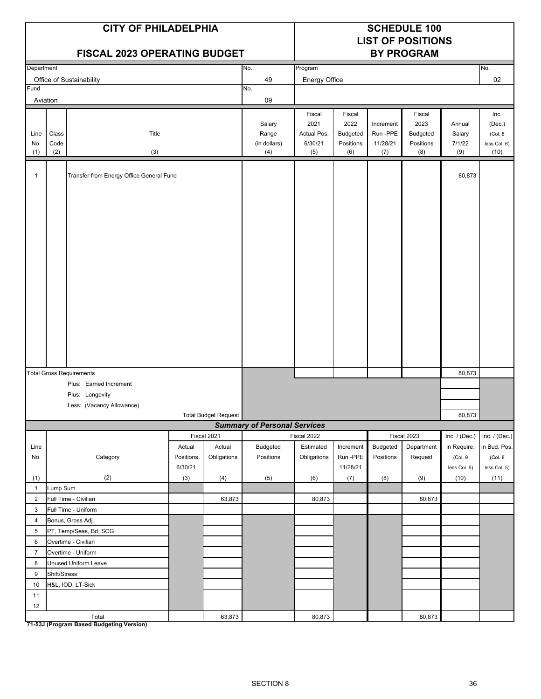|                  |              | <b>CITY OF PHILADELPHIA</b><br><b>FISCAL 2023 OPERATING BUDGET</b> |                      |                      |                                     | <b>SCHEDULE 100</b><br><b>LIST OF POSITIONS</b><br><b>BY PROGRAM</b> |                     |                       |                |                        |                         |
|------------------|--------------|--------------------------------------------------------------------|----------------------|----------------------|-------------------------------------|----------------------------------------------------------------------|---------------------|-----------------------|----------------|------------------------|-------------------------|
| Department       |              |                                                                    |                      |                      | No.                                 | Program                                                              |                     |                       |                |                        | No.                     |
|                  |              | Office of Sustainability                                           |                      |                      | 49                                  | Energy Office                                                        |                     |                       |                |                        | 02                      |
| Fund<br>Aviation |              |                                                                    |                      |                      | No.<br>09                           |                                                                      |                     |                       |                |                        |                         |
|                  |              |                                                                    |                      |                      |                                     | Fiscal<br>2021                                                       | Fiscal<br>2022      |                       | Fiscal<br>2023 |                        | Inc.                    |
| Line             | Class        | Title                                                              |                      |                      | Salary<br>Range                     | Actual Pos.                                                          | Budgeted            | Increment<br>Run -PPE | Budgeted       | Annual<br>Salary       | (Dec.)<br>(Col. 8)      |
| No.              | Code         |                                                                    |                      |                      | (in dollars)                        | 6/30/21                                                              | Positions           | 11/28/21              | Positions      | 7/1/22                 | less Col. 6)            |
| (1)              | (2)          | (3)                                                                |                      |                      | (4)                                 | (5)                                                                  | (6)                 | (7)                   | (8)            | (9)                    | (10)                    |
| 1                |              | Transfer from Energy Office General Fund                           |                      |                      |                                     |                                                                      |                     |                       |                | 80,873                 |                         |
|                  |              |                                                                    |                      |                      |                                     |                                                                      |                     |                       |                |                        |                         |
|                  |              | <b>Total Gross Requirements</b>                                    |                      |                      |                                     |                                                                      |                     |                       |                | 80,873                 |                         |
|                  |              | Plus: Earned Increment                                             |                      |                      |                                     |                                                                      |                     |                       |                |                        |                         |
|                  |              | Plus: Longevity                                                    |                      |                      |                                     |                                                                      |                     |                       |                |                        |                         |
|                  |              | Less: (Vacancy Allowance)                                          |                      | Total Budget Request |                                     |                                                                      |                     |                       |                | 80,873                 |                         |
|                  |              |                                                                    |                      |                      | <b>Summary of Personal Services</b> |                                                                      |                     |                       |                |                        |                         |
|                  |              |                                                                    |                      | Fiscal 2021          |                                     | Fiscal 2022                                                          |                     |                       | Fiscal 2023    | Inc. $/$ (Dec.)        | Inc. $/$ (Dec.)         |
| Line             |              |                                                                    | Actual               | Actual               | <b>Budgeted</b>                     | Estimated                                                            | Increment           | Budgeted              | Department     | in Require.            | in Bud. Pos.            |
| No.              |              | Category                                                           | Positions<br>6/30/21 | Obligations          | Positions                           | Obligations                                                          | Run-PPE<br>11/28/21 | Positions             | Request        | (Col.9<br>less Col. 6) | (Col. 8<br>less Col. 5) |
| (1)              |              | (2)                                                                | (3)                  | (4)                  | (5)                                 | (6)                                                                  | (7)                 | (8)                   | (9)            | (10)                   | (11)                    |
| $\mathbf{1}$     | Lump Sum     |                                                                    |                      |                      |                                     |                                                                      |                     |                       |                |                        |                         |
| $\overline{2}$   |              | Full Time - Civilian                                               |                      | 63,873               |                                     | 80,873                                                               |                     |                       | 80,873         |                        |                         |
| 3                |              | Full Time - Uniform                                                |                      |                      |                                     |                                                                      |                     |                       |                |                        |                         |
| 4                |              | Bonus, Gross Adj.                                                  |                      |                      |                                     |                                                                      |                     |                       |                |                        |                         |
| 5                |              | PT, Temp/Seas, Bd, SCG                                             |                      |                      |                                     |                                                                      |                     |                       |                |                        |                         |
| 6                |              | Overtime - Civilian                                                |                      |                      |                                     |                                                                      |                     |                       |                |                        |                         |
| $\overline{7}$   |              | Overtime - Uniform                                                 |                      |                      |                                     |                                                                      |                     |                       |                |                        |                         |
| 8<br>9           | Shift/Stress | Unused Uniform Leave                                               |                      |                      |                                     |                                                                      |                     |                       |                |                        |                         |
| 10               |              | H&L, IOD, LT-Sick                                                  |                      |                      |                                     |                                                                      |                     |                       |                |                        |                         |
| 11               |              |                                                                    |                      |                      |                                     |                                                                      |                     |                       |                |                        |                         |
| 12               |              |                                                                    |                      |                      |                                     |                                                                      |                     |                       |                |                        |                         |
|                  |              | Total                                                              |                      | 63,873               |                                     | 80,873                                                               |                     |                       | 80,873         |                        |                         |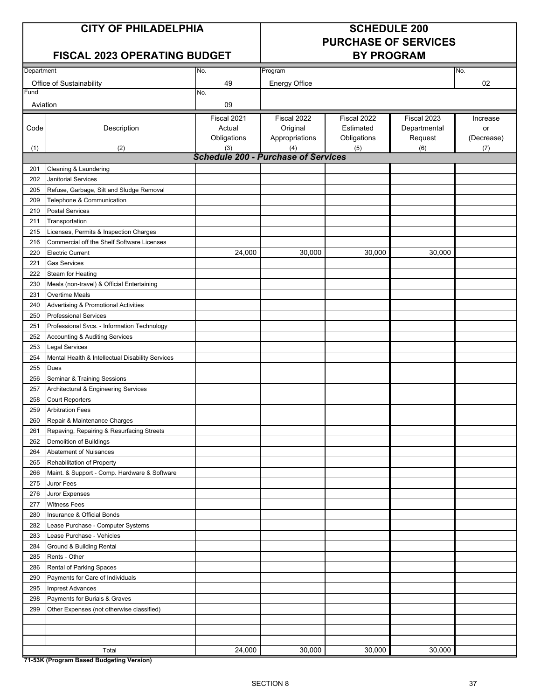### **CITY OF PHILADELPHIA SCHEDULE 200**

# **PURCHASE OF SERVICES**

### **FISCAL 2023 OPERATING BUDGET**

| Department |                                                  | No.                                        | Program              |             |              | No.        |
|------------|--------------------------------------------------|--------------------------------------------|----------------------|-------------|--------------|------------|
|            | Office of Sustainability                         | 49                                         | <b>Energy Office</b> |             |              | 02         |
| Fund       |                                                  | No.                                        |                      |             |              |            |
| Aviation   |                                                  | 09                                         |                      |             |              |            |
|            |                                                  | Fiscal 2021                                | Fiscal 2022          | Fiscal 2022 | Fiscal 2023  | Increase   |
| Code       | Description                                      | Actual                                     | Original             | Estimated   | Departmental | or         |
|            |                                                  | Obligations                                | Appropriations       | Obligations | Request      | (Decrease) |
| (1)        | (2)                                              | (3)                                        | (4)                  | (5)         | (6)          | (7)        |
|            |                                                  | <b>Schedule 200 - Purchase of Services</b> |                      |             |              |            |
| 201        | Cleaning & Laundering                            |                                            |                      |             |              |            |
| 202        | <b>Janitorial Services</b>                       |                                            |                      |             |              |            |
| 205        | Refuse, Garbage, Silt and Sludge Removal         |                                            |                      |             |              |            |
| 209        | Telephone & Communication                        |                                            |                      |             |              |            |
| 210        | <b>Postal Services</b>                           |                                            |                      |             |              |            |
| 211        | Transportation                                   |                                            |                      |             |              |            |
| 215        | Licenses, Permits & Inspection Charges           |                                            |                      |             |              |            |
| 216        | Commercial off the Shelf Software Licenses       |                                            |                      |             |              |            |
| 220        | <b>Electric Current</b>                          | 24,000                                     | 30,000               | 30,000      | 30,000       |            |
| 221        | <b>Gas Services</b>                              |                                            |                      |             |              |            |
| 222        | Steam for Heating                                |                                            |                      |             |              |            |
| 230        | Meals (non-travel) & Official Entertaining       |                                            |                      |             |              |            |
| 231        | <b>Overtime Meals</b>                            |                                            |                      |             |              |            |
| 240        | Advertising & Promotional Activities             |                                            |                      |             |              |            |
| 250        | <b>Professional Services</b>                     |                                            |                      |             |              |            |
| 251        | Professional Svcs. - Information Technology      |                                            |                      |             |              |            |
| 252        | Accounting & Auditing Services                   |                                            |                      |             |              |            |
| 253        | <b>Legal Services</b>                            |                                            |                      |             |              |            |
| 254        | Mental Health & Intellectual Disability Services |                                            |                      |             |              |            |
| 255        | <b>Dues</b>                                      |                                            |                      |             |              |            |
| 256        | Seminar & Training Sessions                      |                                            |                      |             |              |            |
| 257        | Architectural & Engineering Services             |                                            |                      |             |              |            |
| 258        | <b>Court Reporters</b>                           |                                            |                      |             |              |            |
| 259        | <b>Arbitration Fees</b>                          |                                            |                      |             |              |            |
| 260        | Repair & Maintenance Charges                     |                                            |                      |             |              |            |
| 261        | Repaving, Repairing & Resurfacing Streets        |                                            |                      |             |              |            |
| 262        | Demolition of Buildings                          |                                            |                      |             |              |            |
| 264        | Abatement of Nuisances                           |                                            |                      |             |              |            |
| 265        | Rehabilitation of Property                       |                                            |                      |             |              |            |
| 266        | Maint. & Support - Comp. Hardware & Software     |                                            |                      |             |              |            |
| 275        | Juror Fees                                       |                                            |                      |             |              |            |
| 276        | Juror Expenses                                   |                                            |                      |             |              |            |
| 277        | <b>Witness Fees</b>                              |                                            |                      |             |              |            |
| 280        | Insurance & Official Bonds                       |                                            |                      |             |              |            |
| 282        | Lease Purchase - Computer Systems                |                                            |                      |             |              |            |
| 283        | Lease Purchase - Vehicles                        |                                            |                      |             |              |            |
| 284        | Ground & Building Rental                         |                                            |                      |             |              |            |
| 285        | Rents - Other                                    |                                            |                      |             |              |            |
| 286        | Rental of Parking Spaces                         |                                            |                      |             |              |            |
| 290        | Payments for Care of Individuals                 |                                            |                      |             |              |            |
| 295        | <b>Imprest Advances</b>                          |                                            |                      |             |              |            |
| 298        | Payments for Burials & Graves                    |                                            |                      |             |              |            |
| 299        | Other Expenses (not otherwise classified)        |                                            |                      |             |              |            |
|            |                                                  |                                            |                      |             |              |            |
|            |                                                  |                                            |                      |             |              |            |
|            |                                                  |                                            |                      |             |              |            |
|            | Total                                            | 24,000                                     | 30,000               | 30,000      | 30,000       |            |
| 74.001(B)  |                                                  |                                            |                      |             |              |            |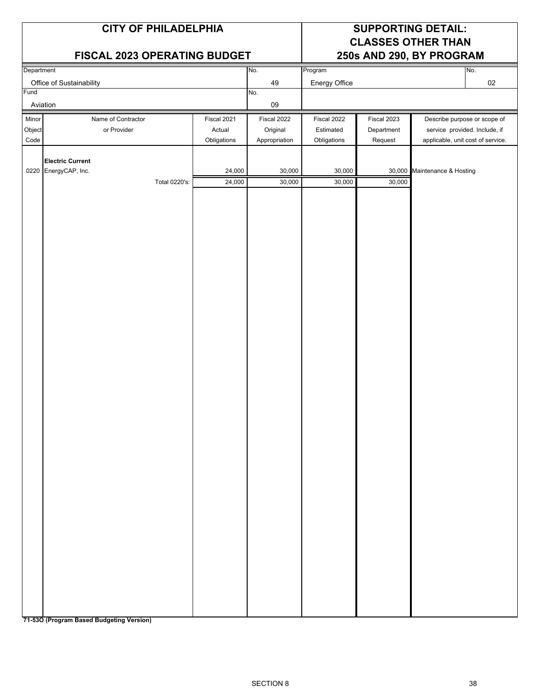|                         | <b>CITY OF PHILADELPHIA</b><br>FISCAL 2023 OPERATING BUDGET      |                                      |                                          | <b>SUPPORTING DETAIL:</b><br><b>CLASSES OTHER THAN</b><br>250s AND 290, BY PROGRAM |                                      |                                                                                                    |  |  |
|-------------------------|------------------------------------------------------------------|--------------------------------------|------------------------------------------|------------------------------------------------------------------------------------|--------------------------------------|----------------------------------------------------------------------------------------------------|--|--|
| Department              |                                                                  |                                      | No.                                      | Program                                                                            |                                      | No.                                                                                                |  |  |
| Fund                    | Office of Sustainability                                         |                                      | 49<br>No.                                | Energy Office                                                                      |                                      | $02\,$                                                                                             |  |  |
|                         | Aviation                                                         |                                      | 09                                       |                                                                                    |                                      |                                                                                                    |  |  |
| Minor<br>Object<br>Code | Name of Contractor<br>or Provider                                | Fiscal 2021<br>Actual<br>Obligations | Fiscal 2022<br>Original<br>Appropriation | Fiscal 2022<br>Estimated<br>Obligations                                            | Fiscal 2023<br>Department<br>Request | Describe purpose or scope of<br>service provided. Include, if<br>applicable, unit cost of service. |  |  |
|                         | <b>Electric Current</b><br>0220 EnergyCAP, Inc.<br>Total 0220's: | 24,000<br>24,000                     | 30,000<br>30,000                         | 30,000<br>30,000                                                                   | 30,000                               | 30,000 Maintenance & Hosting                                                                       |  |  |
|                         |                                                                  |                                      |                                          |                                                                                    |                                      |                                                                                                    |  |  |
|                         |                                                                  |                                      |                                          |                                                                                    |                                      |                                                                                                    |  |  |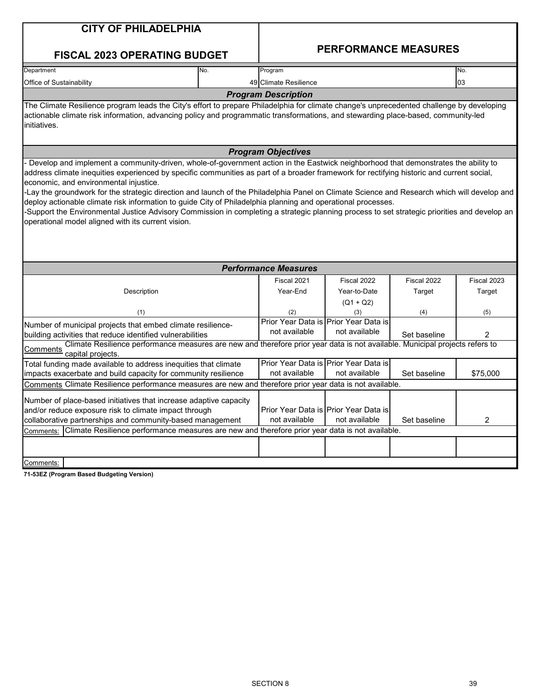| <b>CITY OF PHILADELPHIA</b><br><b>FISCAL 2023 OPERATING BUDGET</b>                                                                                                                                                                                                                                                                                                                                                                                                                                                                                                                                                                                      |     | <b>PERFORMANCE MEASURES</b> |                                                        |              |             |  |  |  |
|---------------------------------------------------------------------------------------------------------------------------------------------------------------------------------------------------------------------------------------------------------------------------------------------------------------------------------------------------------------------------------------------------------------------------------------------------------------------------------------------------------------------------------------------------------------------------------------------------------------------------------------------------------|-----|-----------------------------|--------------------------------------------------------|--------------|-------------|--|--|--|
| Department                                                                                                                                                                                                                                                                                                                                                                                                                                                                                                                                                                                                                                              | No. | Program                     |                                                        | No.          |             |  |  |  |
| Office of Sustainability                                                                                                                                                                                                                                                                                                                                                                                                                                                                                                                                                                                                                                |     | 49 Climate Resilience       |                                                        |              | 03          |  |  |  |
|                                                                                                                                                                                                                                                                                                                                                                                                                                                                                                                                                                                                                                                         |     | <b>Program Description</b>  |                                                        |              |             |  |  |  |
| The Climate Resilience program leads the City's effort to prepare Philadelphia for climate change's unprecedented challenge by developing<br>actionable climate risk information, advancing policy and programmatic transformations, and stewarding place-based, community-led<br>initiatives.                                                                                                                                                                                                                                                                                                                                                          |     |                             |                                                        |              |             |  |  |  |
|                                                                                                                                                                                                                                                                                                                                                                                                                                                                                                                                                                                                                                                         |     | <b>Program Objectives</b>   |                                                        |              |             |  |  |  |
| address climate inequities experienced by specific communities as part of a broader framework for rectifying historic and current social,<br>economic, and environmental injustice.<br>Lay the groundwork for the strategic direction and launch of the Philadelphia Panel on Climate Science and Research which will develop and<br>deploy actionable climate risk information to guide City of Philadelphia planning and operational processes.<br>-Support the Environmental Justice Advisory Commission in completing a strategic planning process to set strategic priorities and develop an<br>operational model aligned with its current vision. |     |                             |                                                        |              |             |  |  |  |
|                                                                                                                                                                                                                                                                                                                                                                                                                                                                                                                                                                                                                                                         |     | <b>Performance Measures</b> |                                                        |              |             |  |  |  |
|                                                                                                                                                                                                                                                                                                                                                                                                                                                                                                                                                                                                                                                         |     | Fiscal 2021                 | Fiscal 2022                                            | Fiscal 2022  | Fiscal 2023 |  |  |  |
| Description                                                                                                                                                                                                                                                                                                                                                                                                                                                                                                                                                                                                                                             |     | Year-End                    | Year-to-Date                                           | Target       | Target      |  |  |  |
|                                                                                                                                                                                                                                                                                                                                                                                                                                                                                                                                                                                                                                                         |     |                             | $(Q1 + Q2)$                                            |              |             |  |  |  |
| (1)                                                                                                                                                                                                                                                                                                                                                                                                                                                                                                                                                                                                                                                     |     | (2)                         | (3)                                                    | (4)          | (5)         |  |  |  |
| Number of municipal projects that embed climate resilience-                                                                                                                                                                                                                                                                                                                                                                                                                                                                                                                                                                                             |     | not available               | Prior Year Data is Prior Year Data is<br>not available |              |             |  |  |  |
| building activities that reduce identified vulnerabilities<br>Climate Resilience performance measures are new and therefore prior year data is not available. Municipal projects refers to                                                                                                                                                                                                                                                                                                                                                                                                                                                              |     |                             |                                                        | Set baseline | 2           |  |  |  |
| Comments<br>capital projects.                                                                                                                                                                                                                                                                                                                                                                                                                                                                                                                                                                                                                           |     |                             |                                                        |              |             |  |  |  |
| Total funding made available to address inequities that climate                                                                                                                                                                                                                                                                                                                                                                                                                                                                                                                                                                                         |     |                             | Prior Year Data is Prior Year Data is                  |              |             |  |  |  |
| impacts exacerbate and build capacity for community resilience                                                                                                                                                                                                                                                                                                                                                                                                                                                                                                                                                                                          |     | not available               | not available                                          | Set baseline | \$75,000    |  |  |  |
| Comments Climate Resilience performance measures are new and therefore prior year data is not available.                                                                                                                                                                                                                                                                                                                                                                                                                                                                                                                                                |     |                             |                                                        |              |             |  |  |  |
| Number of place-based initiatives that increase adaptive capacity<br>and/or reduce exposure risk to climate impact through<br>collaborative partnerships and community-based management<br>Climate Resilience performance measures are new and therefore prior year data is not available.<br>Comments:                                                                                                                                                                                                                                                                                                                                                 |     | not available               | Prior Year Data is Prior Year Data is<br>not available | Set baseline | 2           |  |  |  |
|                                                                                                                                                                                                                                                                                                                                                                                                                                                                                                                                                                                                                                                         |     |                             |                                                        |              |             |  |  |  |
|                                                                                                                                                                                                                                                                                                                                                                                                                                                                                                                                                                                                                                                         |     |                             |                                                        |              |             |  |  |  |
| Comments:                                                                                                                                                                                                                                                                                                                                                                                                                                                                                                                                                                                                                                               |     |                             |                                                        |              |             |  |  |  |
| 71-53EZ (Program Based Budgeting Version)                                                                                                                                                                                                                                                                                                                                                                                                                                                                                                                                                                                                               |     |                             |                                                        |              |             |  |  |  |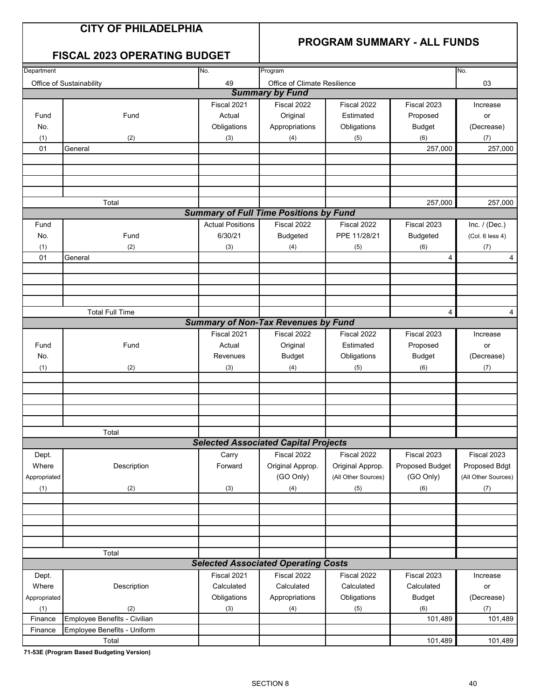### **PROGRAM SUMMARY - ALL FUNDS**

### **FISCAL 2023 OPERATING BUDGET**

| Department   |                              | No.                     | Program                                       |                     |                 | No.                 |
|--------------|------------------------------|-------------------------|-----------------------------------------------|---------------------|-----------------|---------------------|
|              | Office of Sustainability     | 49                      | Office of Climate Resilience                  |                     |                 | 03                  |
|              |                              |                         | <b>Summary by Fund</b>                        |                     |                 |                     |
|              |                              | Fiscal 2021             | Fiscal 2022                                   | Fiscal 2022         | Fiscal 2023     | Increase            |
| Fund         | Fund                         | Actual                  | Original                                      | Estimated           | Proposed        | or                  |
| No.          |                              | Obligations             | Appropriations                                | Obligations         | <b>Budget</b>   | (Decrease)          |
| (1)          | (2)                          | (3)                     | (4)                                           | (5)                 | (6)             | (7)                 |
| 01           | General                      |                         |                                               |                     | 257,000         | 257,000             |
|              |                              |                         |                                               |                     |                 |                     |
|              |                              |                         |                                               |                     |                 |                     |
|              |                              |                         |                                               |                     |                 |                     |
|              |                              |                         |                                               |                     |                 |                     |
|              | Total                        |                         |                                               |                     | 257,000         | 257,000             |
|              |                              |                         | <b>Summary of Full Time Positions by Fund</b> |                     |                 |                     |
| Fund         |                              | <b>Actual Positions</b> | Fiscal 2022                                   | Fiscal 2022         | Fiscal 2023     | Inc. $/$ (Dec.)     |
| No.          | Fund                         | 6/30/21                 | Budgeted                                      | PPE 11/28/21        | <b>Budgeted</b> | (Col. 6 less 4)     |
| (1)          | (2)                          | (3)                     | (4)                                           | (5)                 | (6)             | (7)                 |
| 01           | General                      |                         |                                               |                     | 4               | 4                   |
|              |                              |                         |                                               |                     |                 |                     |
|              |                              |                         |                                               |                     |                 |                     |
|              |                              |                         |                                               |                     |                 |                     |
|              |                              |                         |                                               |                     |                 |                     |
|              | <b>Total Full Time</b>       |                         |                                               |                     | 4               | 4                   |
|              |                              |                         | <b>Summary of Non-Tax Revenues by Fund</b>    |                     |                 |                     |
|              |                              | Fiscal 2021             | Fiscal 2022                                   | Fiscal 2022         | Fiscal 2023     | Increase            |
| Fund         | Fund                         | Actual                  | Original                                      | Estimated           | Proposed        | or                  |
| No.          |                              | Revenues                | <b>Budget</b>                                 | Obligations         | <b>Budget</b>   | (Decrease)          |
| (1)          | (2)                          | (3)                     | (4)                                           | (5)                 | (6)             | (7)                 |
|              |                              |                         |                                               |                     |                 |                     |
|              |                              |                         |                                               |                     |                 |                     |
|              |                              |                         |                                               |                     |                 |                     |
|              |                              |                         |                                               |                     |                 |                     |
|              |                              |                         |                                               |                     |                 |                     |
|              | Total                        |                         |                                               |                     |                 |                     |
|              |                              |                         | <b>Selected Associated Capital Projects</b>   |                     |                 |                     |
| Dept.        |                              | Carry                   | Fiscal 2022                                   | Fiscal 2022         | Fiscal 2023     | Fiscal 2023         |
| Where        | Description                  | Forward                 | Original Approp.                              | Original Approp.    | Proposed Budget | Proposed Bdgt       |
| Appropriated |                              |                         | (GO Only)                                     | (All Other Sources) | (GO Only)       | (All Other Sources) |
| (1)          | (2)                          | (3)                     | (4)                                           | (5)                 | (6)             | (7)                 |
|              |                              |                         |                                               |                     |                 |                     |
|              |                              |                         |                                               |                     |                 |                     |
|              |                              |                         |                                               |                     |                 |                     |
|              |                              |                         |                                               |                     |                 |                     |
|              |                              |                         |                                               |                     |                 |                     |
|              | Total                        |                         |                                               |                     |                 |                     |
|              |                              |                         | <b>Selected Associated Operating Costs</b>    |                     |                 |                     |
| Dept.        |                              | Fiscal 2021             | Fiscal 2022                                   | Fiscal 2022         | Fiscal 2023     | Increase            |
| Where        | Description                  | Calculated              | Calculated                                    | Calculated          | Calculated      | or                  |
| Appropriated |                              | Obligations             | Appropriations                                | Obligations         | <b>Budget</b>   | (Decrease)          |
| (1)          | (2)                          | (3)                     | (4)                                           | (5)                 | (6)             | (7)                 |
| Finance      | Employee Benefits - Civilian |                         |                                               |                     | 101,489         | 101,489             |
| Finance      | Employee Benefits - Uniform  |                         |                                               |                     |                 |                     |
|              | Total                        |                         |                                               |                     | 101,489         | 101,489             |
|              |                              |                         |                                               |                     |                 |                     |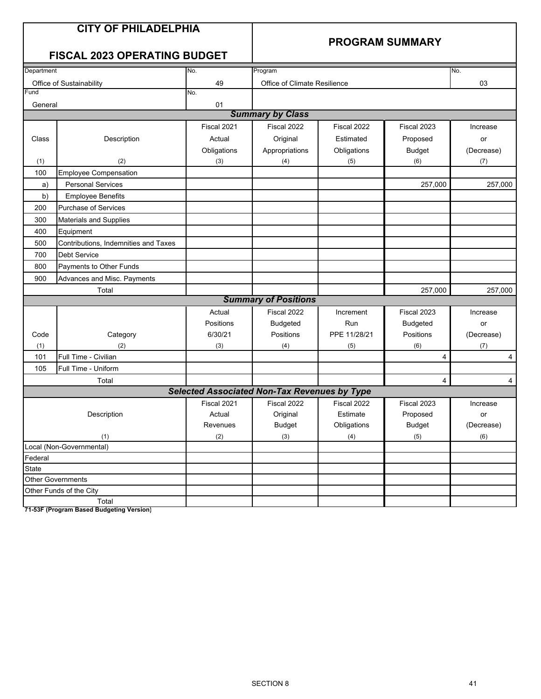### **PROGRAM SUMMARY**

### **FISCAL 2023 OPERATING BUDGET**

| Department |                                      | No.                                                 | Program                      |              |                 | No.        |
|------------|--------------------------------------|-----------------------------------------------------|------------------------------|--------------|-----------------|------------|
|            | Office of Sustainability             | 49                                                  | Office of Climate Resilience |              |                 | 03         |
| Fund       |                                      | No.                                                 |                              |              |                 |            |
| General    |                                      | 01                                                  |                              |              |                 |            |
|            |                                      |                                                     | <b>Summary by Class</b>      |              |                 |            |
|            |                                      | Fiscal 2021                                         | Fiscal 2022                  | Fiscal 2022  | Fiscal 2023     | Increase   |
| Class      | Description                          | Actual                                              | Original                     | Estimated    | Proposed        | or         |
|            |                                      | Obligations                                         | Appropriations               | Obligations  | <b>Budget</b>   | (Decrease) |
| (1)        | (2)                                  | (3)                                                 | (4)                          | (5)          | (6)             | (7)        |
| 100        | Employee Compensation                |                                                     |                              |              |                 |            |
| a)         | <b>Personal Services</b>             |                                                     |                              |              | 257,000         | 257,000    |
| b)         | <b>Employee Benefits</b>             |                                                     |                              |              |                 |            |
| 200        | <b>Purchase of Services</b>          |                                                     |                              |              |                 |            |
| 300        | <b>Materials and Supplies</b>        |                                                     |                              |              |                 |            |
| 400        | Equipment                            |                                                     |                              |              |                 |            |
| 500        | Contributions, Indemnities and Taxes |                                                     |                              |              |                 |            |
| 700        | <b>Debt Service</b>                  |                                                     |                              |              |                 |            |
| 800        | Payments to Other Funds              |                                                     |                              |              |                 |            |
| 900        | Advances and Misc. Payments          |                                                     |                              |              |                 |            |
|            | Total                                |                                                     |                              |              | 257,000         | 257,000    |
|            |                                      |                                                     | <b>Summary of Positions</b>  |              |                 |            |
|            |                                      | Actual                                              | Fiscal 2022                  | Increment    | Fiscal 2023     | Increase   |
|            |                                      | Positions                                           | <b>Budgeted</b>              | Run          | <b>Budgeted</b> | or         |
| Code       | Category                             | 6/30/21                                             | Positions                    | PPE 11/28/21 | Positions       | (Decrease) |
| (1)        | (2)                                  | (3)                                                 | (4)                          | (5)          | (6)             | (7)        |
| 101        | Full Time - Civilian                 |                                                     |                              |              | $\overline{4}$  | 4          |
| 105        | Full Time - Uniform                  |                                                     |                              |              |                 |            |
|            | Total                                |                                                     |                              |              | $\overline{4}$  | 4          |
|            |                                      | <b>Selected Associated Non-Tax Revenues by Type</b> |                              |              |                 |            |
|            |                                      | Fiscal 2021                                         | Fiscal 2022                  | Fiscal 2022  | Fiscal 2023     | Increase   |
|            | Description                          | Actual                                              | Original                     | Estimate     | Proposed        | or         |
|            |                                      | Revenues                                            | <b>Budget</b>                | Obligations  | <b>Budget</b>   | (Decrease) |
|            | (1)                                  | (2)                                                 | (3)                          | (4)          | (5)             | (6)        |
|            | Local (Non-Governmental)             |                                                     |                              |              |                 |            |
| Federal    |                                      |                                                     |                              |              |                 |            |
| State      |                                      |                                                     |                              |              |                 |            |
|            | Other Governments                    |                                                     |                              |              |                 |            |
|            | Other Funds of the City              |                                                     |                              |              |                 |            |
|            | Total                                |                                                     |                              |              |                 |            |